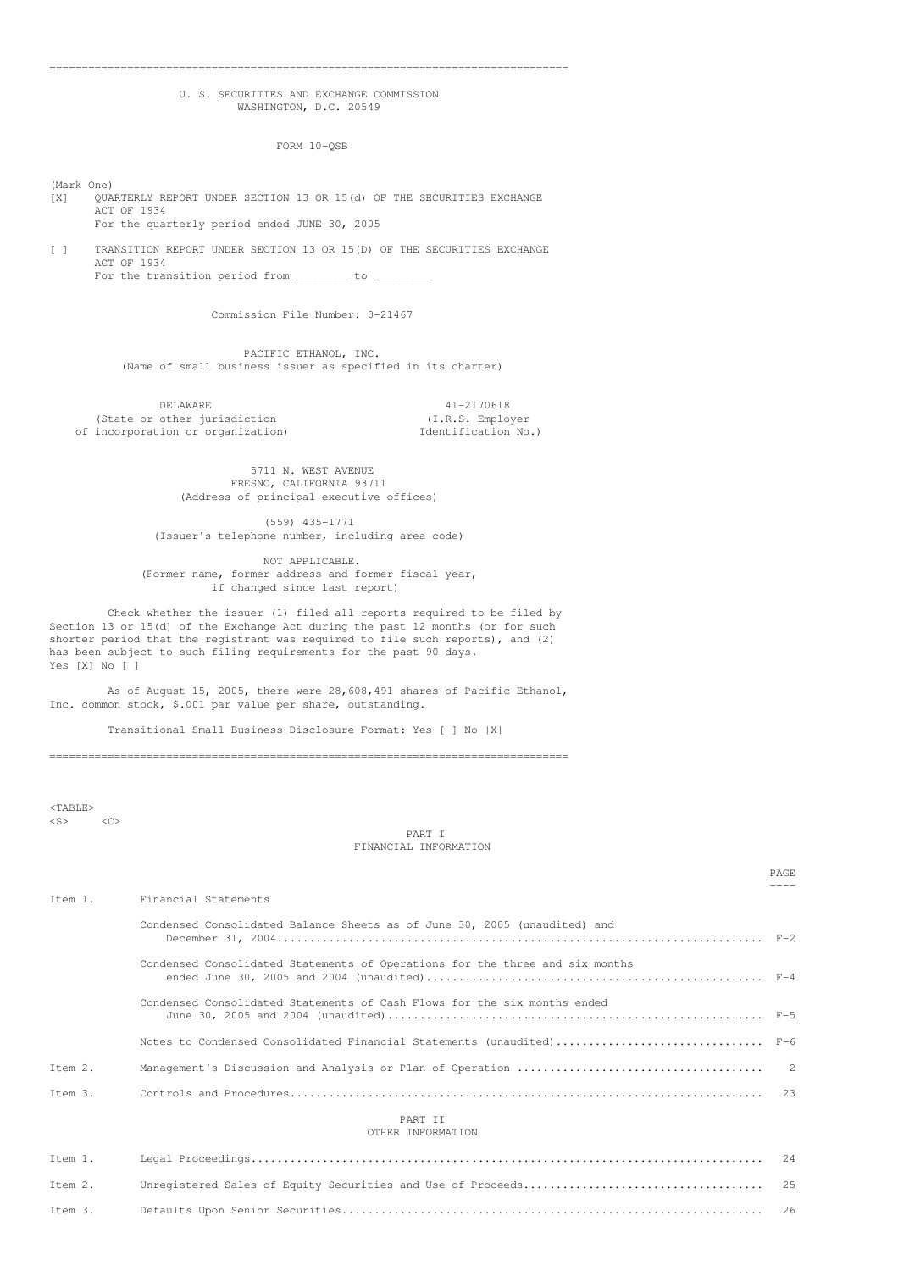#### ================================================================================

# U. S. SECURITIES AND EXCHANGE COMMISSION WASHINGTON, D.C. 20549

FORM 10-QSB

(Mark One)

[X] QUARTERLY REPORT UNDER SECTION 13 OR 15(d) OF THE SECURITIES EXCHANGE ACT OF 1934 For the quarterly period ended JUNE 30, 2005

[ ] TRANSITION REPORT UNDER SECTION 13 OR 15(D) OF THE SECURITIES EXCHANGE ACT OF 1934 For the transition period from  $\frac{1}{\sqrt{2}}$  to  $\frac{1}{\sqrt{2}}$ 

Commission File Number: 0-21467

PACIFIC ETHANOL, INC. (Name of small business issuer as specified in its charter)

DELAWARE 41-2170618<br>
other jurisdiction (I.R.S. Employer) (State or other jurisdiction  $(1,R.S.$  Employer<br>incorporation or organization) Identification No.) of incorporation or organization)

5711 N. WEST AVENUE FRESNO, CALIFORNIA 93711 (Address of principal executive offices)

(559) 435-1771 (Issuer's telephone number, including area code)

NOT APPLICABLE. (Former name, former address and former fiscal year, if changed since last report)

Check whether the issuer (1) filed all reports required to be filed by Section 13 or 15(d) of the Exchange Act during the past 12 months (or for such shorter period that the registrant was required to file such reports), and (2) has been subject to such filing requirements for the past 90 days. Yes [X] No [ ]

As of August 15, 2005, there were 28,608,491 shares of Pacific Ethanol, Inc. common stock, \$.001 par value per share, outstanding.

Transitional Small Business Disclosure Format: Yes [ ] No |X|

================================================================================

 $<$ TABLE>  $\langle$ S>  $\langle$ C>

PART I FINANCIAL INFORMATION

> PAGE ----

| Ttem 1.                      | Financial Statements                                                         |  |  |  |
|------------------------------|------------------------------------------------------------------------------|--|--|--|
|                              | Condensed Consolidated Balance Sheets as of June 30, 2005 (unaudited) and    |  |  |  |
|                              | Condensed Consolidated Statements of Operations for the three and six months |  |  |  |
|                              | Condensed Consolidated Statements of Cash Flows for the six months ended     |  |  |  |
|                              | Notes to Condensed Consolidated Financial Statements (unaudited) F-6         |  |  |  |
| Item 2.                      |                                                                              |  |  |  |
| Ttem 3.                      |                                                                              |  |  |  |
| PART TT<br>OTHER INFORMATION |                                                                              |  |  |  |

# Item 1. Legal Proceedings............................................................................... 24 Item 2. Unregistered Sales of Equity Securities and Use of Proceeds..................................... 25 Item 3. Defaults Upon Senior Securities................................................................. 26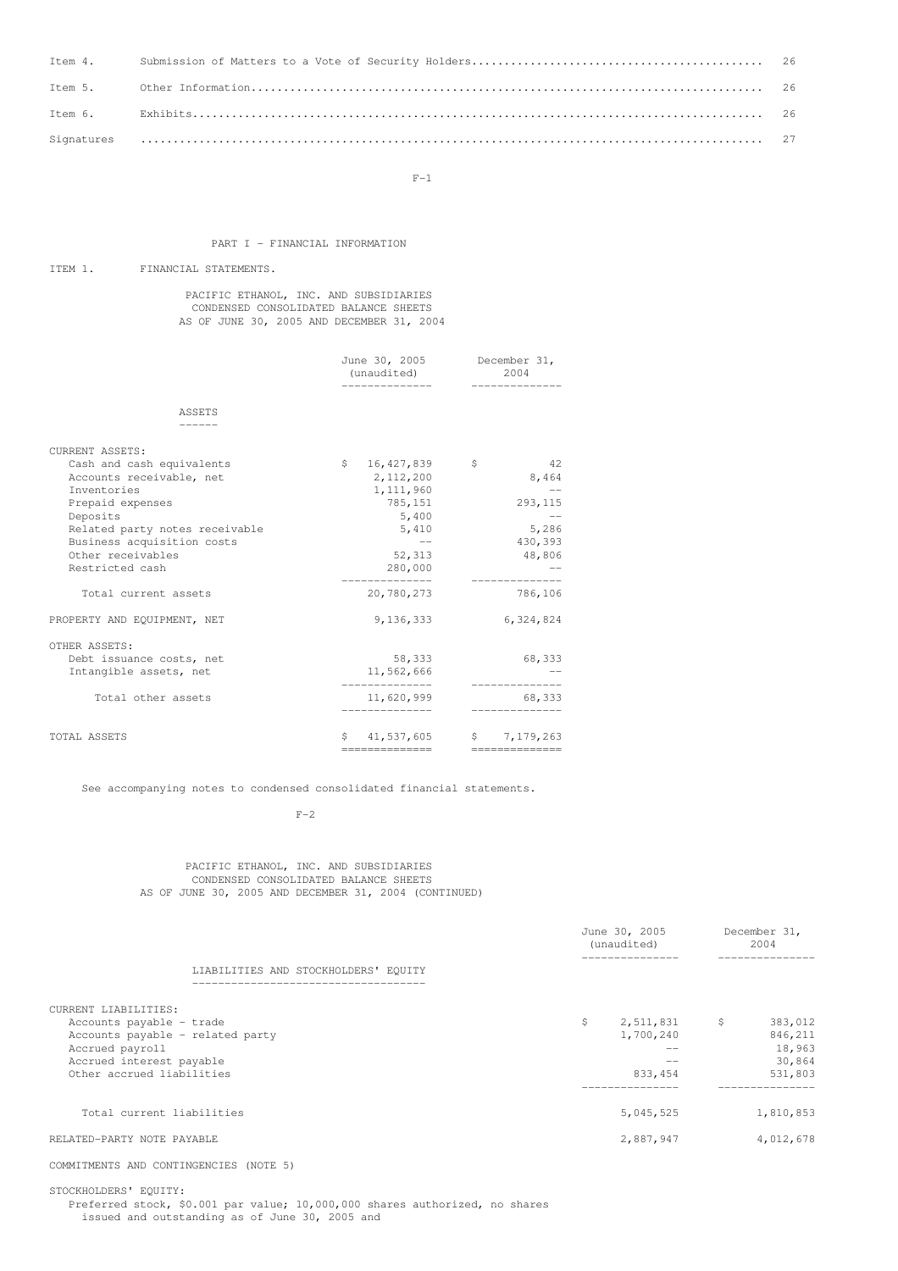$F-1$ 

# PART I - FINANCIAL INFORMATION

# ITEM 1. FINANCIAL STATEMENTS.

PACIFIC ETHANOL, INC. AND SUBSIDIARIES CONDENSED CONSOLIDATED BALANCE SHEETS AS OF JUNE 30, 2005 AND DECEMBER 31, 2004

|                                                                                                                                        | June 30, 2005 December 31,<br>(unaudited)                                 | 2004<br>----------                                |
|----------------------------------------------------------------------------------------------------------------------------------------|---------------------------------------------------------------------------|---------------------------------------------------|
| ASSETS                                                                                                                                 |                                                                           |                                                   |
| <b>CURRENT ASSETS:</b>                                                                                                                 |                                                                           |                                                   |
| Cash and cash equivalents<br>Accounts receivable, net<br>Inventories<br>Prepaid expenses<br>Deposits<br>Related party notes receivable | \$<br>16,427,839<br>2, 112, 200<br>1,111,960<br>785,151<br>5,400<br>5,410 | 42<br>$\sim$ $\sim$<br>8,464<br>293, 115<br>5,286 |
| Business acquisition costs<br>Other receivables<br>Restricted cash                                                                     | $\longrightarrow$ $\longrightarrow$<br>52,313<br>280,000                  | 430,393<br>48,806                                 |
| Total current assets                                                                                                                   | 20,780,273                                                                | 786,106                                           |
| PROPERTY AND EQUIPMENT, NET                                                                                                            | 9,136,333                                                                 | 6,324,824                                         |
| OTHER ASSETS:<br>Debt issuance costs, net<br>Intangible assets, net                                                                    | 58,333<br>11,562,666                                                      | 68,333                                            |
| Total other assets                                                                                                                     | 11,620,999                                                                | 68,333                                            |
| TOTAL ASSETS                                                                                                                           | ==============                                                            | $$41,537,605$ $$7,179,263$<br>==============      |

See accompanying notes to condensed consolidated financial statements.

 $F-2$ 

### PACIFIC ETHANOL, INC. AND SUBSIDIARIES CONDENSED CONSOLIDATED BALANCE SHEETS AS OF JUNE 30, 2005 AND DECEMBER 31, 2004 (CONTINUED)

|                                      | June 30, 2005<br>(unaudited) | December 31,<br>2004 |
|--------------------------------------|------------------------------|----------------------|
| LIABILITIES AND STOCKHOLDERS' EQUITY | ---------------              | ------------         |
| CURRENT LIABILITIES:                 |                              |                      |
| Accounts payable - trade             | \$<br>2,511,831              | \$<br>383,012        |
| Accounts payable - related party     | 1,700,240                    | 846,211              |
| Accrued payroll                      | $ -$                         | 18,963               |
| Accrued interest payable             |                              | 30,864               |
| Other accrued liabilities            | 833, 454                     | 531,803              |
| Total current liabilities            | 5,045,525                    | 1,810,853            |
| RELATED-PARTY NOTE PAYABLE           | 2,887,947                    | 4,012,678            |
|                                      |                              |                      |

COMMITMENTS AND CONTINGENCIES (NOTE 5)

STOCKHOLDERS' EQUITY:

Preferred stock, \$0.001 par value; 10,000,000 shares authorized, no shares issued and outstanding as of June 30, 2005 and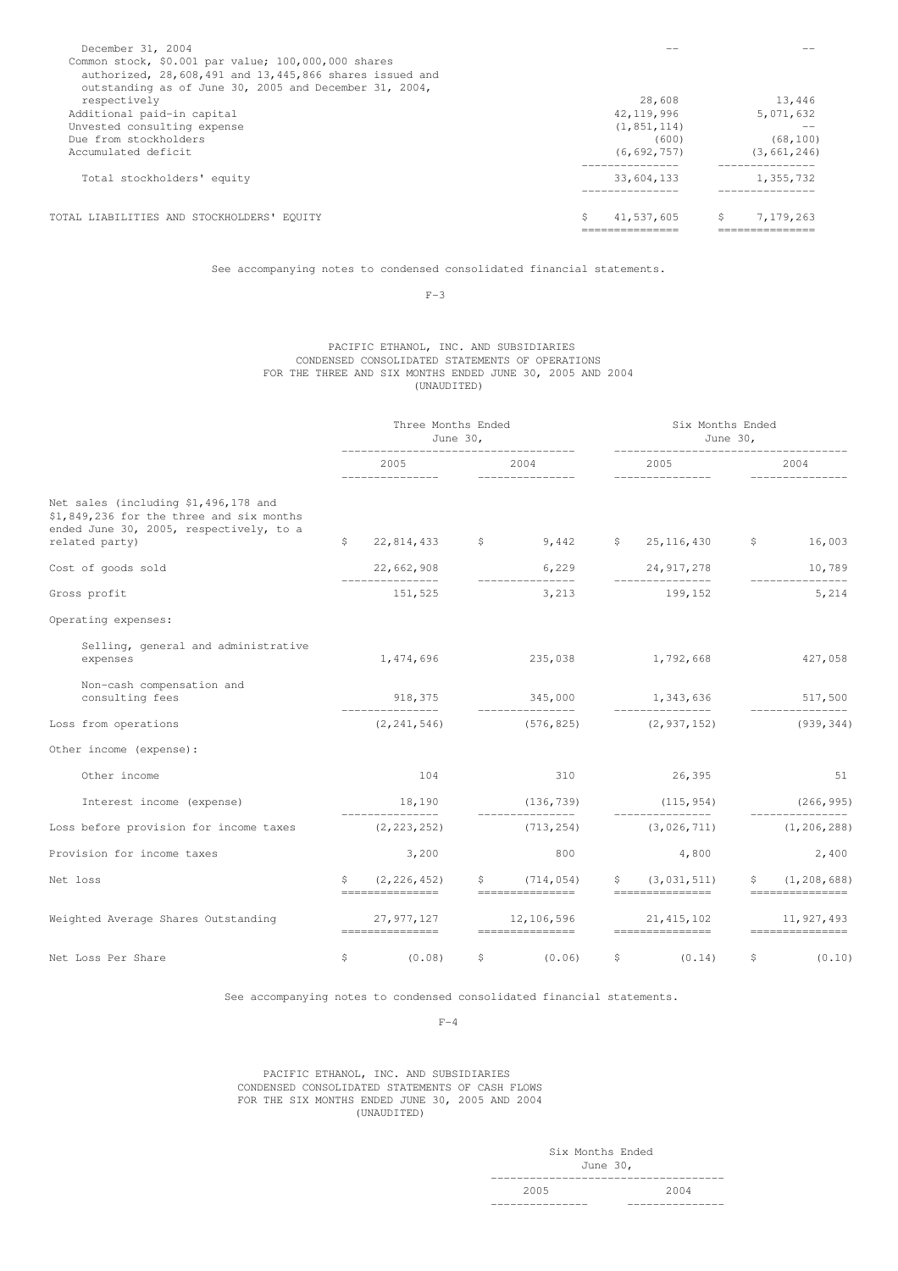| December 31, 2004                                       |                  |                  |
|---------------------------------------------------------|------------------|------------------|
| Common stock, \$0.001 par value; 100,000,000 shares     |                  |                  |
| authorized, 28,608,491 and 13,445,866 shares issued and |                  |                  |
| outstanding as of June 30, 2005 and December 31, 2004,  |                  |                  |
| respectively                                            | 28,608           | 13,446           |
| Additional paid-in capital                              | 42, 119, 996     | 5,071,632        |
| Unvested consulting expense                             | (1, 851, 114)    |                  |
| Due from stockholders                                   | (600)            | (68, 100)        |
| Accumulated deficit                                     | (6, 692, 757)    | (3, 661, 246)    |
| Total stockholders' equity                              | 33,604,133       | 1,355,732        |
| TOTAL LIABILITIES AND STOCKHOLDERS' EOUITY              | \$<br>41,537,605 | \$.<br>7,179,263 |
|                                                         |                  |                  |

See accompanying notes to condensed consolidated financial statements.

 $F-3$ 

#### PACIFIC ETHANOL, INC. AND SUBSIDIARIES CONDENSED CONSOLIDATED STATEMENTS OF OPERATIONS FOR THE THREE AND SIX MONTHS ENDED JUNE 30, 2005 AND 2004 (UNAUDITED)

|                                                                                                                                               |    | Three Months Ended<br>June $301$  |              | Six Months Ended                                               | June $301$                                           |    |                                       |
|-----------------------------------------------------------------------------------------------------------------------------------------------|----|-----------------------------------|--------------|----------------------------------------------------------------|------------------------------------------------------|----|---------------------------------------|
|                                                                                                                                               |    | 2005<br>_______________           |              | 2004<br>----------------                                       | 2005<br>_______________                              |    | 2004                                  |
| Net sales (including \$1,496,178 and<br>\$1,849,236 for the three and six months<br>ended June 30, 2005, respectively, to a<br>related party) | \$ | $22,814,433$ \$                   |              | 9,442                                                          | $$25,116,430$ $$16,003$                              |    |                                       |
| Cost of goods sold                                                                                                                            |    | 22,662,908                        |              | 6,229                                                          | 24,917,278                                           |    | 10,789                                |
| Gross profit                                                                                                                                  |    | 151,525                           |              | ________________<br>3,213                                      | 199,152                                              |    | ______________<br>5,214               |
| Operating expenses:                                                                                                                           |    |                                   |              |                                                                |                                                      |    |                                       |
| Selling, general and administrative<br>expenses                                                                                               |    | 1,474,696                         |              | 235,038 1,792,668                                              |                                                      |    | 427,058                               |
| Non-cash compensation and<br>consulting fees                                                                                                  |    | ________________                  |              | 918,375 345,000 1,343,636                                      |                                                      |    | 517,500                               |
| Loss from operations                                                                                                                          |    | (2, 241, 546)                     |              | (576, 825)                                                     | (2, 937, 152)                                        |    | (939, 344)                            |
| Other income (expense):                                                                                                                       |    |                                   |              |                                                                |                                                      |    |                                       |
| Other income                                                                                                                                  |    | 104                               |              | 310                                                            | 26,395                                               |    | 51                                    |
| Interest income (expense)                                                                                                                     |    | 18,190                            |              | (136, 739)                                                     | (115, 954)                                           |    | (266, 995)                            |
| Loss before provision for income taxes                                                                                                        |    | ________________<br>(2, 223, 252) |              | (713, 254)                                                     | ________________<br>(3,026,711)                      |    | ______________<br>(1, 206, 288)       |
| Provision for income taxes                                                                                                                    |    | 3,200                             |              | 800                                                            | 4,800                                                |    | 2,400                                 |
| Net loss                                                                                                                                      | S. | (2, 226, 452)<br>===============  | $\mathsf{S}$ | (714, 054)<br>================                                 | \$(3, 031, 511)<br>$=$ = = = = = = = = = = = = = = = | S. | (1, 208, 688)<br>$=$ ================ |
| Weighted Average Shares Outstanding                                                                                                           |    | 27,977,127<br>===============     |              | 12, 106, 596 21, 415, 102<br>$=$ = = = = = = = = = = = = = = = | $=$ = = = = = = = = = = = = = = =                    |    | 11, 927, 493<br>===============       |
| Net Loss Per Share                                                                                                                            | \$ | (0.08)                            | \$           | (0.06)                                                         | \$<br>(0.14)                                         | \$ | (0.10)                                |

See accompanying notes to condensed consolidated financial statements.

 $F-4$ 

### PACIFIC ETHANOL, INC. AND SUBSIDIARIES CONDENSED CONSOLIDATED STATEMENTS OF CASH FLOWS FOR THE SIX MONTHS ENDED JUNE 30, 2005 AND 2004 (UNAUDITED)

Six Months Ended June 30, ------------------------------------

2005 2004 --------------- ---------------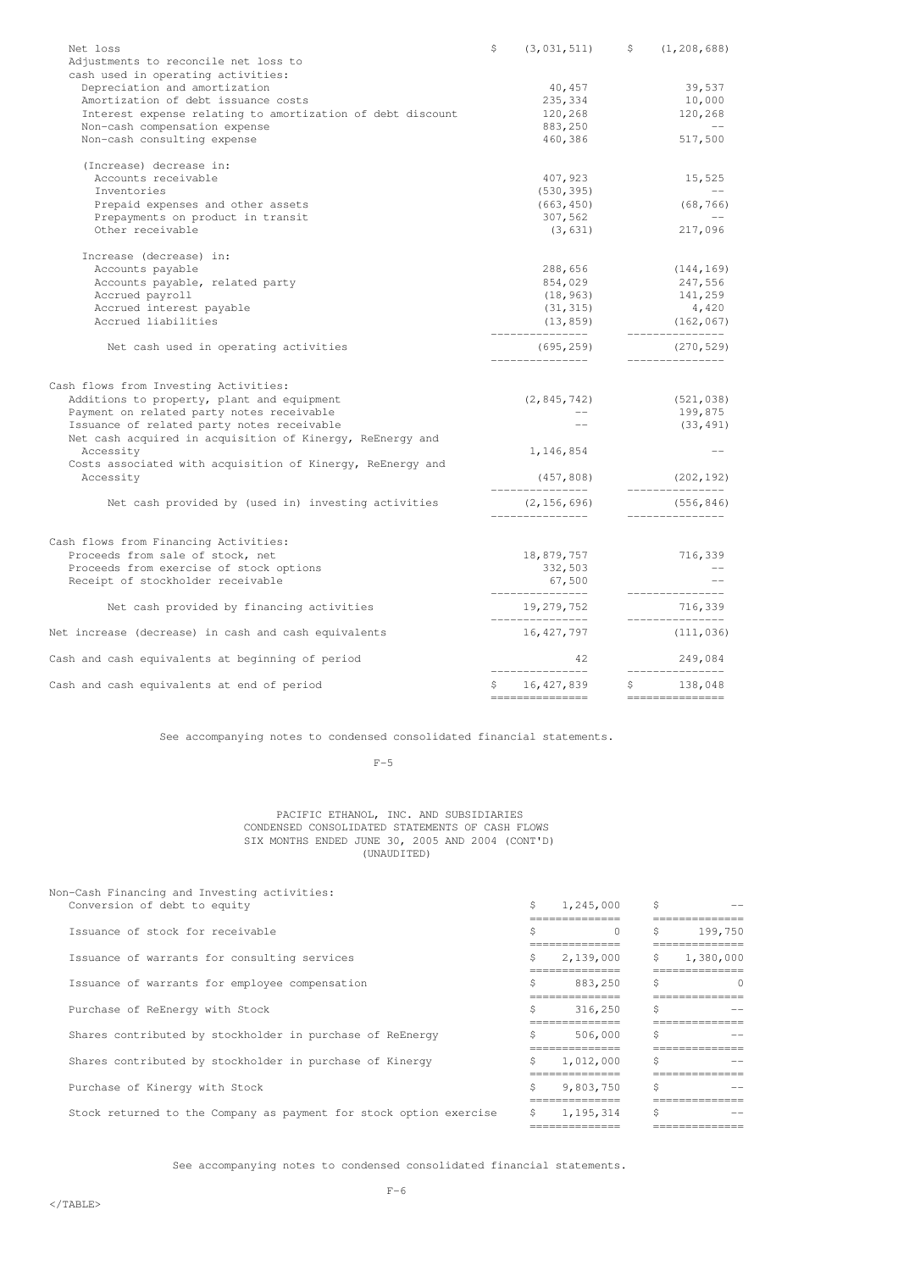| Net loss                                                                | \$<br>(3, 031, 511)            | \$<br>(1, 208, 688)                 |
|-------------------------------------------------------------------------|--------------------------------|-------------------------------------|
| Adjustments to reconcile net loss to                                    |                                |                                     |
| cash used in operating activities:                                      |                                |                                     |
| Depreciation and amortization                                           | 40,457                         | 39,537                              |
| Amortization of debt issuance costs                                     | 235,334                        | 10,000                              |
| Interest expense relating to amortization of debt discount              | 120,268                        | 120,268                             |
| Non-cash compensation expense                                           | 883,250                        | $\sim 100$ km s $^{-1}$             |
| Non-cash consulting expense                                             | 460,386                        | 517,500                             |
| (Increase) decrease in:                                                 |                                |                                     |
| Accounts receivable                                                     | 407,923                        | 15,525                              |
| Inventories                                                             | (530, 395)                     |                                     |
| Prepaid expenses and other assets                                       | (663, 450)                     | (68, 766)                           |
| Prepayments on product in transit                                       | 307,562                        |                                     |
| Other receivable                                                        | (3, 631)                       | 217,096                             |
| Increase (decrease) in:                                                 |                                |                                     |
| Accounts payable                                                        | 288,656                        | (144, 169)                          |
| Accounts payable, related party                                         | 854,029                        | 247,556                             |
| Accrued payroll                                                         | (18, 963)                      | 141,259                             |
| Accrued interest payable                                                | (31, 315)                      | 4,420                               |
| Accrued liabilities                                                     | (13, 859)<br>_______________   | (162, 067)<br>________________      |
| Net cash used in operating activities                                   | (695, 259)<br>________________ | (270, 529)<br>_______________       |
|                                                                         |                                |                                     |
| Cash flows from Investing Activities:                                   |                                |                                     |
| Additions to property, plant and equipment                              | (2, 845, 742)                  | (521, 038)                          |
| Payment on related party notes receivable                               |                                | 199,875                             |
| Issuance of related party notes receivable                              |                                | (33, 491)                           |
| Net cash acquired in acquisition of Kinergy, ReEnergy and               |                                |                                     |
| Accessity                                                               | 1,146,854                      | $\longrightarrow$ $\longrightarrow$ |
| Costs associated with acquisition of Kinergy, ReEnergy and<br>Accessity | (457, 808)<br>_______________  | (202, 192)<br>_______________       |
| Net cash provided by (used in) investing activities                     | (2, 156, 696)                  | (556, 846)<br>_______________       |
|                                                                         |                                |                                     |
| Cash flows from Financing Activities:                                   |                                |                                     |
| Proceeds from sale of stock, net                                        | 18,879,757                     | 716,339                             |
| Proceeds from exercise of stock options                                 | 332,503                        |                                     |
| Receipt of stockholder receivable                                       | 67,500<br>________________     | ----------------                    |
| Net cash provided by financing activities                               | 19,279,752<br>_______________  | 716,339<br>---------------          |
| Net increase (decrease) in cash and cash equivalents                    | 16, 427, 797                   | (111, 036)                          |
| Cash and cash equivalents at beginning of period                        | 42                             | 249,084                             |
| Cash and cash equivalents at end of period                              | \$16,427,839                   | _______________<br>\$138,048        |
|                                                                         | ===============                | ===============                     |

See accompanying notes to condensed consolidated financial statements.

### $F-5$

#### PACIFIC ETHANOL, INC. AND SUBSIDIARIES CONDENSED CONSOLIDATED STATEMENTS OF CASH FLOWS SIX MONTHS ENDED JUNE 30, 2005 AND 2004 (CONT'D) (UNAUDITED)

| Non-Cash Financing and Investing activities:                       |    |                |    |             |
|--------------------------------------------------------------------|----|----------------|----|-------------|
| Conversion of debt to equity                                       | Ŝ. | 1,245,000      | Ŝ. |             |
|                                                                    |    | ----------     |    |             |
| Issuance of stock for receivable                                   | Ś  | $\Omega$       | Ŝ. | 199,750     |
|                                                                    |    | ============== |    | =========== |
| Issuance of warrants for consulting services                       | Ŝ. | 2,139,000      | Ŝ. | 1,380,000   |
|                                                                    |    | ============   |    |             |
| Issuance of warrants for employee compensation                     | Ŝ. | 883,250        |    | $\bigcap$   |
|                                                                    |    | ============   |    |             |
| Purchase of ReEnergy with Stock                                    | Ŝ. | 316,250        | Ŝ. |             |
|                                                                    |    | ============== |    |             |
| Shares contributed by stockholder in purchase of ReEnergy          | Ŝ. | 506,000        | Ś  |             |
|                                                                    |    | =============  |    |             |
| Shares contributed by stockholder in purchase of Kinergy           | Ŝ. | 1,012,000      | Ś  |             |
|                                                                    |    |                |    |             |
| Purchase of Kinergy with Stock                                     | Ŝ. | 9,803,750      | Ŝ. |             |
|                                                                    |    | ------------   |    |             |
| Stock returned to the Company as payment for stock option exercise | Ŝ. | 1,195,314      | Ŝ. |             |
|                                                                    |    |                |    |             |
|                                                                    |    |                |    |             |

See accompanying notes to condensed consolidated financial statements.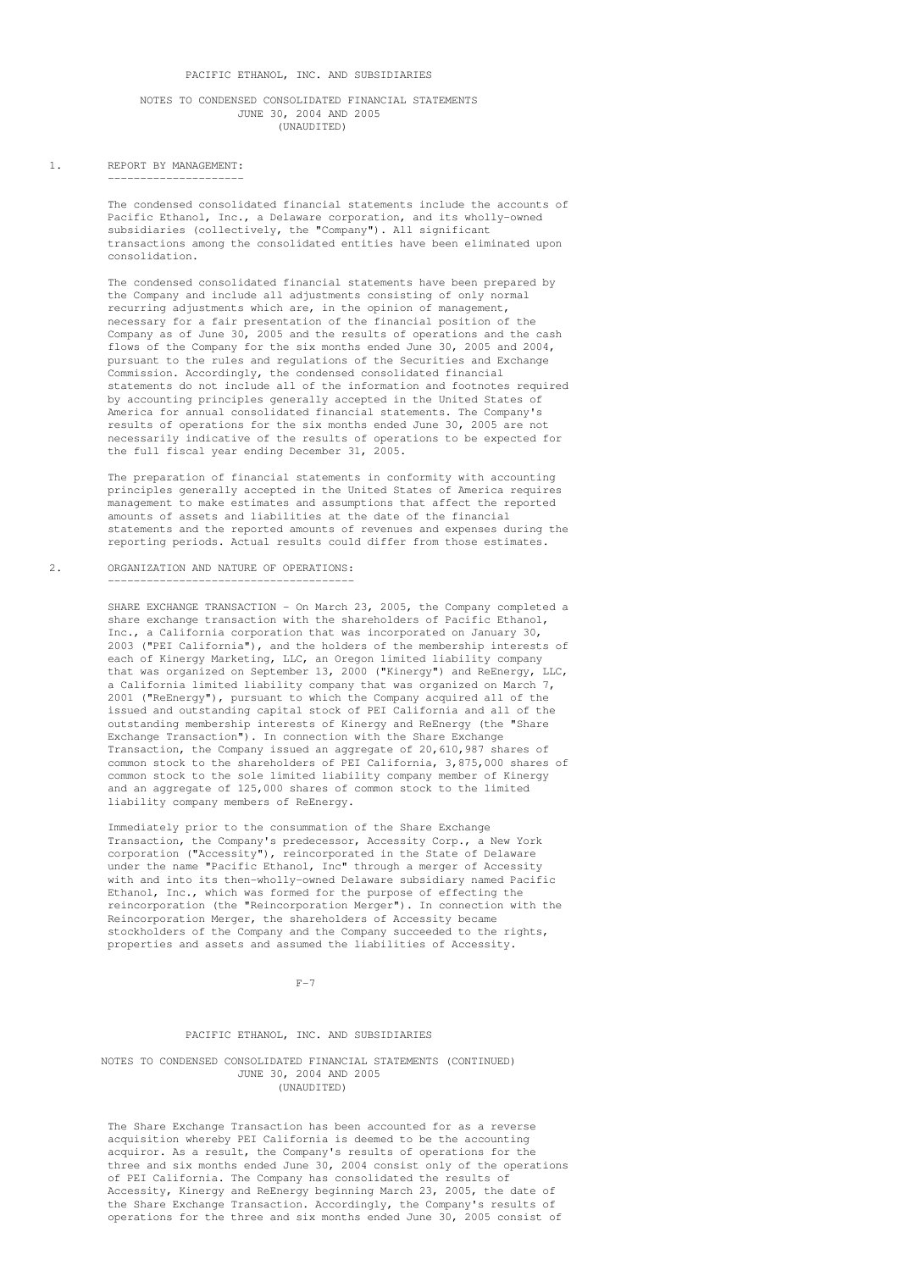### NOTES TO CONDENSED CONSOLIDATED FINANCIAL STATEMENTS JUNE 30, 2004 AND 2005 (UNAUDITED)

### 1. REPORT BY MANAGEMENT: ---------------------

The condensed consolidated financial statements include the accounts of Pacific Ethanol, Inc., a Delaware corporation, and its wholly-owned subsidiaries (collectively, the "Company"). All significant transactions among the consolidated entities have been eliminated upon consolidation.

The condensed consolidated financial statements have been prepared by the Company and include all adjustments consisting of only normal recurring adjustments which are, in the opinion of management, necessary for a fair presentation of the financial position of the Company as of June 30, 2005 and the results of operations and the cash flows of the Company for the six months ended June 30, 2005 and 2004, pursuant to the rules and regulations of the Securities and Exchange Commission. Accordingly, the condensed consolidated financial statements do not include all of the information and footnotes required by accounting principles generally accepted in the United States of America for annual consolidated financial statements. The Company's results of operations for the six months ended June 30, 2005 are not necessarily indicative of the results of operations to be expected for the full fiscal year ending December 31, 2005.

The preparation of financial statements in conformity with accounting principles generally accepted in the United States of America requires management to make estimates and assumptions that affect the reported amounts of assets and liabilities at the date of the financial statements and the reported amounts of revenues and expenses during the reporting periods. Actual results could differ from those estimates.

2. ORGANIZATION AND NATURE OF OPERATIONS:

--------------------------------------

SHARE EXCHANGE TRANSACTION - On March 23, 2005, the Company completed a share exchange transaction with the shareholders of Pacific Ethanol, Inc., a California corporation that was incorporated on January 30, 2003 ("PEI California"), and the holders of the membership interests of each of Kinergy Marketing, LLC, an Oregon limited liability company that was organized on September 13, 2000 ("Kinergy") and ReEnergy, LLC, a California limited liability company that was organized on March 7, 2001 ("ReEnergy"), pursuant to which the Company acquired all of the issued and outstanding capital stock of PEI California and all of the outstanding membership interests of Kinergy and ReEnergy (the "Share Exchange Transaction"). In connection with the Share Exchange Transaction, the Company issued an aggregate of 20,610,987 shares of common stock to the shareholders of PEI California, 3,875,000 shares of common stock to the sole limited liability company member of Kinergy and an aggregate of 125,000 shares of common stock to the limited liability company members of ReEnergy.

Immediately prior to the consummation of the Share Exchange Transaction, the Company's predecessor, Accessity Corp., a New York corporation ("Accessity"), reincorporated in the State of Delaware under the name "Pacific Ethanol, Inc" through a merger of Accessity with and into its then-wholly-owned Delaware subsidiary named Pacific Ethanol, Inc., which was formed for the purpose of effecting the reincorporation (the "Reincorporation Merger"). In connection with the Reincorporation Merger, the shareholders of Accessity became stockholders of the Company and the Company succeeded to the rights, properties and assets and assumed the liabilities of Accessity.

 $F-7$ 

### PACIFIC ETHANOL, INC. AND SUBSIDIARIES

#### NOTES TO CONDENSED CONSOLIDATED FINANCIAL STATEMENTS (CONTINUED) JUNE 30, 2004 AND 2005 (UNAUDITED)

The Share Exchange Transaction has been accounted for as a reverse acquisition whereby PEI California is deemed to be the accounting acquiror. As a result, the Company's results of operations for the three and six months ended June 30, 2004 consist only of the operations of PEI California. The Company has consolidated the results of Accessity, Kinergy and ReEnergy beginning March 23, 2005, the date of the Share Exchange Transaction. Accordingly, the Company's results of operations for the three and six months ended June 30, 2005 consist of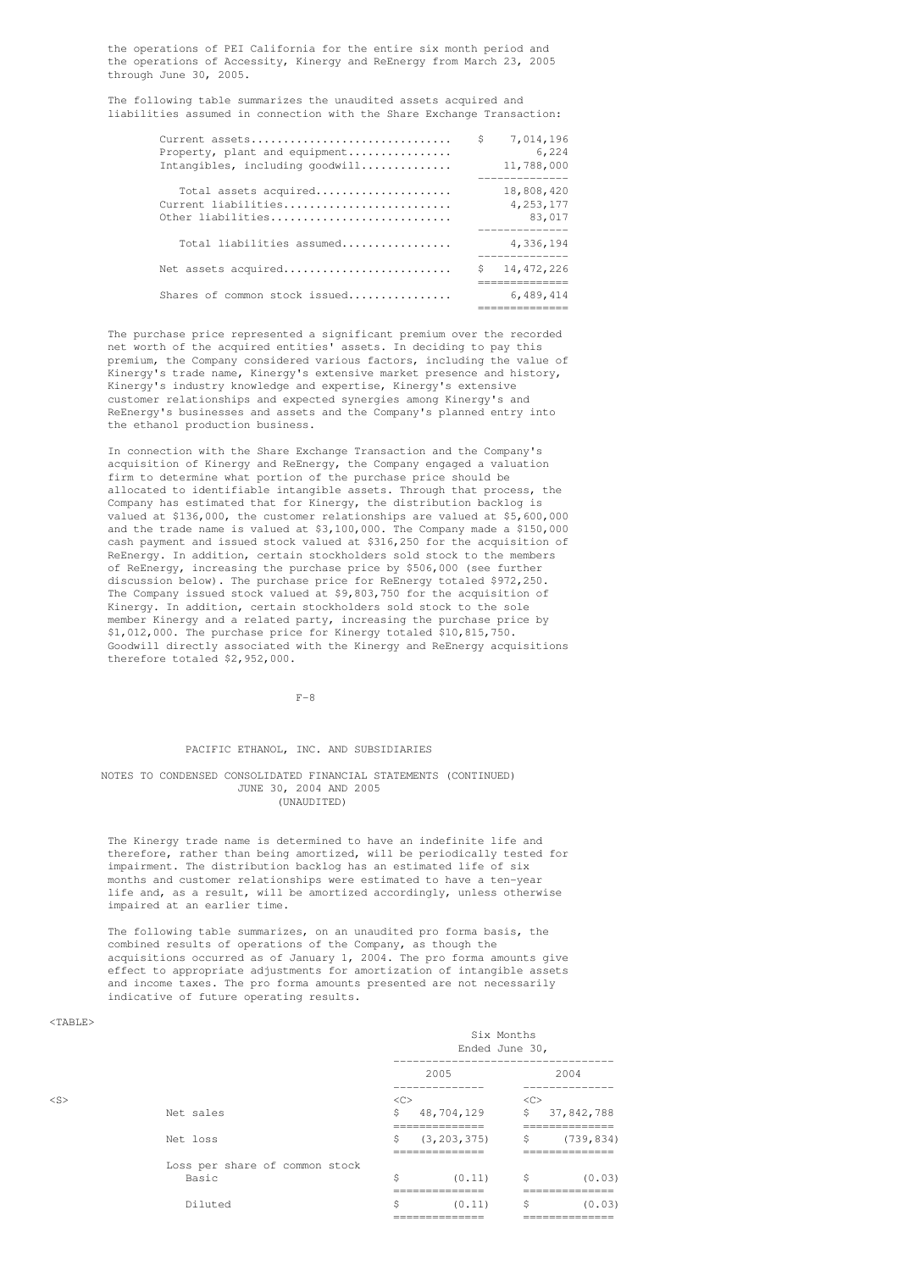the operations of PEI California for the entire six month period and the operations of Accessity, Kinergy and ReEnergy from March 23, 2005 through June 30, 2005.

The following table summarizes the unaudited assets acquired and liabilities assumed in connection with the Share Exchange Transaction:

| Current assets<br>Property, plant and equipment<br>Intangibles, including goodwill | S  | 7,014,196<br>6,224<br>11,788,000                                 |
|------------------------------------------------------------------------------------|----|------------------------------------------------------------------|
| Total assets acquired<br>Current liabilities<br>Other liabilities                  |    | 18,808,420<br>4, 253, 177<br>83,017<br>. _ _ _ _ _ _ _ _ _ _ _ _ |
| Total liabilities assumed                                                          |    | 4,336,194                                                        |
| Net assets acquired                                                                | \$ | 14,472,226<br>------------                                       |
| Shares of common stock issued                                                      |    | 6,489,414                                                        |

The purchase price represented a significant premium over the recorded net worth of the acquired entities' assets. In deciding to pay this premium, the Company considered various factors, including the value of Kinergy's trade name, Kinergy's extensive market presence and history, Kinergy's industry knowledge and expertise, Kinergy's extensive customer relationships and expected synergies among Kinergy's and ReEnergy's businesses and assets and the Company's planned entry into the ethanol production business.

In connection with the Share Exchange Transaction and the Company's acquisition of Kinergy and ReEnergy, the Company engaged a valuation firm to determine what portion of the purchase price should be allocated to identifiable intangible assets. Through that process, the Company has estimated that for Kinergy, the distribution backlog is valued at \$136,000, the customer relationships are valued at \$5,600,000 and the trade name is valued at \$3,100,000. The Company made a \$150,000 cash payment and issued stock valued at \$316,250 for the acquisition of ReEnergy. In addition, certain stockholders sold stock to the members of ReEnergy, increasing the purchase price by \$506,000 (see further discussion below). The purchase price for ReEnergy totaled \$972,250. The Company issued stock valued at \$9,803,750 for the acquisition of Kinergy. In addition, certain stockholders sold stock to the sole member Kinergy and a related party, increasing the purchase price by \$1,012,000. The purchase price for Kinergy totaled \$10,815,750. Goodwill directly associated with the Kinergy and ReEnergy acquisitions therefore totaled \$2,952,000.

 $F-8$ 

# PACIFIC ETHANOL, INC. AND SUBSIDIARIES

### NOTES TO CONDENSED CONSOLIDATED FINANCIAL STATEMENTS (CONTINUED) JUNE 30, 2004 AND 2005 (UNAUDITED)

The Kinergy trade name is determined to have an indefinite life and therefore, rather than being amortized, will be periodically tested for impairment. The distribution backlog has an estimated life of six months and customer relationships were estimated to have a ten-year life and, as a result, will be amortized accordingly, unless otherwise impaired at an earlier time.

The following table summarizes, on an unaudited pro forma basis, the combined results of operations of the Company, as though the acquisitions occurred as of January 1, 2004. The pro forma amounts give effect to appropriate adjustments for amortization of intangible assets and income taxes. The pro forma amounts presented are not necessarily indicative of future operating results.

### <TABLE>

|        |                                |                                  | Six Months<br>Ended June 30,                              |                                  |                                  |  |
|--------|--------------------------------|----------------------------------|-----------------------------------------------------------|----------------------------------|----------------------------------|--|
|        |                                |                                  | ---------------------------------<br>2005<br>____________ |                                  | 2004<br>______________           |  |
| $<$ S> |                                | $<<$ $<$ $<$ $>$                 |                                                           | <<                               |                                  |  |
|        | Net sales                      | \$                               | 48,704,129                                                | \$                               | 37,842,788                       |  |
|        |                                |                                  | ==============                                            |                                  | ==============                   |  |
|        | Net loss                       | \$                               | (3, 203, 375)                                             | \$                               | (739, 834)                       |  |
|        |                                |                                  | ______________<br>_____________                           | ---------------<br>------------- |                                  |  |
|        | Loss per share of common stock |                                  |                                                           |                                  |                                  |  |
|        | Basic                          | \$                               | (0.11)                                                    | \$                               | (0.03)                           |  |
|        |                                | ______________<br>-------------- |                                                           |                                  | ==============                   |  |
|        | Diluted                        | \$                               | (0.11)                                                    | \$                               | (0.03)                           |  |
|        |                                |                                  | ______________<br>==============                          |                                  | ______________<br>============== |  |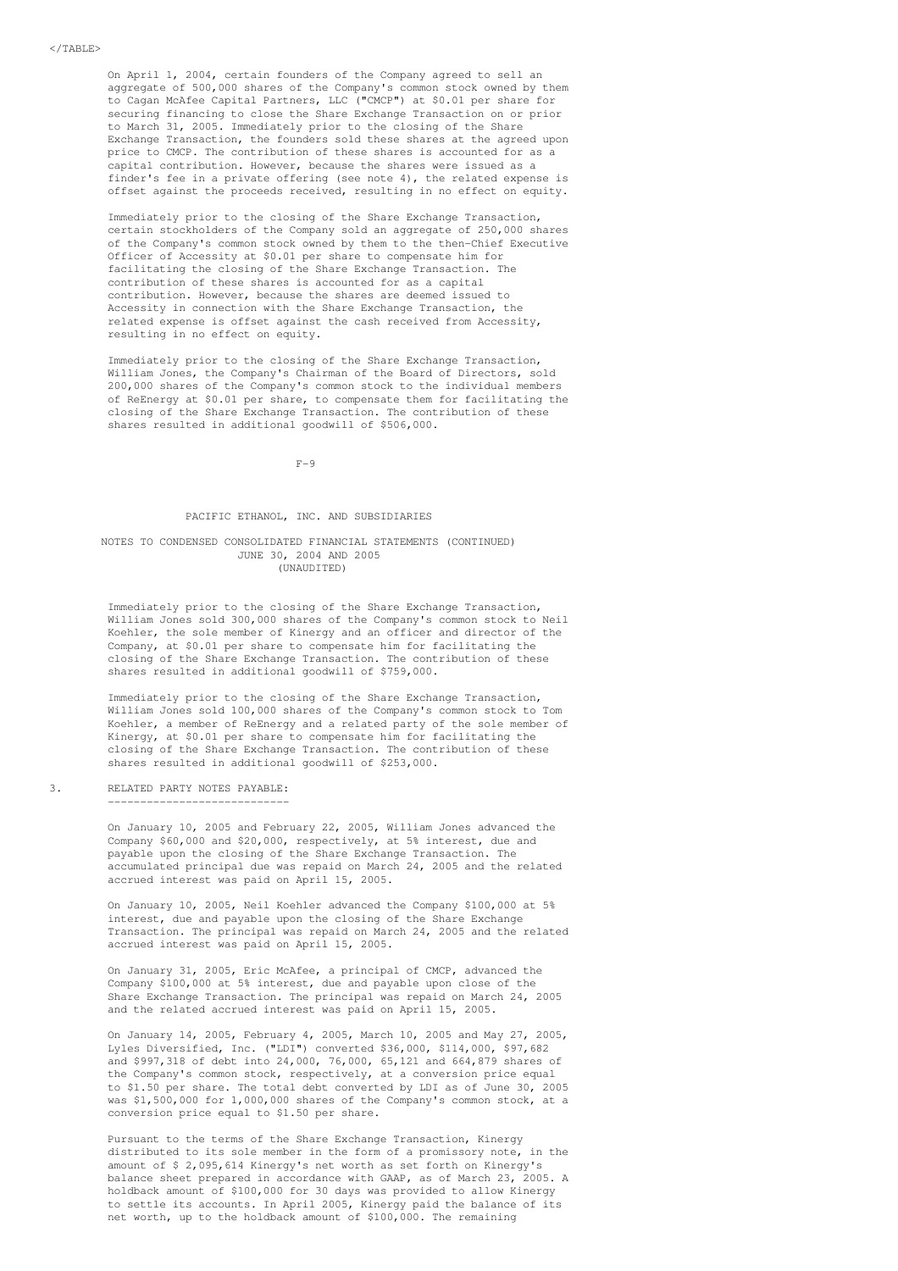On April 1, 2004, certain founders of the Company agreed to sell an aggregate of 500,000 shares of the Company's common stock owned by them to Cagan McAfee Capital Partners, LLC ("CMCP") at \$0.01 per share for securing financing to close the Share Exchange Transaction on or prior to March 31, 2005. Immediately prior to the closing of the Share Exchange Transaction, the founders sold these shares at the agreed upon price to CMCP. The contribution of these shares is accounted for as a capital contribution. However, because the shares were issued as a finder's fee in a private offering (see note 4), the related expense is offset against the proceeds received, resulting in no effect on equity.

Immediately prior to the closing of the Share Exchange Transaction, certain stockholders of the Company sold an aggregate of 250,000 shares of the Company's common stock owned by them to the then-Chief Executive Officer of Accessity at \$0.01 per share to compensate him for facilitating the closing of the Share Exchange Transaction. The contribution of these shares is accounted for as a capital contribution. However, because the shares are deemed issued to Accessity in connection with the Share Exchange Transaction, the related expense is offset against the cash received from Accessity, resulting in no effect on equity.

Immediately prior to the closing of the Share Exchange Transaction, William Jones, the Company's Chairman of the Board of Directors, sold 200,000 shares of the Company's common stock to the individual members of ReEnergy at \$0.01 per share, to compensate them for facilitating the closing of the Share Exchange Transaction. The contribution of these shares resulted in additional goodwill of \$506,000.

 $F-Q$ 

### PACIFIC ETHANOL, INC. AND SUBSIDIARIES

#### NOTES TO CONDENSED CONSOLIDATED FINANCIAL STATEMENTS (CONTINUED) JUNE 30, 2004 AND 2005 (UNAUDITED)

Immediately prior to the closing of the Share Exchange Transaction, William Jones sold 300,000 shares of the Company's common stock to Neil Koehler, the sole member of Kinergy and an officer and director of the Company, at \$0.01 per share to compensate him for facilitating the closing of the Share Exchange Transaction. The contribution of these shares resulted in additional goodwill of \$759,000.

Immediately prior to the closing of the Share Exchange Transaction, William Jones sold 100,000 shares of the Company's common stock to Tom Koehler, a member of ReEnergy and a related party of the sole member of Kinergy, at \$0.01 per share to compensate him for facilitating the closing of the Share Exchange Transaction. The contribution of these shares resulted in additional goodwill of \$253,000.

### 3. RELATED PARTY NOTES PAYABLE: ----------------------------

On January 10, 2005 and February 22, 2005, William Jones advanced the Company \$60,000 and \$20,000, respectively, at 5% interest, due and payable upon the closing of the Share Exchange Transaction. The accumulated principal due was repaid on March 24, 2005 and the related accrued interest was paid on April 15, 2005.

On January 10, 2005, Neil Koehler advanced the Company \$100,000 at 5% interest, due and payable upon the closing of the Share Exchange Transaction. The principal was repaid on March 24, 2005 and the related accrued interest was paid on April 15, 2005.

On January 31, 2005, Eric McAfee, a principal of CMCP, advanced the Company \$100,000 at 5% interest, due and payable upon close of the Share Exchange Transaction. The principal was repaid on March 24, 2005 and the related accrued interest was paid on April 15, 2005.

On January 14, 2005, February 4, 2005, March 10, 2005 and May 27, 2005, Lyles Diversified, Inc. ("LDI") converted \$36,000, \$114,000, \$97,682 and \$997,318 of debt into 24,000, 76,000, 65,121 and 664,879 shares of the Company's common stock, respectively, at a conversion price equal to \$1.50 per share. The total debt converted by LDI as of June 30, 2005 was \$1,500,000 for 1,000,000 shares of the Company's common stock, at a conversion price equal to \$1.50 per share.

Pursuant to the terms of the Share Exchange Transaction, Kinergy distributed to its sole member in the form of a promissory note, in the amount of \$ 2,095,614 Kinergy's net worth as set forth on Kinergy's balance sheet prepared in accordance with GAAP, as of March 23, 2005. A holdback amount of \$100,000 for 30 days was provided to allow Kinergy to settle its accounts. In April 2005, Kinergy paid the balance of its net worth, up to the holdback amount of \$100,000. The remaining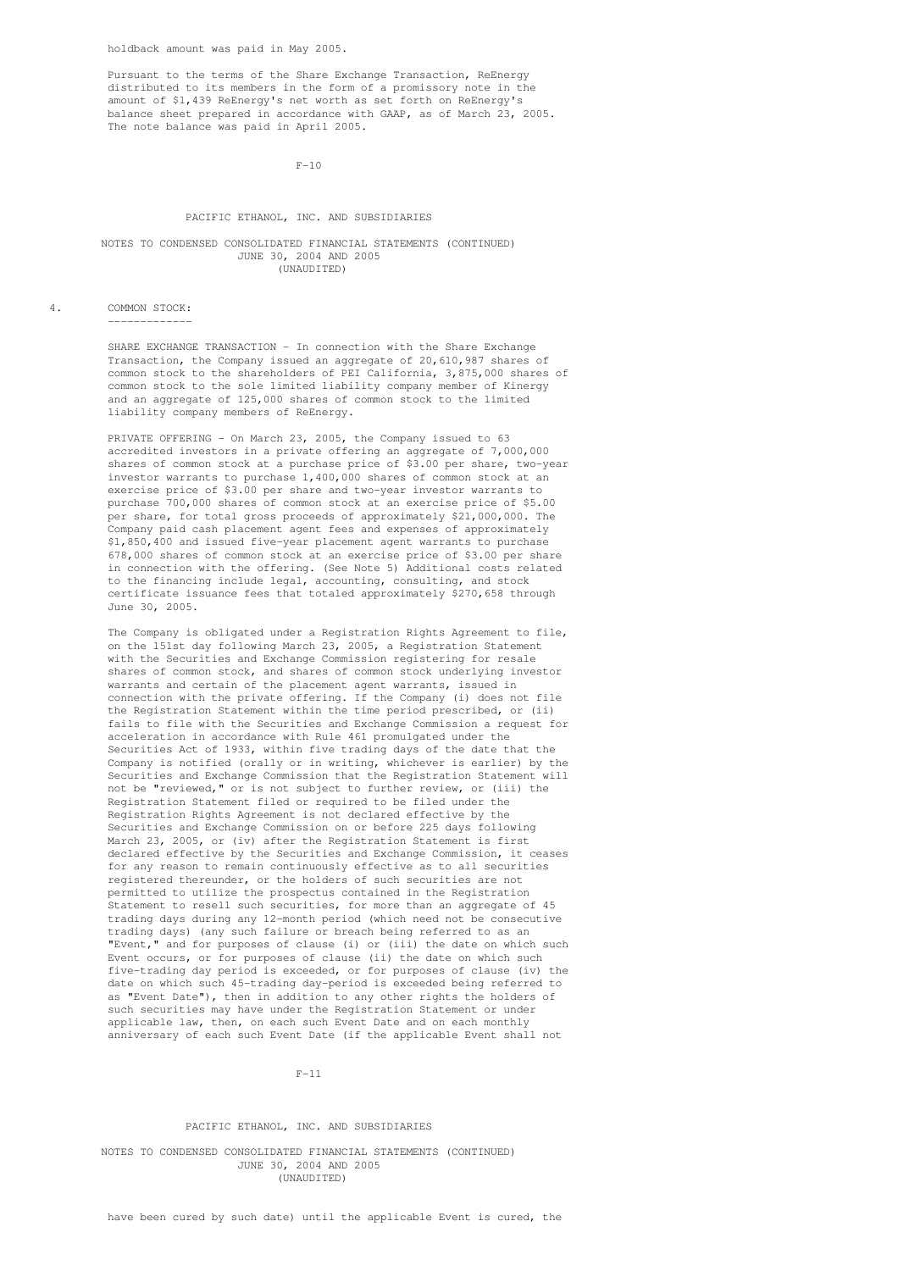Pursuant to the terms of the Share Exchange Transaction, ReEnergy distributed to its members in the form of a promissory note in the amount of \$1,439 ReEnergy's net worth as set forth on ReEnergy's balance sheet prepared in accordance with GAAP, as of March 23, 2005. The note balance was paid in April 2005.

 $F-10$ 

### PACIFIC ETHANOL, INC. AND SUBSIDIARIES

#### NOTES TO CONDENSED CONSOLIDATED FINANCIAL STATEMENTS (CONTINUED) JUNE 30, 2004 AND 2005 (UNAUDITED)

4. COMMON STOCK:

-------------

SHARE EXCHANGE TRANSACTION - In connection with the Share Exchange Transaction, the Company issued an aggregate of 20,610,987 shares of common stock to the shareholders of PEI California, 3,875,000 shares of common stock to the sole limited liability company member of Kinergy and an aggregate of 125,000 shares of common stock to the limited liability company members of ReEnergy.

PRIVATE OFFERING - On March 23, 2005, the Company issued to 63 accredited investors in a private offering an aggregate of 7,000,000 shares of common stock at a purchase price of \$3.00 per share, two-year investor warrants to purchase 1,400,000 shares of common stock at an exercise price of \$3.00 per share and two-year investor warrants to purchase 700,000 shares of common stock at an exercise price of \$5.00 per share, for total gross proceeds of approximately \$21,000,000. The Company paid cash placement agent fees and expenses of approximately \$1,850,400 and issued five-year placement agent warrants to purchase 678,000 shares of common stock at an exercise price of \$3.00 per share in connection with the offering. (See Note 5) Additional costs related to the financing include legal, accounting, consulting, and stock certificate issuance fees that totaled approximately \$270,658 through June 30, 2005.

The Company is obligated under a Registration Rights Agreement to file, on the 151st day following March 23, 2005, a Registration Statement with the Securities and Exchange Commission registering for resale shares of common stock, and shares of common stock underlying investor warrants and certain of the placement agent warrants, issued in connection with the private offering. If the Company (i) does not file the Registration Statement within the time period prescribed, or (ii) fails to file with the Securities and Exchange Commission a request for acceleration in accordance with Rule 461 promulgated under the Securities Act of 1933, within five trading days of the date that the Company is notified (orally or in writing, whichever is earlier) by the Securities and Exchange Commission that the Registration Statement will not be "reviewed," or is not subject to further review, or (iii) the Registration Statement filed or required to be filed under the Registration Rights Agreement is not declared effective by the Securities and Exchange Commission on or before 225 days following March 23, 2005, or (iv) after the Registration Statement is first declared effective by the Securities and Exchange Commission, it ceases for any reason to remain continuously effective as to all securities registered thereunder, or the holders of such securities are not permitted to utilize the prospectus contained in the Registration Statement to resell such securities, for more than an aggregate of 45 trading days during any 12-month period (which need not be consecutive trading days) (any such failure or breach being referred to as an "Event," and for purposes of clause (i) or (iii) the date on which such Event occurs, or for purposes of clause (ii) the date on which such five-trading day period is exceeded, or for purposes of clause (iv) the date on which such 45-trading day-period is exceeded being referred to as "Event Date"), then in addition to any other rights the holders of such securities may have under the Registration Statement or under applicable law, then, on each such Event Date and on each monthly anniversary of each such Event Date (if the applicable Event shall not

#### $F-11$

#### PACIFIC ETHANOL, INC. AND SUBSIDIARIES

NOTES TO CONDENSED CONSOLIDATED FINANCIAL STATEMENTS (CONTINUED) JUNE 30, 2004 AND 2005 (UNAUDITED)

have been cured by such date) until the applicable Event is cured, the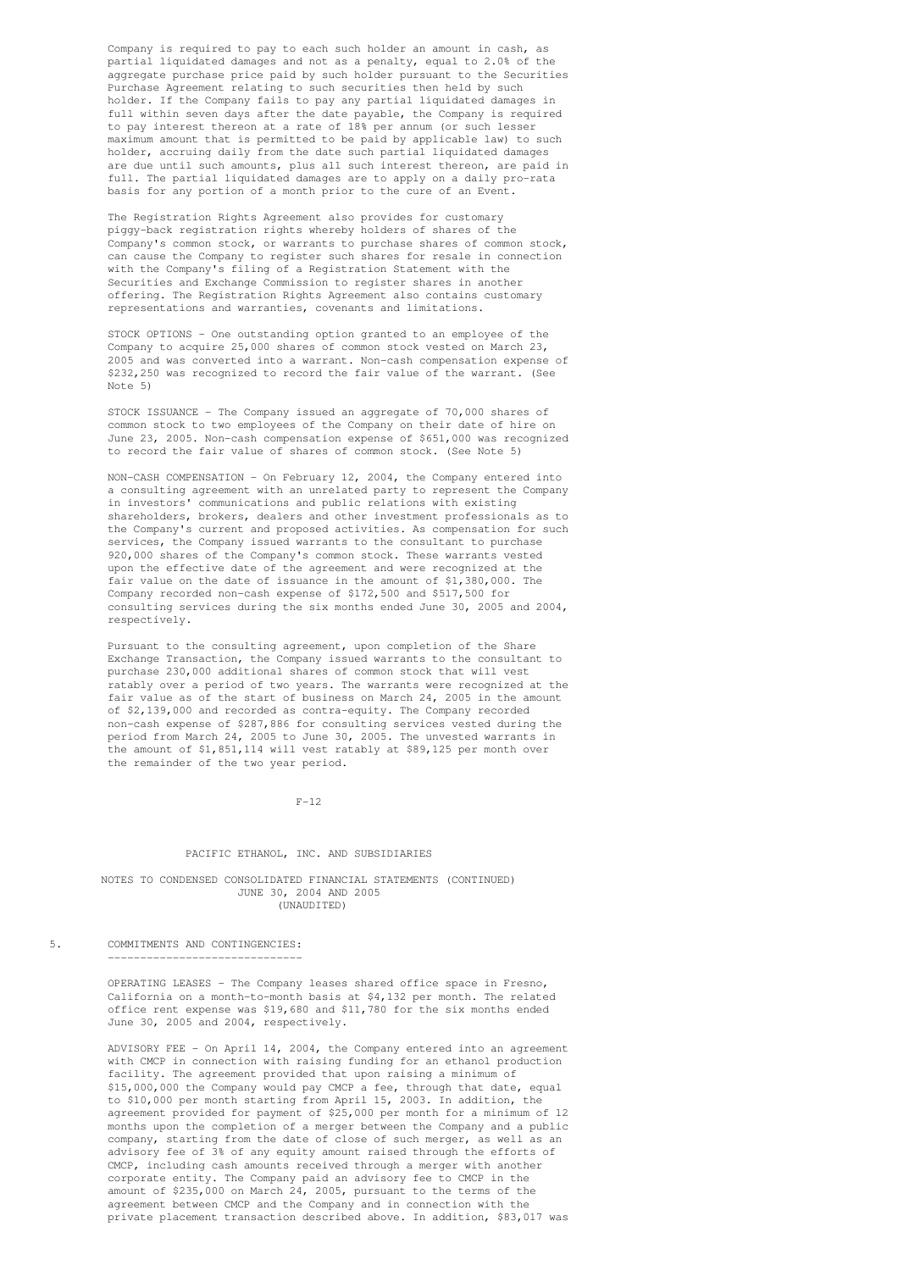Company is required to pay to each such holder an amount in cash, as partial liquidated damages and not as a penalty, equal to 2.0% of the aggregate purchase price paid by such holder pursuant to the Securities Purchase Agreement relating to such securities then held by such holder. If the Company fails to pay any partial liquidated damages in full within seven days after the date payable, the Company is required to pay interest thereon at a rate of 18% per annum (or such lesser maximum amount that is permitted to be paid by applicable law) to such holder, accruing daily from the date such partial liquidated damages are due until such amounts, plus all such interest thereon, are paid in full. The partial liquidated damages are to apply on a daily pro-rata basis for any portion of a month prior to the cure of an Event.

The Registration Rights Agreement also provides for customary piggy-back registration rights whereby holders of shares of the Company's common stock, or warrants to purchase shares of common stock, can cause the Company to register such shares for resale in connection with the Company's filing of a Registration Statement with the Securities and Exchange Commission to register shares in another offering. The Registration Rights Agreement also contains customary representations and warranties, covenants and limitations.

STOCK OPTIONS - One outstanding option granted to an employee of the Company to acquire 25,000 shares of common stock vested on March 23, 2005 and was converted into a warrant. Non-cash compensation expense of \$232,250 was recognized to record the fair value of the warrant. (See Note 5)

STOCK ISSUANCE - The Company issued an aggregate of 70,000 shares of common stock to two employees of the Company on their date of hire on June 23, 2005. Non-cash compensation expense of \$651,000 was recognized to record the fair value of shares of common stock. (See Note 5)

NON-CASH COMPENSATION - On February 12, 2004, the Company entered into a consulting agreement with an unrelated party to represent the Company in investors' communications and public relations with existing shareholders, brokers, dealers and other investment professionals as to the Company's current and proposed activities. As compensation for such services, the Company issued warrants to the consultant to purchase 920,000 shares of the Company's common stock. These warrants vested upon the effective date of the agreement and were recognized at the fair value on the date of issuance in the amount of \$1,380,000. The Company recorded non-cash expense of \$172,500 and \$517,500 for consulting services during the six months ended June 30, 2005 and 2004, respectively.

Pursuant to the consulting agreement, upon completion of the Share Exchange Transaction, the Company issued warrants to the consultant to purchase 230,000 additional shares of common stock that will vest ratably over a period of two years. The warrants were recognized at the fair value as of the start of business on March 24, 2005 in the amount of \$2,139,000 and recorded as contra-equity. The Company recorded non-cash expense of \$287,886 for consulting services vested during the period from March 24, 2005 to June 30, 2005. The unvested warrants in the amount of \$1,851,114 will vest ratably at \$89,125 per month over the remainder of the two year period.

### $F-12$

### PACIFIC ETHANOL, INC. AND SUBSIDIARIES

#### NOTES TO CONDENSED CONSOLIDATED FINANCIAL STATEMENTS (CONTINUED) JUNE 30, 2004 AND 2005 (UNAUDITED)

5. COMMITMENTS AND CONTINGENCIES: ------------------------------

> OPERATING LEASES - The Company leases shared office space in Fresno, California on a month-to-month basis at \$4,132 per month. The related office rent expense was \$19,680 and \$11,780 for the six months ended June 30, 2005 and 2004, respectively.

ADVISORY FEE - On April 14, 2004, the Company entered into an agreement with CMCP in connection with raising funding for an ethanol production facility. The agreement provided that upon raising a minimum of \$15,000,000 the Company would pay CMCP a fee, through that date, equal to \$10,000 per month starting from April 15, 2003. In addition, the agreement provided for payment of \$25,000 per month for a minimum of 12 months upon the completion of a merger between the Company and a public company, starting from the date of close of such merger, as well as an advisory fee of 3% of any equity amount raised through the efforts of CMCP, including cash amounts received through a merger with another corporate entity. The Company paid an advisory fee to CMCP in the amount of \$235,000 on March 24, 2005, pursuant to the terms of the agreement between CMCP and the Company and in connection with the private placement transaction described above. In addition, \$83,017 was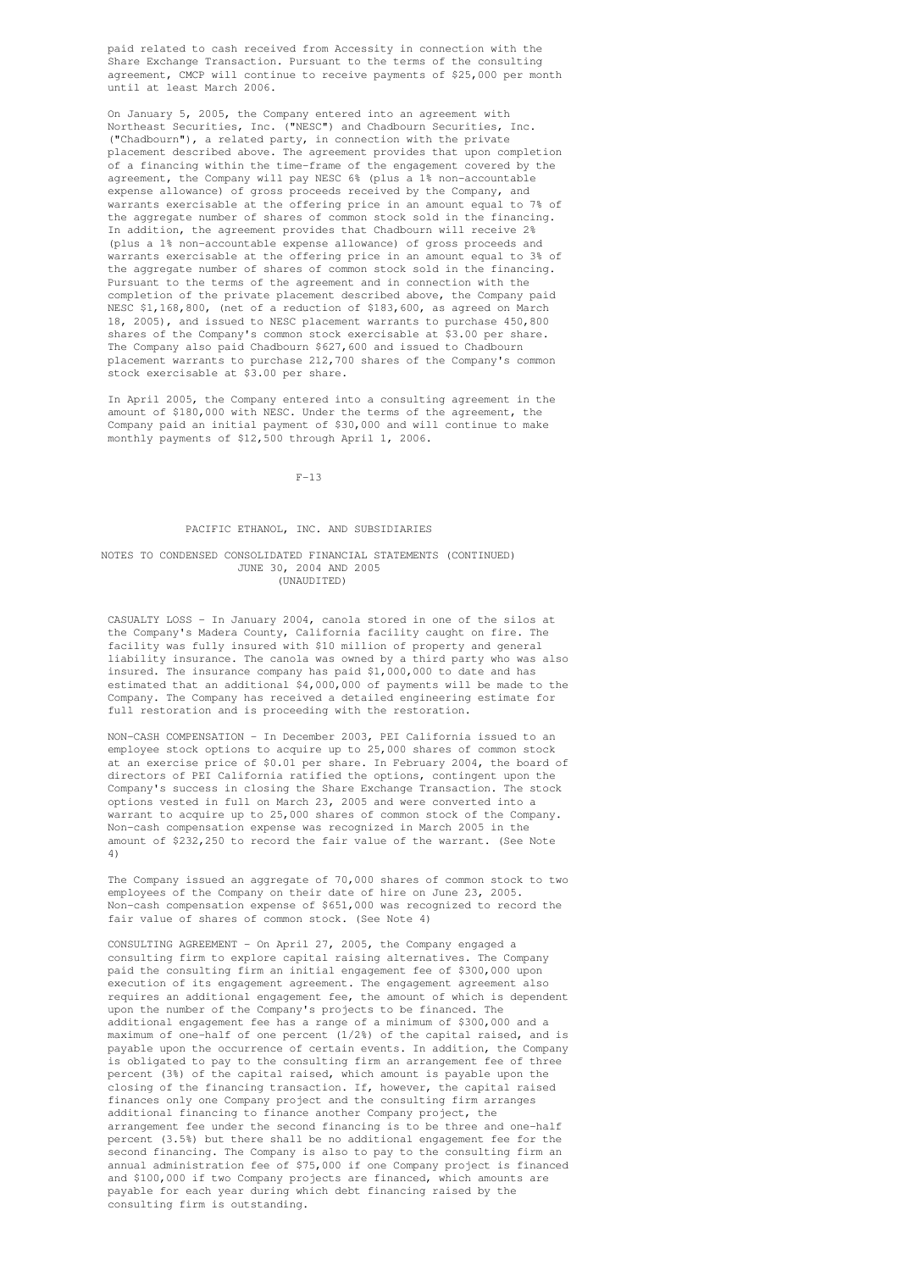paid related to cash received from Accessity in connection with the Share Exchange Transaction. Pursuant to the terms of the consulting agreement, CMCP will continue to receive payments of \$25,000 per month until at least March 2006.

On January 5, 2005, the Company entered into an agreement with Northeast Securities, Inc. ("NESC") and Chadbourn Securities, Inc. ("Chadbourn"), a related party, in connection with the private placement described above. The agreement provides that upon completion of a financing within the time-frame of the engagement covered by the agreement, the Company will pay NESC 6% (plus a 1% non-accountable expense allowance) of gross proceeds received by the Company, and warrants exercisable at the offering price in an amount equal to 7% of the aggregate number of shares of common stock sold in the financing. In addition, the agreement provides that Chadbourn will receive 2% (plus a 1% non-accountable expense allowance) of gross proceeds and warrants exercisable at the offering price in an amount equal to 3% of the aggregate number of shares of common stock sold in the financing. Pursuant to the terms of the agreement and in connection with the completion of the private placement described above, the Company paid NESC \$1,168,800, (net of a reduction of \$183,600, as agreed on March 18, 2005), and issued to NESC placement warrants to purchase 450,800 shares of the Company's common stock exercisable at \$3.00 per share. The Company also paid Chadbourn \$627,600 and issued to Chadbourn placement warrants to purchase 212,700 shares of the Company's common stock exercisable at \$3.00 per share.

In April 2005, the Company entered into a consulting agreement in the amount of \$180,000 with NESC. Under the terms of the agreement, the Company paid an initial payment of \$30,000 and will continue to make monthly payments of \$12,500 through April 1, 2006.

 $F-13$ 

### PACIFIC ETHANOL, INC. AND SUBSIDIARIES

### NOTES TO CONDENSED CONSOLIDATED FINANCIAL STATEMENTS (CONTINUED) JUNE 30, 2004 AND 2005 (UNAUDITED)

CASUALTY LOSS - In January 2004, canola stored in one of the silos at the Company's Madera County, California facility caught on fire. The facility was fully insured with \$10 million of property and general liability insurance. The canola was owned by a third party who was also insured. The insurance company has paid \$1,000,000 to date and has estimated that an additional \$4,000,000 of payments will be made to the Company. The Company has received a detailed engineering estimate for full restoration and is proceeding with the restoration.

NON-CASH COMPENSATION - In December 2003, PEI California issued to an employee stock options to acquire up to 25,000 shares of common stock at an exercise price of \$0.01 per share. In February 2004, the board of directors of PEI California ratified the options, contingent upon the Company's success in closing the Share Exchange Transaction. The stock options vested in full on March 23, 2005 and were converted into a warrant to acquire up to 25,000 shares of common stock of the Company. Non-cash compensation expense was recognized in March 2005 in the amount of \$232,250 to record the fair value of the warrant. (See Note 4)

The Company issued an aggregate of 70,000 shares of common stock to two employees of the Company on their date of hire on June 23, 2005. Non-cash compensation expense of \$651,000 was recognized to record the fair value of shares of common stock. (See Note 4)

CONSULTING AGREEMENT - On April 27, 2005, the Company engaged a consulting firm to explore capital raising alternatives. The Company paid the consulting firm an initial engagement fee of \$300,000 upon execution of its engagement agreement. The engagement agreement also requires an additional engagement fee, the amount of which is dependent upon the number of the Company's projects to be financed. The additional engagement fee has a range of a minimum of \$300,000 and a maximum of one-half of one percent (1/2%) of the capital raised, and is payable upon the occurrence of certain events. In addition, the Company is obligated to pay to the consulting firm an arrangement fee of three percent (3%) of the capital raised, which amount is payable upon the closing of the financing transaction. If, however, the capital raised finances only one Company project and the consulting firm arranges additional financing to finance another Company project, the arrangement fee under the second financing is to be three and one-half percent (3.5%) but there shall be no additional engagement fee for the second financing. The Company is also to pay to the consulting firm an annual administration fee of \$75,000 if one Company project is financed and \$100,000 if two Company projects are financed, which amounts are payable for each year during which debt financing raised by the consulting firm is outstanding.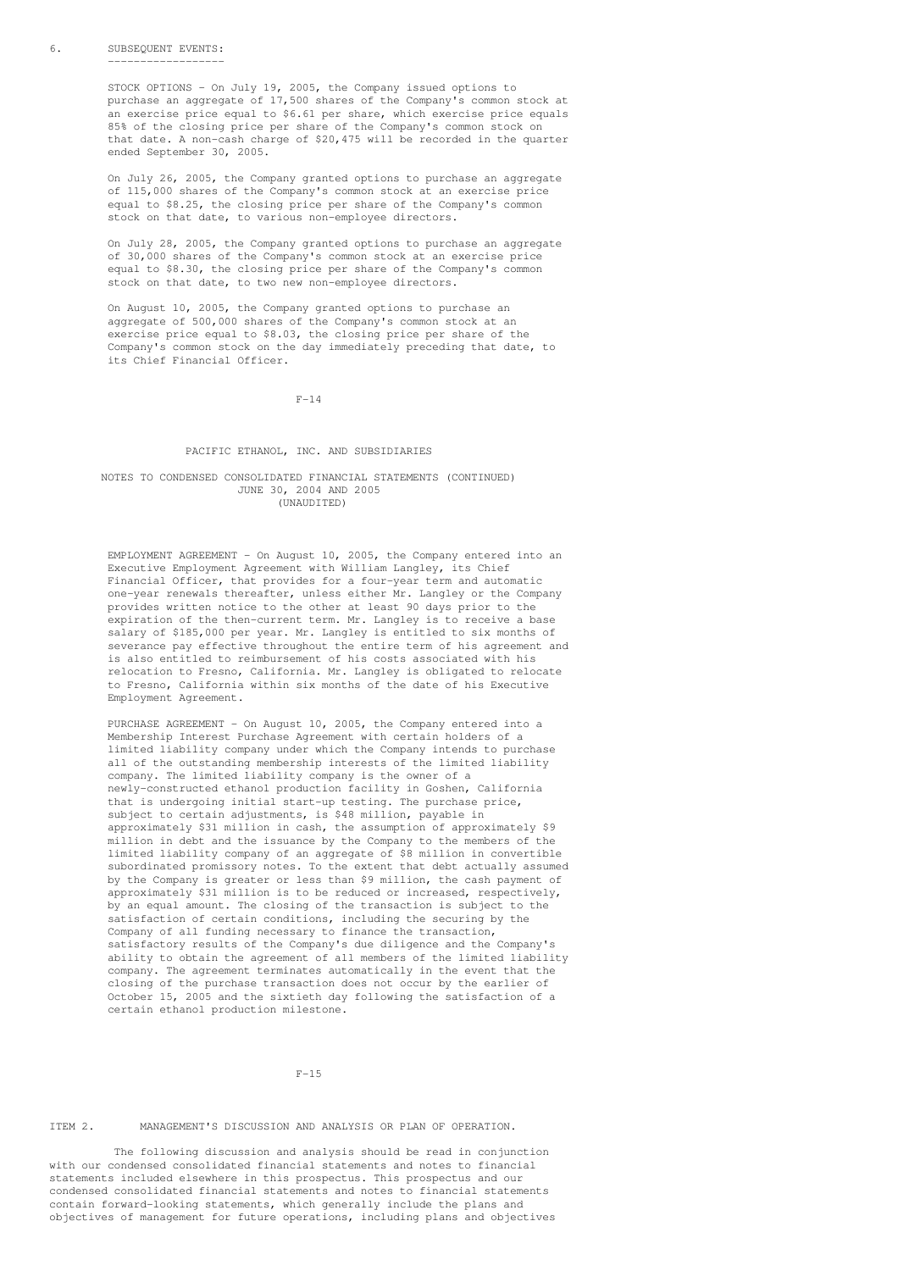#### 6. SUBSEQUENT EVENTS: ------------------

STOCK OPTIONS - On July 19, 2005, the Company issued options to purchase an aggregate of 17,500 shares of the Company's common stock at .<br>an exercise price equal to \$6.61 per share, which exercise price equals 85% of the closing price per share of the Company's common stock on that date. A non-cash charge of \$20,475 will be recorded in the quarter ended September 30, 2005.

On July 26, 2005, the Company granted options to purchase an aggregate of 115,000 shares of the Company's common stock at an exercise price equal to \$8.25, the closing price per share of the Company's common stock on that date, to various non-employee directors.

On July 28, 2005, the Company granted options to purchase an aggregate of 30,000 shares of the Company's common stock at an exercise price equal to \$8.30, the closing price per share of the Company's common stock on that date, to two new non-employee directors.

On August 10, 2005, the Company granted options to purchase an aggregate of 500,000 shares of the Company's common stock at an exercise price equal to \$8.03, the closing price per share of the Company's common stock on the day immediately preceding that date, to its Chief Financial Officer.

F-14

### PACIFIC ETHANOL, INC. AND SUBSIDIARIES

#### NOTES TO CONDENSED CONSOLIDATED FINANCIAL STATEMENTS (CONTINUED) JUNE 30, 2004 AND 2005  $(INALIDTTTRD)$

EMPLOYMENT AGREEMENT - On August 10, 2005, the Company entered into an Executive Employment Agreement with William Langley, its Chief Financial Officer, that provides for a four-year term and automatic one-year renewals thereafter, unless either Mr. Langley or the Company provides written notice to the other at least 90 days prior to the expiration of the then-current term. Mr. Langley is to receive a base salary of \$185,000 per year. Mr. Langley is entitled to six months of severance pay effective throughout the entire term of his agreement and is also entitled to reimbursement of his costs associated with his relocation to Fresno, California. Mr. Langley is obligated to relocate to Fresno, California within six months of the date of his Executive Employment Agreement.

PURCHASE AGREEMENT - On August 10, 2005, the Company entered into a Membership Interest Purchase Agreement with certain holders of a limited liability company under which the Company intends to purchase all of the outstanding membership interests of the limited liability company. The limited liability company is the owner of a newly-constructed ethanol production facility in Goshen, California that is undergoing initial start-up testing. The purchase price, subject to certain adjustments, is \$48 million, payable in approximately \$31 million in cash, the assumption of approximately \$9 million in debt and the issuance by the Company to the members of the limited liability company of an aggregate of \$8 million in convertible subordinated promissory notes. To the extent that debt actually assumed by the Company is greater or less than \$9 million, the cash payment of approximately \$31 million is to be reduced or increased, respectively, by an equal amount. The closing of the transaction is subject to the satisfaction of certain conditions, including the securing by the Company of all funding necessary to finance the transaction, satisfactory results of the Company's due diligence and the Company's ability to obtain the agreement of all members of the limited liability company. The agreement terminates automatically in the event that the closing of the purchase transaction does not occur by the earlier of October 15, 2005 and the sixtieth day following the satisfaction of a certain ethanol production milestone.

 $F-15$ 

### ITEM 2. MANAGEMENT'S DISCUSSION AND ANALYSIS OR PLAN OF OPERATION.

The following discussion and analysis should be read in conjunction with our condensed consolidated financial statements and notes to financial statements included elsewhere in this prospectus. This prospectus and our condensed consolidated financial statements and notes to financial statements contain forward-looking statements, which generally include the plans and objectives of management for future operations, including plans and objectives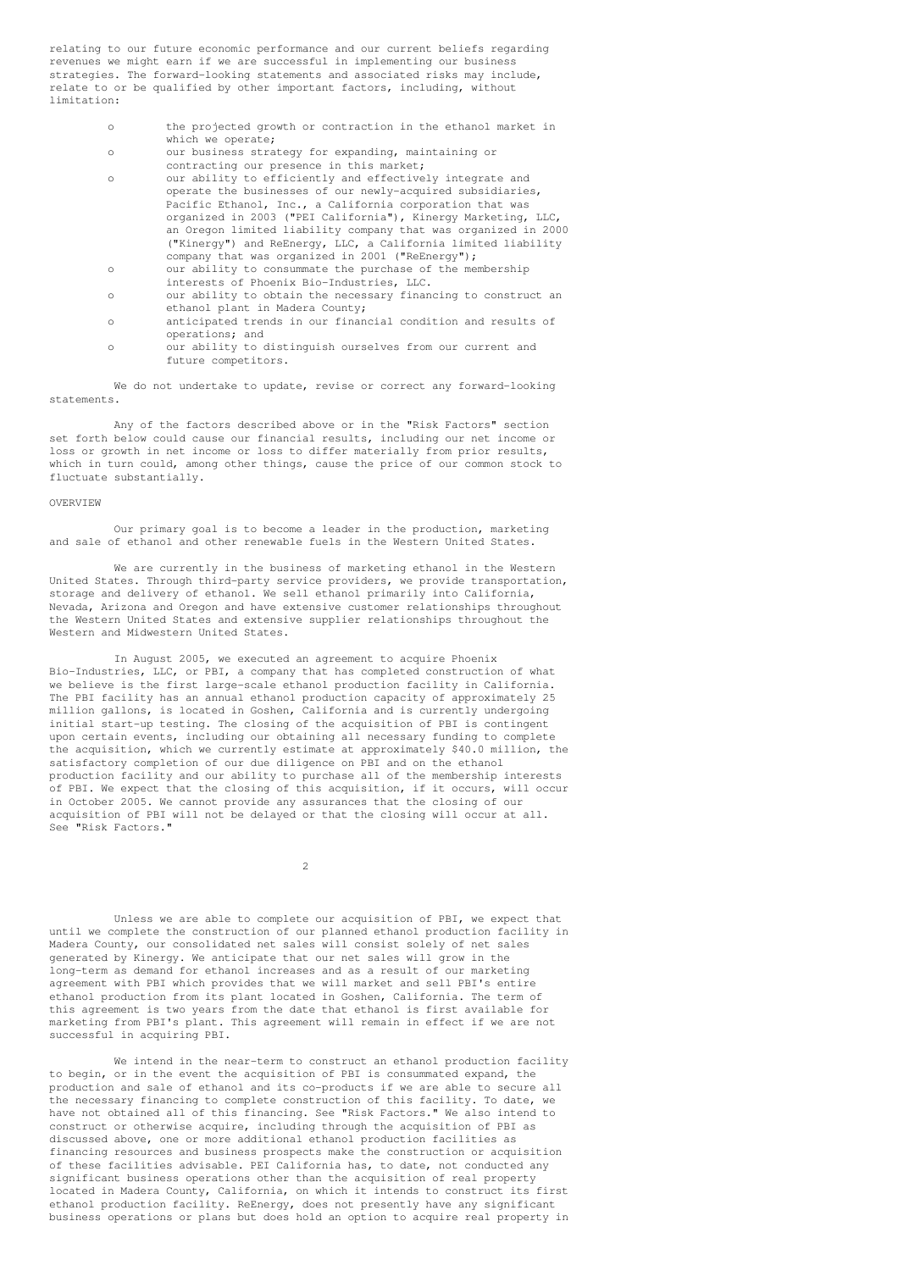relating to our future economic performance and our current beliefs regarding revenues we might earn if we are successful in implementing our business strategies. The forward-looking statements and associated risks may include, relate to or be qualified by other important factors, including, without limitation:

- o the projected growth or contraction in the ethanol market in which we operate:
- o our business strategy for expanding, maintaining or contracting our presence in this market;
- o our ability to efficiently and effectively integrate and operate the businesses of our newly-acquired subsidiaries, Pacific Ethanol, Inc., a California corporation that was organized in 2003 ("PEI California"), Kinergy Marketing, LLC, an Oregon limited liability company that was organized in 2000 ("Kinergy") and ReEnergy, LLC, a California limited liability company that was organized in 2001 ("ReEnergy");
- o our ability to consummate the purchase of the membership interests of Phoenix Bio-Industries, LLC.
- o our ability to obtain the necessary financing to construct an ethanol plant in Madera County;
- o anticipated trends in our financial condition and results of operations; and
- o our ability to distinguish ourselves from our current and future competitors.

We do not undertake to update, revise or correct any forward-looking statements.

Any of the factors described above or in the "Risk Factors" section set forth below could cause our financial results, including our net income or loss or growth in net income or loss to differ materially from prior results, which in turn could, among other things, cause the price of our common stock to fluctuate substantially.

### OVERVIEW

Our primary goal is to become a leader in the production, marketing and sale of ethanol and other renewable fuels in the Western United States.

We are currently in the business of marketing ethanol in the Western United States. Through third-party service providers, we provide transportation, storage and delivery of ethanol. We sell ethanol primarily into California, Nevada, Arizona and Oregon and have extensive customer relationships throughout the Western United States and extensive supplier relationships throughout the Western and Midwestern United States.

In August 2005, we executed an agreement to acquire Phoenix Bio-Industries, LLC, or PBI, a company that has completed construction of what we believe is the first large-scale ethanol production facility in California. The PBI facility has an annual ethanol production capacity of approximately 25 million gallons, is located in Goshen, California and is currently undergoing initial start-up testing. The closing of the acquisition of PBI is contingent upon certain events, including our obtaining all necessary funding to complete the acquisition, which we currently estimate at approximately \$40.0 million, the satisfactory completion of our due diligence on PBI and on the ethanol production facility and our ability to purchase all of the membership interests of PBI. We expect that the closing of this acquisition, if it occurs, will occur in October 2005. We cannot provide any assurances that the closing of our acquisition of PBI will not be delayed or that the closing will occur at all. See "Risk Factors."

 $\overline{2}$ 

Unless we are able to complete our acquisition of PBI, we expect that until we complete the construction of our planned ethanol production facility in Madera County, our consolidated net sales will consist solely of net sales generated by Kinergy. We anticipate that our net sales will grow in the long-term as demand for ethanol increases and as a result of our marketing agreement with PBI which provides that we will market and sell PBI's entire ethanol production from its plant located in Goshen, California. The term of this agreement is two years from the date that ethanol is first available for marketing from PBI's plant. This agreement will remain in effect if we are not successful in acquiring PBI.

We intend in the near-term to construct an ethanol production facility to begin, or in the event the acquisition of PBI is consummated expand, the production and sale of ethanol and its co-products if we are able to secure all the necessary financing to complete construction of this facility. To date, we have not obtained all of this financing. See "Risk Factors." We also intend to construct or otherwise acquire, including through the acquisition of PBI as discussed above, one or more additional ethanol production facilities as financing resources and business prospects make the construction or acquisition of these facilities advisable. PEI California has, to date, not conducted any significant business operations other than the acquisition of real property located in Madera County, California, on which it intends to construct its first ethanol production facility. ReEnergy, does not presently have any significant business operations or plans but does hold an option to acquire real property in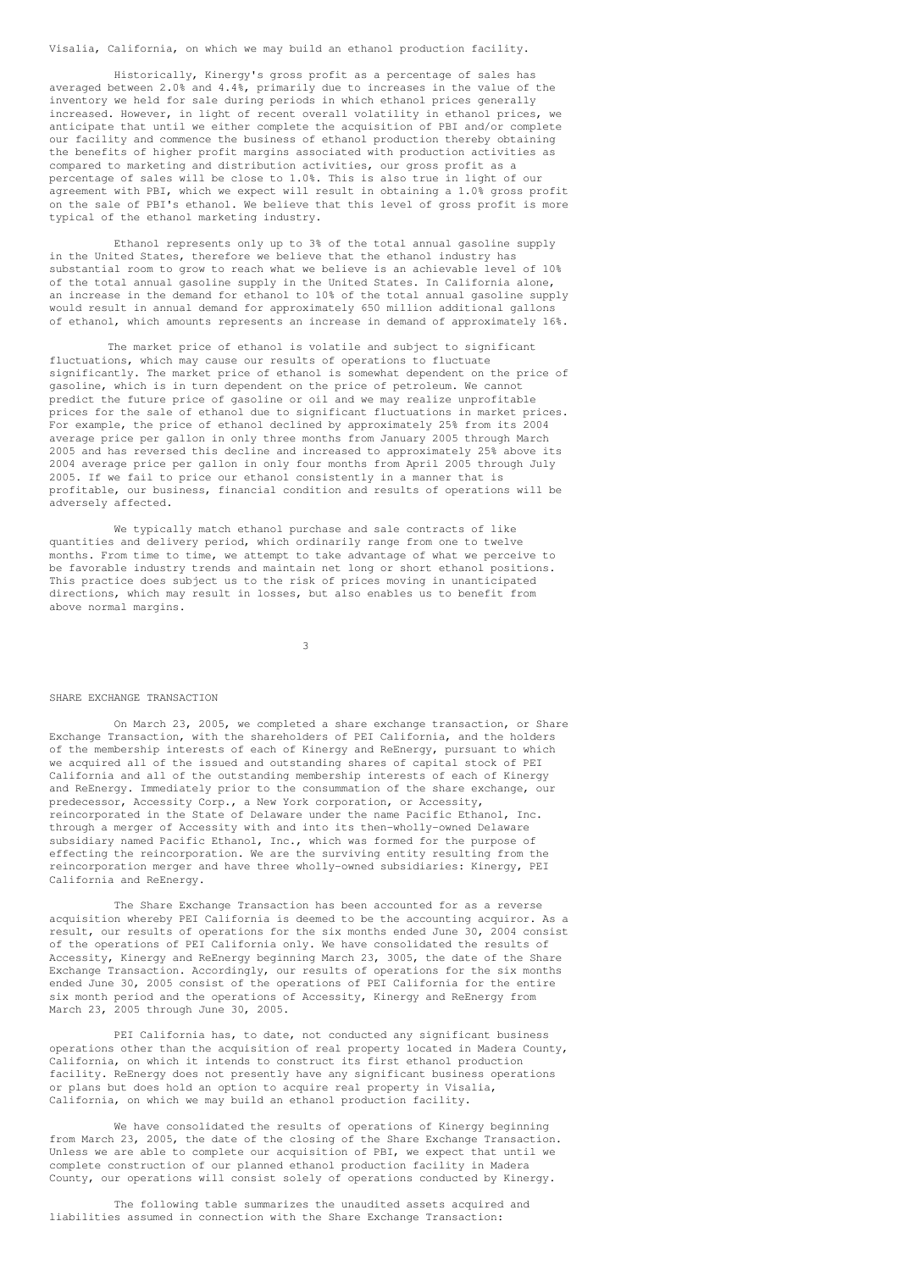### Visalia, California, on which we may build an ethanol production facility.

Historically, Kinergy's gross profit as a percentage of sales has averaged between 2.0% and 4.4%, primarily due to increases in the value of the inventory we held for sale during periods in which ethanol prices generally increased. However, in light of recent overall volatility in ethanol prices, we anticipate that until we either complete the acquisition of PBI and/or complete our facility and commence the business of ethanol production thereby obtaining the benefits of higher profit margins associated with production activities as compared to marketing and distribution activities, our gross profit as a percentage of sales will be close to 1.0%. This is also true in light of our agreement with PBI, which we expect will result in obtaining a 1.0% gross profit on the sale of PBI's ethanol. We believe that this level of gross profit is more typical of the ethanol marketing industry.

Ethanol represents only up to 3% of the total annual gasoline supply in the United States, therefore we believe that the ethanol industry has substantial room to grow to reach what we believe is an achievable level of 10% of the total annual gasoline supply in the United States. In California alone, an increase in the demand for ethanol to 10% of the total annual gasoline supply would result in annual demand for approximately 650 million additional gallons of ethanol, which amounts represents an increase in demand of approximately 16%.

The market price of ethanol is volatile and subject to significant fluctuations, which may cause our results of operations to fluctuate significantly. The market price of ethanol is somewhat dependent on the price of gasoline, which is in turn dependent on the price of petroleum. We cannot predict the future price of gasoline or oil and we may realize unprofitable prices for the sale of ethanol due to significant fluctuations in market prices. For example, the price of ethanol declined by approximately 25% from its 2004 average price per gallon in only three months from January 2005 through March 2005 and has reversed this decline and increased to approximately 25% above its 2004 average price per gallon in only four months from April 2005 through July 2005. If we fail to price our ethanol consistently in a manner that is profitable, our business, financial condition and results of operations will be adversely affected.

We typically match ethanol purchase and sale contracts of like quantities and delivery period, which ordinarily range from one to twelve months. From time to time, we attempt to take advantage of what we perceive to be favorable industry trends and maintain net long or short ethanol positions. This practice does subject us to the risk of prices moving in unanticipated directions, which may result in losses, but also enables us to benefit from above normal margins.

3

#### SHARE EXCHANGE TRANSACTION

On March 23, 2005, we completed a share exchange transaction, or Share Exchange Transaction, with the shareholders of PEI California, and the holders of the membership interests of each of Kinergy and ReEnergy, pursuant to which we acquired all of the issued and outstanding shares of capital stock of PEI California and all of the outstanding membership interests of each of Kinergy and ReEnergy. Immediately prior to the consummation of the share exchange, our predecessor, Accessity Corp., a New York corporation, or Accessity, reincorporated in the State of Delaware under the name Pacific Ethanol, Inc. through a merger of Accessity with and into its then-wholly-owned Delaware subsidiary named Pacific Ethanol, Inc., which was formed for the purpose of effecting the reincorporation. We are the surviving entity resulting from the reincorporation merger and have three wholly-owned subsidiaries: Kinergy, PEI California and ReEnergy.

The Share Exchange Transaction has been accounted for as a reverse acquisition whereby PEI California is deemed to be the accounting acquiror. As a result, our results of operations for the six months ended June 30, 2004 consist of the operations of PEI California only. We have consolidated the results of Accessity, Kinergy and ReEnergy beginning March 23, 3005, the date of the Share Exchange Transaction. Accordingly, our results of operations for the six months ended June 30, 2005 consist of the operations of PEI California for the entire six month period and the operations of Accessity, Kinergy and ReEnergy from March 23, 2005 through June 30, 2005.

PEI California has, to date, not conducted any significant business operations other than the acquisition of real property located in Madera County, California, on which it intends to construct its first ethanol production facility. ReEnergy does not presently have any significant business operations or plans but does hold an option to acquire real property in Visalia, California, on which we may build an ethanol production facility.

We have consolidated the results of operations of Kinergy beginning from March 23, 2005, the date of the closing of the Share Exchange Transaction. Unless we are able to complete our acquisition of PBI, we expect that until we complete construction of our planned ethanol production facility in Madera County, our operations will consist solely of operations conducted by Kinergy.

The following table summarizes the unaudited assets acquired and liabilities assumed in connection with the Share Exchange Transaction: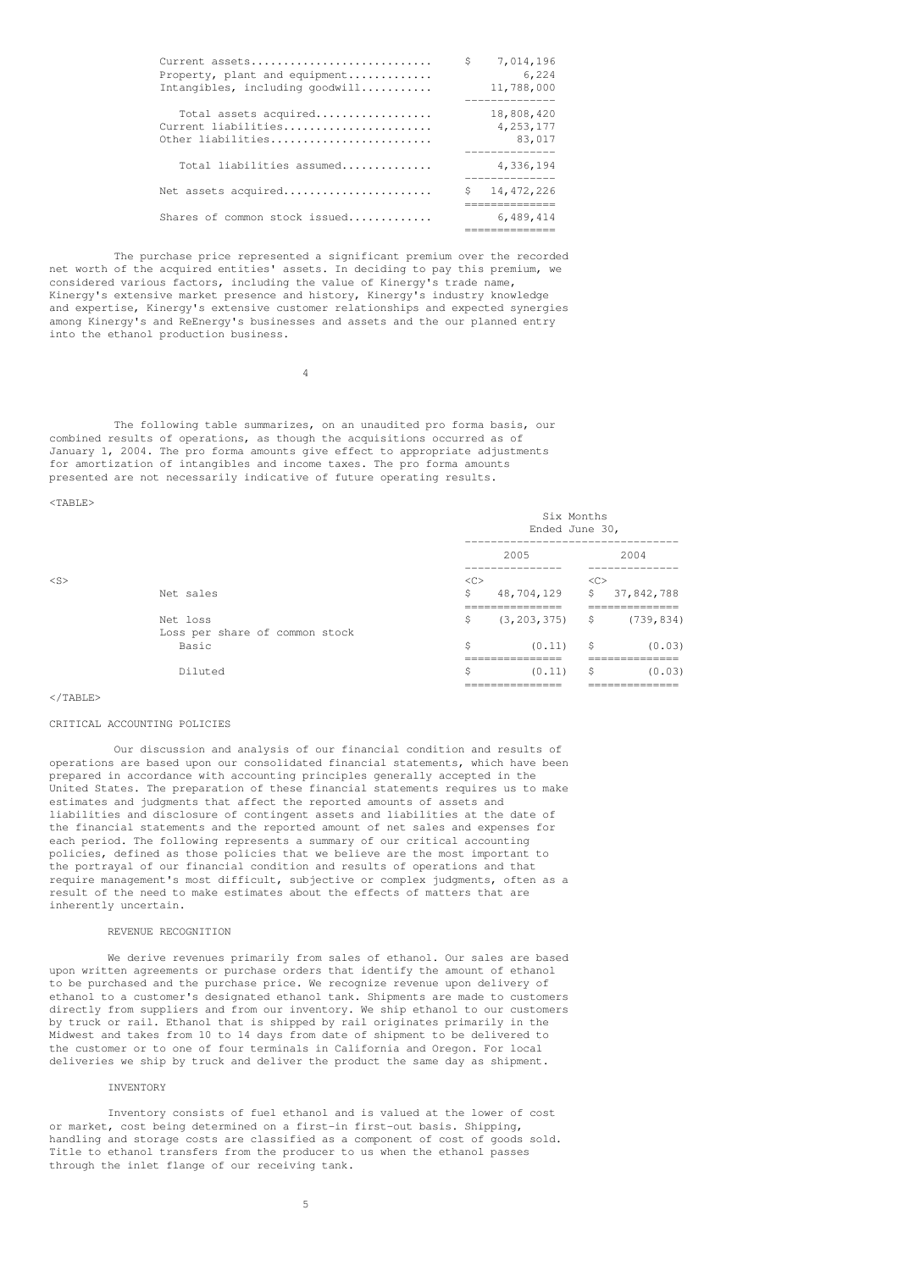| Current assets<br>Property, plant and equipment<br>Intangibles, including goodwill | S  | 7,014,196<br>6,224<br>11,788,000                    |
|------------------------------------------------------------------------------------|----|-----------------------------------------------------|
| Total assets acquired<br>Current liabilities<br>Other liabilities                  |    | 18,808,420<br>4, 253, 177<br>83,017<br>------------ |
| Total liabilities assumed                                                          |    | 4,336,194                                           |
| Net assets acquired                                                                | Ŝ. | 14, 472, 226<br>-------------                       |
| Shares of common stock issued                                                      |    | 6,489,414                                           |

The purchase price represented a significant premium over the recorded net worth of the acquired entities' assets. In deciding to pay this premium, we considered various factors, including the value of Kinergy's trade name, Kinergy's extensive market presence and history, Kinergy's industry knowledge and expertise, Kinergy's extensive customer relationships and expected synergies among Kinergy's and ReEnergy's businesses and assets and the our planned entry into the ethanol production business.

4

The following table summarizes, on an unaudited pro forma basis, our combined results of operations, as though the acquisitions occurred as of January 1, 2004. The pro forma amounts give effect to appropriate adjustments for amortization of intangibles and income taxes. The pro forma amounts presented are not necessarily indicative of future operating results.

<TABLE>

|        |                                | Six Months<br>Ended June 30,<br>-------------------------------- |                                                          |     |                                              |
|--------|--------------------------------|------------------------------------------------------------------|----------------------------------------------------------|-----|----------------------------------------------|
|        |                                |                                                                  | 2005                                                     |     | 2004                                         |
| $<$ S> |                                | $<$ C>                                                           | -------------                                            | <<  | ___________                                  |
|        | Net sales                      | S                                                                | 48,704,129                                               | \$  | 37,842,788                                   |
|        | Net loss                       | \$.                                                              | _______________<br>===============<br>$(3, 203, 375)$ \$ |     | ______________<br>____________<br>(739, 834) |
|        | Loss per share of common stock |                                                                  |                                                          |     |                                              |
|        | Basic                          | \$                                                               | (0.11)                                                   | \$  | (0.03)                                       |
|        |                                |                                                                  | ________________<br>_______________                      |     | ______________<br>_____________              |
|        | Diluted                        | \$                                                               | (0.11)                                                   | \$. | (0.03)                                       |
|        |                                |                                                                  | ________________<br>_______________                      |     | ______________<br>_____________              |

</TABLE>

### CRITICAL ACCOUNTING POLICIES

Our discussion and analysis of our financial condition and results of operations are based upon our consolidated financial statements, which have been prepared in accordance with accounting principles generally accepted in the United States. The preparation of these financial statements requires us to make estimates and judgments that affect the reported amounts of assets and liabilities and disclosure of contingent assets and liabilities at the date of the financial statements and the reported amount of net sales and expenses for each period. The following represents a summary of our critical accounting policies, defined as those policies that we believe are the most important to the portrayal of our financial condition and results of operations and that require management's most difficult, subjective or complex judgments, often as a result of the need to make estimates about the effects of matters that are inherently uncertain.

### REVENUE RECOGNITION

We derive revenues primarily from sales of ethanol. Our sales are based upon written agreements or purchase orders that identify the amount of ethanol to be purchased and the purchase price. We recognize revenue upon delivery of ethanol to a customer's designated ethanol tank. Shipments are made to customers directly from suppliers and from our inventory. We ship ethanol to our customers by truck or rail. Ethanol that is shipped by rail originates primarily in the Midwest and takes from 10 to 14 days from date of shipment to be delivered to the customer or to one of four terminals in California and Oregon. For local deliveries we ship by truck and deliver the product the same day as shipment.

#### **INVENTORY**

Inventory consists of fuel ethanol and is valued at the lower of cost or market, cost being determined on a first-in first-out basis. Shipping, handling and storage costs are classified as a component of cost of goods sold. Title to ethanol transfers from the producer to us when the ethanol passes through the inlet flange of our receiving tank.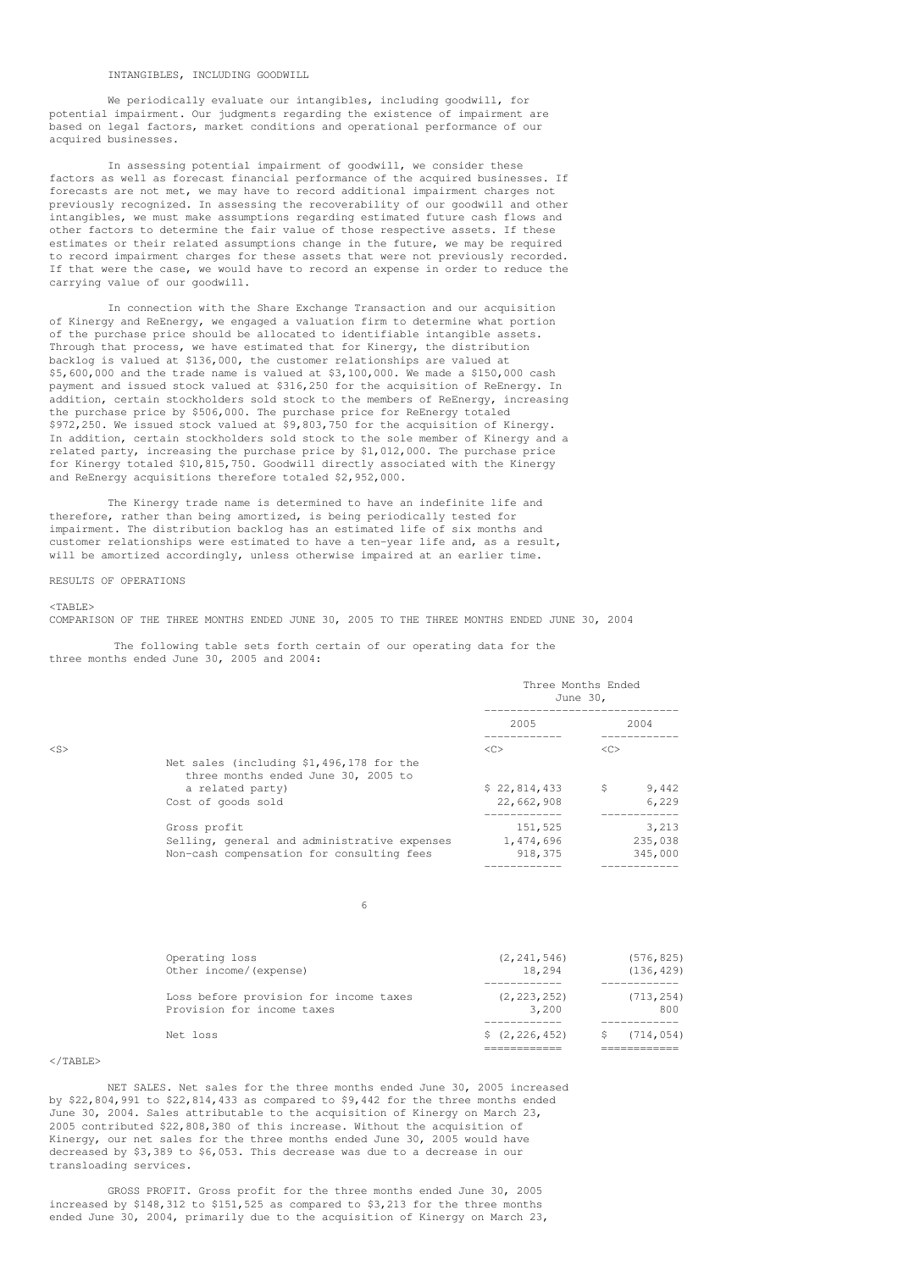### INTANGIBLES, INCLUDING GOODWILL

We periodically evaluate our intangibles, including goodwill, for potential impairment. Our judgments regarding the existence of impairment are based on legal factors, market conditions and operational performance of our acquired businesses.

In assessing potential impairment of goodwill, we consider these factors as well as forecast financial performance of the acquired businesses. If forecasts are not met, we may have to record additional impairment charges not previously recognized. In assessing the recoverability of our goodwill and other intangibles, we must make assumptions regarding estimated future cash flows and other factors to determine the fair value of those respective assets. If these estimates or their related assumptions change in the future, we may be required to record impairment charges for these assets that were not previously recorded. If that were the case, we would have to record an expense in order to reduce the carrying value of our goodwill.

In connection with the Share Exchange Transaction and our acquisition of Kinergy and ReEnergy, we engaged a valuation firm to determine what portion of the purchase price should be allocated to identifiable intangible assets. Through that process, we have estimated that for Kinergy, the distribution backlog is valued at \$136,000, the customer relationships are valued at \$5,600,000 and the trade name is valued at \$3,100,000. We made a \$150,000 cash payment and issued stock valued at \$316,250 for the acquisition of ReEnergy. In addition, certain stockholders sold stock to the members of ReEnergy, increasing the purchase price by \$506,000. The purchase price for ReEnergy totaled \$972,250. We issued stock valued at \$9,803,750 for the acquisition of Kinergy. In addition, certain stockholders sold stock to the sole member of Kinergy and a related party, increasing the purchase price by \$1,012,000. The purchase price for Kinergy totaled \$10,815,750. Goodwill directly associated with the Kinergy and ReEnergy acquisitions therefore totaled \$2,952,000.

The Kinergy trade name is determined to have an indefinite life and therefore, rather than being amortized, is being periodically tested for impairment. The distribution backlog has an estimated life of six months and customer relationships were estimated to have a ten-year life and, as a result, will be amortized accordingly, unless otherwise impaired at an earlier time.

#### RESULTS OF OPERATIONS

#### $<$ TABLE>

COMPARISON OF THE THREE MONTHS ENDED JUNE 30, 2005 TO THE THREE MONTHS ENDED JUNE 30, 2004

The following table sets forth certain of our operating data for the three months ended June 30, 2005 and 2004:

|        |                                                                                 | Three Months Ended<br>June 30, |                     |         |
|--------|---------------------------------------------------------------------------------|--------------------------------|---------------------|---------|
|        |                                                                                 | 2005                           |                     | 2004    |
| $<$ S> |                                                                                 | <<                             | $\langle C \rangle$ |         |
|        | Net sales (including \$1,496,178 for the<br>three months ended June 30, 2005 to |                                |                     |         |
|        | a related party)                                                                | \$22,814,433                   | \$                  | 9,442   |
|        | Cost of goods sold                                                              | 22,662,908                     |                     | 6,229   |
|        | Gross profit                                                                    | 151,525                        |                     | 3,213   |
|        | Selling, general and administrative expenses                                    | 1,474,696                      |                     | 235,038 |
|        | Non-cash compensation for consulting fees                                       | 918,375                        |                     | 345,000 |

6

| Operating loss                         | (2, 241, 546)   | (576, 825) |
|----------------------------------------|-----------------|------------|
| Other income/(expense)                 | 18,294          | (136, 429) |
| Loss before provision for income taxes | (2, 223, 252)   | (713, 254) |
| Provision for income taxes             | 3,200           | 800        |
| Net loss                               | \$(2, 226, 452) | \$714,054) |

### $\langle$ /TABLE>

NET SALES. Net sales for the three months ended June 30, 2005 increased by \$22,804,991 to \$22,814,433 as compared to \$9,442 for the three months ended June 30, 2004. Sales attributable to the acquisition of Kinergy on March 23, 2005 contributed \$22,808,380 of this increase. Without the acquisition of Kinergy, our net sales for the three months ended June 30, 2005 would have decreased by \$3,389 to \$6,053. This decrease was due to a decrease in our transloading services.

GROSS PROFIT. Gross profit for the three months ended June 30, 2005 increased by  $$148,312$  to  $$151,525$  as compared to  $$3,213$  for the three months ended June 30, 2004, primarily due to the acquisition of Kinergy on March 23,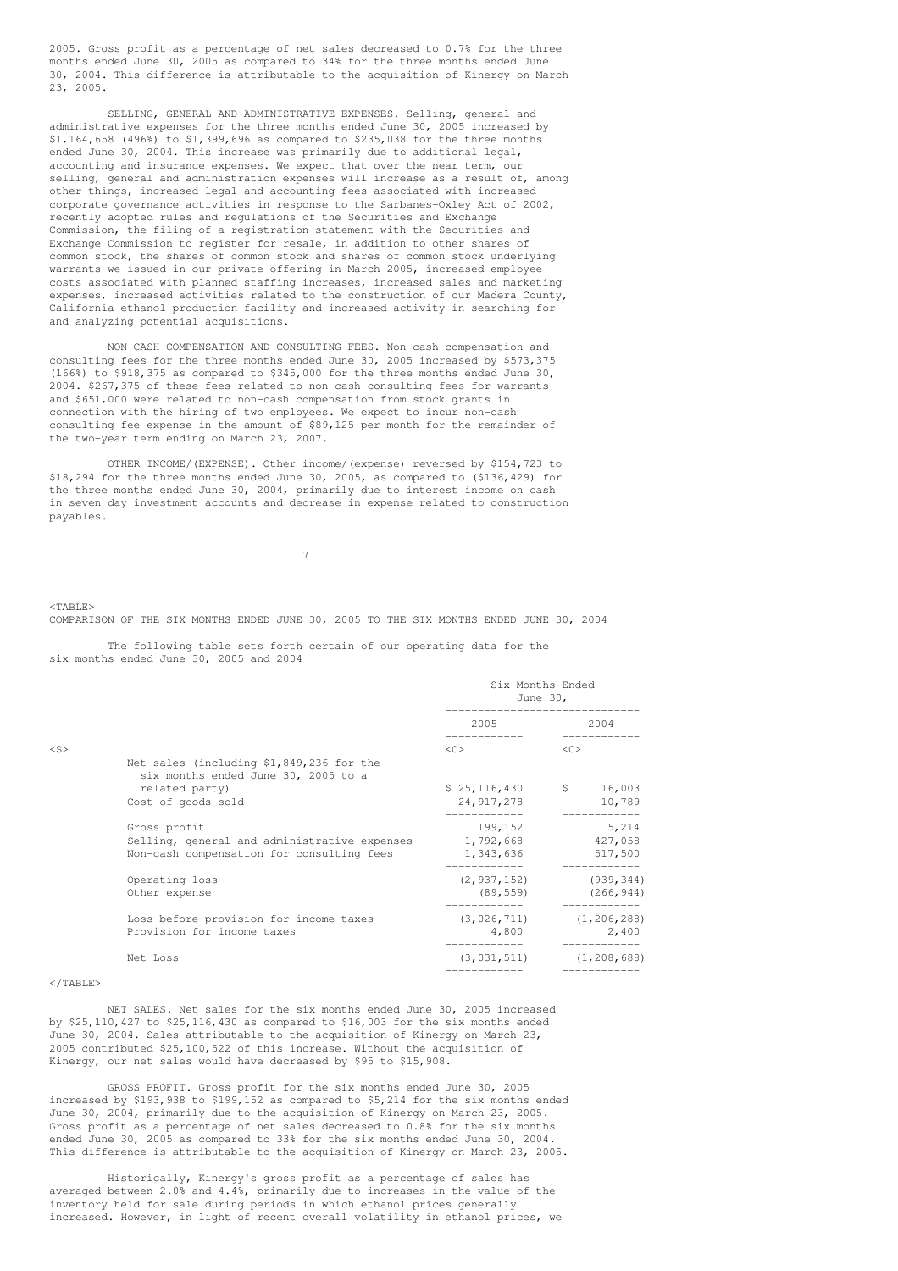2005. Gross profit as a percentage of net sales decreased to 0.7% for the three months ended June 30, 2005 as compared to 34% for the three months ended June 30, 2004. This difference is attributable to the acquisition of Kinergy on March 23, 2005.

SELLING, GENERAL AND ADMINISTRATIVE EXPENSES. Selling, general and administrative expenses for the three months ended June 30, 2005 increased by \$1,164,658 (496%) to \$1,399,696 as compared to \$235,038 for the three months ended June 30, 2004. This increase was primarily due to additional legal, accounting and insurance expenses. We expect that over the near term, our selling, general and administration expenses will increase as a result of, among other things, increased legal and accounting fees associated with increased corporate governance activities in response to the Sarbanes-Oxley Act of 2002, recently adopted rules and regulations of the Securities and Exchange Commission, the filing of a registration statement with the Securities and Exchange Commission to register for resale, in addition to other shares of common stock, the shares of common stock and shares of common stock underlying warrants we issued in our private offering in March 2005, increased employee costs associated with planned staffing increases, increased sales and marketing expenses, increased activities related to the construction of our Madera County, California ethanol production facility and increased activity in searching for and analyzing potential acquisitions.

NON-CASH COMPENSATION AND CONSULTING FEES. Non-cash compensation and consulting fees for the three months ended June 30, 2005 increased by \$573,375 (166%) to \$918,375 as compared to \$345,000 for the three months ended June 30, 2004. \$267,375 of these fees related to non-cash consulting fees for warrants and \$651,000 were related to non-cash compensation from stock grants in connection with the hiring of two employees. We expect to incur non-cash consulting fee expense in the amount of \$89,125 per month for the remainder of the two-year term ending on March 23, 2007.

OTHER INCOME/(EXPENSE). Other income/(expense) reversed by \$154,723 to \$18,294 for the three months ended June 30, 2005, as compared to (\$136,429) for the three months ended June 30, 2004, primarily due to interest income on cash in seven day investment accounts and decrease in expense related to construction payables.

7

 $<$ TABLE>

COMPARISON OF THE SIX MONTHS ENDED JUNE 30, 2005 TO THE SIX MONTHS ENDED JUNE 30, 2004

The following table sets forth certain of our operating data for the six months ended June 30, 2005 and 2004

|        |                                                                                 | Six Months Ended<br>June 30, |                                 |
|--------|---------------------------------------------------------------------------------|------------------------------|---------------------------------|
|        |                                                                                 | 2005 - 100                   | 2004                            |
| $<$ S> |                                                                                 | $\langle C \rangle$          | <<                              |
|        | Net sales (including \$1,849,236 for the<br>six months ended June 30, 2005 to a |                              |                                 |
|        | related party)                                                                  | $$25,116,430$ $$16,003$      |                                 |
|        | Cost of goods sold                                                              | 24,917,278                   | 10,789<br>------------          |
|        | Gross profit                                                                    | 199,152                      | 5,214                           |
|        | Selling, general and administrative expenses 1,792,668 427,058                  |                              |                                 |
|        | Non-cash compensation for consulting fees                                       | 1,343,636                    | 517,500                         |
|        | Operating loss                                                                  |                              | $(2, 937, 152)$ (939, 344)      |
|        | Other expense                                                                   | (89, 559)                    | (266, 944)                      |
|        | Loss before provision for income taxes                                          |                              | $(3, 026, 711)$ $(1, 206, 288)$ |
|        | Provision for income taxes                                                      | 4,800                        | 2,400                           |
|        | Net Loss                                                                        |                              | $(3, 031, 511)$ $(1, 208, 688)$ |
|        |                                                                                 |                              |                                 |

### </TABLE>

NET SALES. Net sales for the six months ended June 30, 2005 increased by \$25,110,427 to \$25,116,430 as compared to \$16,003 for the six months ended June 30, 2004. Sales attributable to the acquisition of Kinergy on March 23, 2005 contributed \$25,100,522 of this increase. Without the acquisition of Kinergy, our net sales would have decreased by \$95 to \$15,908.

GROSS PROFIT. Gross profit for the six months ended June 30, 2005 increased by \$193,938 to \$199,152 as compared to \$5,214 for the six months ended June 30, 2004, primarily due to the acquisition of Kinergy on March 23, 2005. Gross profit as a percentage of net sales decreased to 0.8% for the six months ended June 30, 2005 as compared to 33% for the six months ended June 30, 2004. This difference is attributable to the acquisition of Kinergy on March 23, 2005.

Historically, Kinergy's gross profit as a percentage of sales has averaged between 2.0% and 4.4%, primarily due to increases in the value of the inventory held for sale during periods in which ethanol prices generally increased. However, in light of recent overall volatility in ethanol prices, we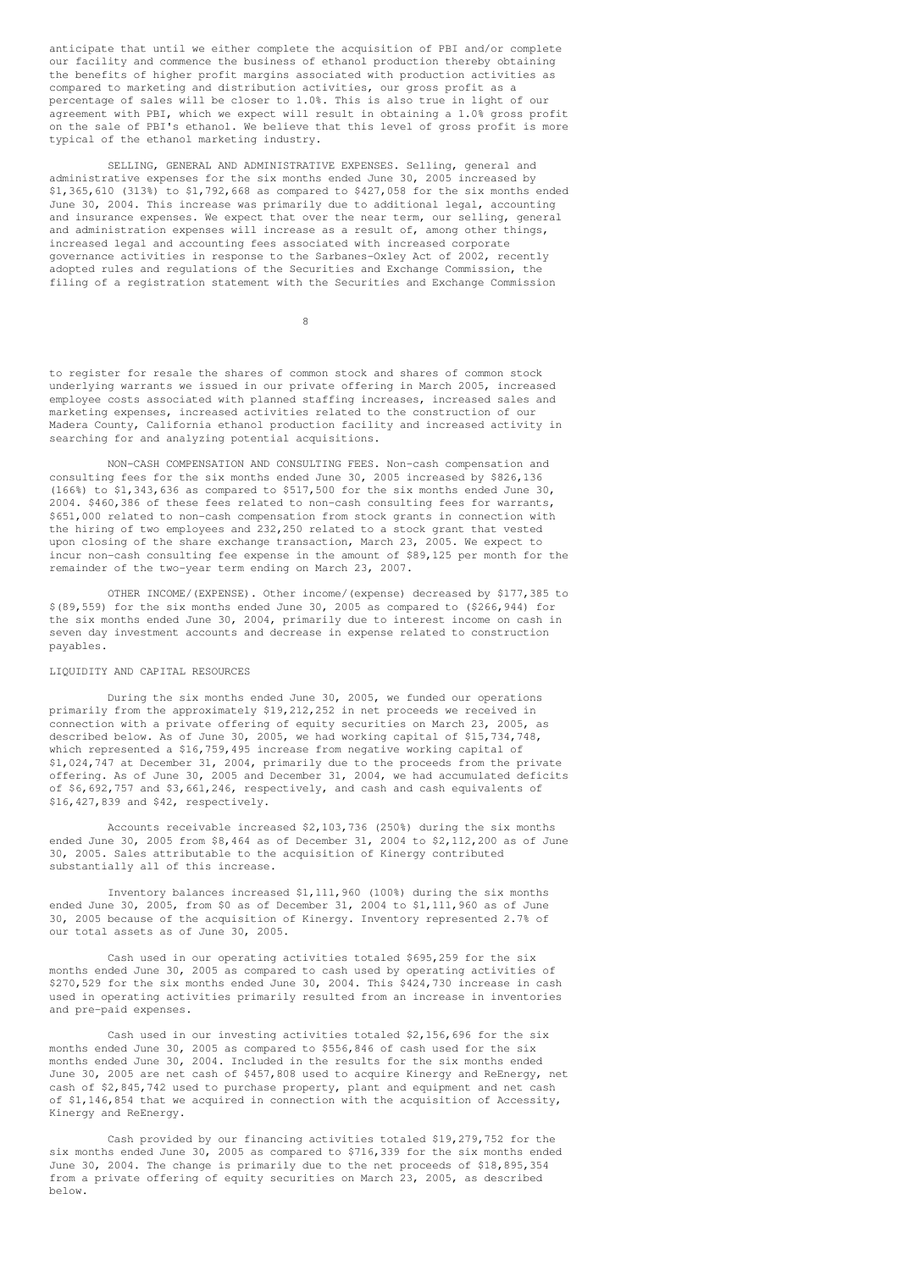anticipate that until we either complete the acquisition of PBI and/or complete our facility and commence the business of ethanol production thereby obtaining the benefits of higher profit margins associated with production activities as compared to marketing and distribution activities, our gross profit as a percentage of sales will be closer to 1.0%. This is also true in light of our agreement with PBI, which we expect will result in obtaining a 1.0% gross profit on the sale of PBI's ethanol. We believe that this level of gross profit is more typical of the ethanol marketing industry.

SELLING, GENERAL AND ADMINISTRATIVE EXPENSES. Selling, general and administrative expenses for the six months ended June 30, 2005 increased by \$1,365,610 (313%) to \$1,792,668 as compared to \$427,058 for the six months ended June 30, 2004. This increase was primarily due to additional legal, accounting and insurance expenses. We expect that over the near term, our selling, general and administration expenses will increase as a result of, among other things, increased legal and accounting fees associated with increased corporate governance activities in response to the Sarbanes-Oxley Act of 2002, recently adopted rules and regulations of the Securities and Exchange Commission, the filing of a registration statement with the Securities and Exchange Commission

8

to register for resale the shares of common stock and shares of common stock underlying warrants we issued in our private offering in March 2005, increased employee costs associated with planned staffing increases, increased sales and marketing expenses, increased activities related to the construction of our Madera County, California ethanol production facility and increased activity in searching for and analyzing potential acquisitions.

NON-CASH COMPENSATION AND CONSULTING FEES. Non-cash compensation and consulting fees for the six months ended June 30, 2005 increased by \$826,136 (166%) to \$1,343,636 as compared to \$517,500 for the six months ended June 30, 2004. \$460,386 of these fees related to non-cash consulting fees for warrants, \$651,000 related to non-cash compensation from stock grants in connection with the hiring of two employees and 232,250 related to a stock grant that vested upon closing of the share exchange transaction, March 23, 2005. We expect to incur non-cash consulting fee expense in the amount of \$89,125 per month for the remainder of the two-year term ending on March 23, 2007.

OTHER INCOME/(EXPENSE). Other income/(expense) decreased by \$177,385 to  $$(89,559)$  for the six months ended June 30, 2005 as compared to  $$266,944)$  for the six months ended June 30, 2004, primarily due to interest income on cash in seven day investment accounts and decrease in expense related to construction payables.

### LIQUIDITY AND CAPITAL RESOURCES

During the six months ended June 30, 2005, we funded our operations primarily from the approximately \$19,212,252 in net proceeds we received in connection with a private offering of equity securities on March 23, 2005, as described below. As of June 30, 2005, we had working capital of \$15,734,748, which represented a \$16,759,495 increase from negative working capital of \$1,024,747 at December 31, 2004, primarily due to the proceeds from the private offering. As of June 30, 2005 and December 31, 2004, we had accumulated deficits of \$6,692,757 and \$3,661,246, respectively, and cash and cash equivalents of \$16,427,839 and \$42, respectively.

Accounts receivable increased \$2,103,736 (250%) during the six months ended June 30, 2005 from \$8,464 as of December 31, 2004 to \$2,112,200 as of June 30, 2005. Sales attributable to the acquisition of Kinergy contributed substantially all of this increase.

Inventory balances increased \$1,111,960 (100%) during the six months ended June 30, 2005, from \$0 as of December 31, 2004 to \$1,111,960 as of June 30, 2005 because of the acquisition of Kinergy. Inventory represented 2.7% of our total assets as of June 30, 2005.

Cash used in our operating activities totaled \$695,259 for the six months ended June 30, 2005 as compared to cash used by operating activities of \$270,529 for the six months ended June 30, 2004. This \$424,730 increase in cash used in operating activities primarily resulted from an increase in inventories and pre-paid expenses.

Cash used in our investing activities totaled \$2,156,696 for the six months ended June 30, 2005 as compared to \$556,846 of cash used for the six months ended June 30, 2004. Included in the results for the six months ended June 30, 2005 are net cash of \$457,808 used to acquire Kinergy and ReEnergy, net cash of \$2,845,742 used to purchase property, plant and equipment and net cash of \$1,146,854 that we acquired in connection with the acquisition of Accessity, Kinergy and ReEnergy.

Cash provided by our financing activities totaled \$19,279,752 for the six months ended June 30, 2005 as compared to \$716,339 for the six months ended June 30, 2004. The change is primarily due to the net proceeds of \$18,895,354 from a private offering of equity securities on March 23, 2005, as described below.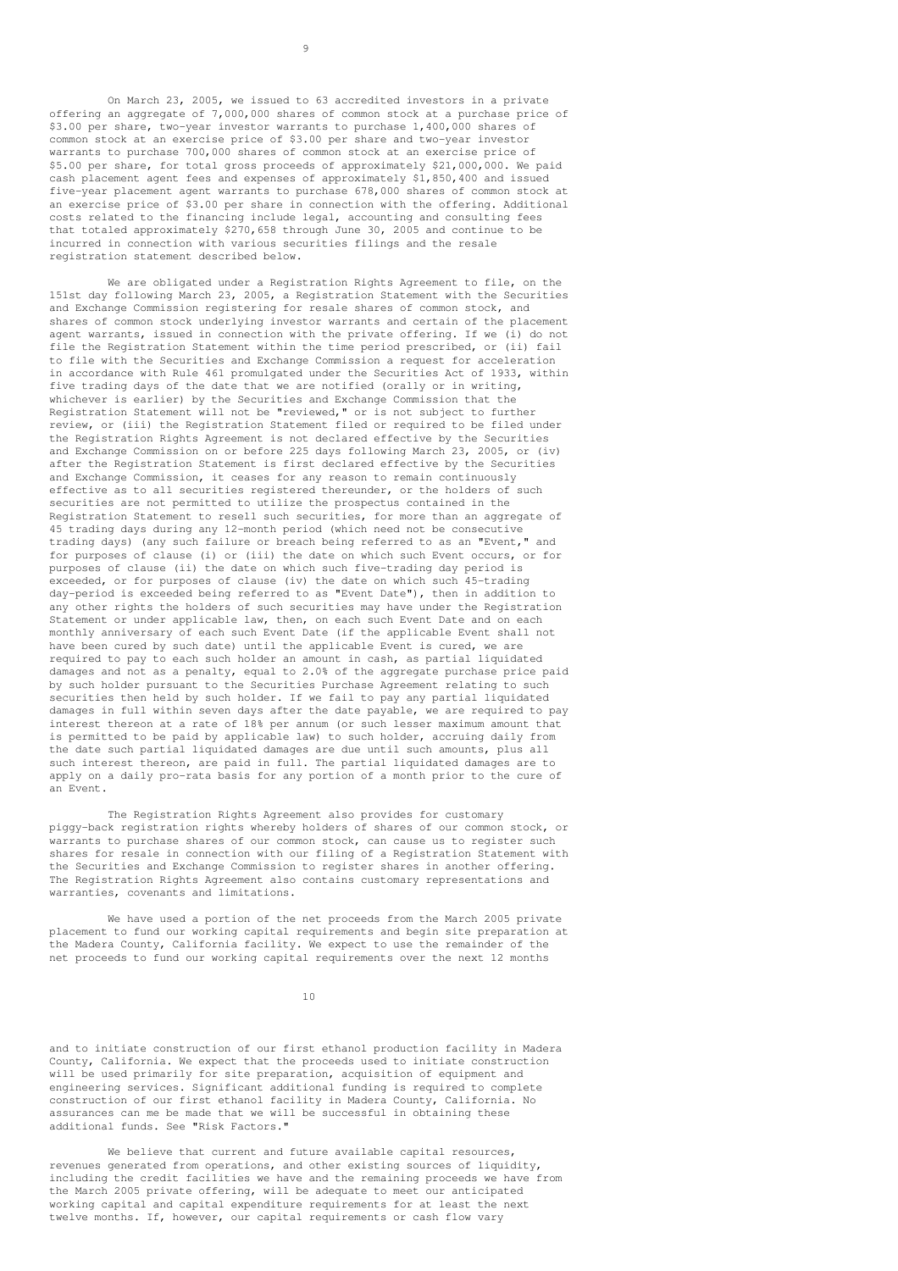On March 23, 2005, we issued to 63 accredited investors in a private offering an aggregate of 7,000,000 shares of common stock at a purchase price of \$3.00 per share, two-year investor warrants to purchase 1,400,000 shares of common stock at an exercise price of \$3.00 per share and two-year investor warrants to purchase 700,000 shares of common stock at an exercise price of \$5.00 per share, for total gross proceeds of approximately \$21,000,000. We paid cash placement agent fees and expenses of approximately \$1,850,400 and issued five-year placement agent warrants to purchase 678,000 shares of common stock at an exercise price of \$3.00 per share in connection with the offering. Additional costs related to the financing include legal, accounting and consulting fees that totaled approximately \$270,658 through June 30, 2005 and continue to be incurred in connection with various securities filings and the resale registration statement described below.

We are obligated under a Registration Rights Agreement to file, on the 151st day following March 23, 2005, a Registration Statement with the Securities and Exchange Commission registering for resale shares of common stock, and shares of common stock underlying investor warrants and certain of the placement agent warrants, issued in connection with the private offering. If we (i) do not file the Registration Statement within the time period prescribed, or (ii) fail to file with the Securities and Exchange Commission a request for acceleration in accordance with Rule 461 promulgated under the Securities Act of 1933, within five trading days of the date that we are notified (orally or in writing, whichever is earlier) by the Securities and Exchange Commission that the Registration Statement will not be "reviewed," or is not subject to further review, or (iii) the Registration Statement filed or required to be filed under the Registration Rights Agreement is not declared effective by the Securities and Exchange Commission on or before 225 days following March 23, 2005, or (iv) after the Registration Statement is first declared effective by the Securities and Exchange Commission, it ceases for any reason to remain continuously effective as to all securities registered thereunder, or the holders of such securities are not permitted to utilize the prospectus contained in the Registration Statement to resell such securities, for more than an aggregate of 45 trading days during any 12-month period (which need not be consecutive trading days) (any such failure or breach being referred to as an "Event," and for purposes of clause (i) or (iii) the date on which such Event occurs, or for purposes of clause (ii) the date on which such five-trading day period is exceeded, or for purposes of clause (iv) the date on which such 45-trading day-period is exceeded being referred to as "Event Date"), then in addition to any other rights the holders of such securities may have under the Registration Statement or under applicable law, then, on each such Event Date and on each monthly anniversary of each such Event Date (if the applicable Event shall not have been cured by such date) until the applicable Event is cured, we are required to pay to each such holder an amount in cash, as partial liquidated damages and not as a penalty, equal to 2.0% of the aggregate purchase price paid by such holder pursuant to the Securities Purchase Agreement relating to such securities then held by such holder. If we fail to pay any partial liquidated damages in full within seven days after the date payable, we are required to pay interest thereon at a rate of 18% per annum (or such lesser maximum amount that is permitted to be paid by applicable law) to such holder, accruing daily from the date such partial liquidated damages are due until such amounts, plus all such interest thereon, are paid in full. The partial liquidated damages are to apply on a daily pro-rata basis for any portion of a month prior to the cure of an Event.

The Registration Rights Agreement also provides for customary piggy-back registration rights whereby holders of shares of our common stock, or warrants to purchase shares of our common stock, can cause us to register such shares for resale in connection with our filing of a Registration Statement with the Securities and Exchange Commission to register shares in another offering. The Registration Rights Agreement also contains customary representations and warranties, covenants and limitations.

We have used a portion of the net proceeds from the March 2005 private placement to fund our working capital requirements and begin site preparation at the Madera County, California facility. We expect to use the remainder of the net proceeds to fund our working capital requirements over the next 12 months

10

and to initiate construction of our first ethanol production facility in Madera County, California. We expect that the proceeds used to initiate construction will be used primarily for site preparation, acquisition of equipment and engineering services. Significant additional funding is required to complete construction of our first ethanol facility in Madera County, California. No assurances can me be made that we will be successful in obtaining these additional funds. See "Risk Factors."

We believe that current and future available capital resources, revenues generated from operations, and other existing sources of liquidity, including the credit facilities we have and the remaining proceeds we have from the March 2005 private offering, will be adequate to meet our anticipated working capital and capital expenditure requirements for at least the next twelve months. If, however, our capital requirements or cash flow vary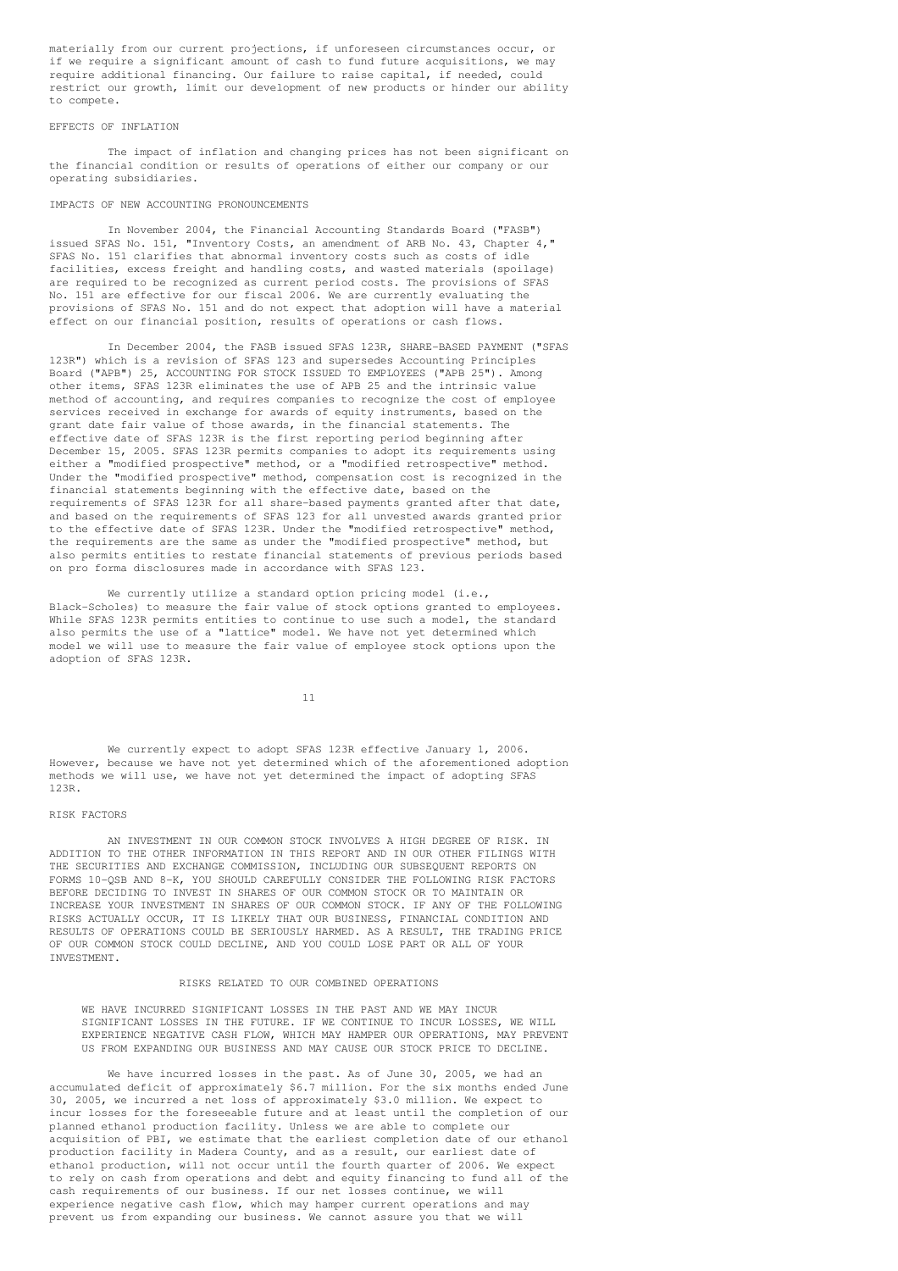materially from our current projections, if unforeseen circumstances occur, or if we require a significant amount of cash to fund future acquisitions, we may require additional financing. Our failure to raise capital, if needed, could restrict our growth, limit our development of new products or hinder our ability to compete.

### EFFECTS OF INFLATION

The impact of inflation and changing prices has not been significant on the financial condition or results of operations of either our company or our operating subsidiaries.

### IMPACTS OF NEW ACCOUNTING PRONOUNCEMENTS

In November 2004, the Financial Accounting Standards Board ("FASB") issued SFAS No. 151, "Inventory Costs, an amendment of ARB No. 43, Chapter 4," SFAS No. 151 clarifies that abnormal inventory costs such as costs of idle facilities, excess freight and handling costs, and wasted materials (spoilage) are required to be recognized as current period costs. The provisions of SFAS No. 151 are effective for our fiscal 2006. We are currently evaluating the provisions of SFAS No. 151 and do not expect that adoption will have a material effect on our financial position, results of operations or cash flows.

In December 2004, the FASB issued SFAS 123R, SHARE-BASED PAYMENT ("SFAS 123R") which is a revision of SFAS 123 and supersedes Accounting Principles Board ("APB") 25, ACCOUNTING FOR STOCK ISSUED TO EMPLOYEES ("APB 25"). Among other items, SFAS 123R eliminates the use of APB 25 and the intrinsic value method of accounting, and requires companies to recognize the cost of employee services received in exchange for awards of equity instruments, based on the grant date fair value of those awards, in the financial statements. The effective date of SFAS 123R is the first reporting period beginning after December 15, 2005. SFAS 123R permits companies to adopt its requirements using either a "modified prospective" method, or a "modified retrospective" method. Under the "modified prospective" method, compensation cost is recognized in the financial statements beginning with the effective date, based on the requirements of SFAS 123R for all share-based payments granted after that date, and based on the requirements of SFAS 123 for all unvested awards granted prior to the effective date of SFAS 123R. Under the "modified retrospective" method, the requirements are the same as under the "modified prospective" method, but also permits entities to restate financial statements of previous periods based on pro forma disclosures made in accordance with SFAS 123.

We currently utilize a standard option pricing model  $(i.e.,$ Black-Scholes) to measure the fair value of stock options granted to employees. While SFAS 123R permits entities to continue to use such a model, the standard also permits the use of a "lattice" model. We have not yet determined which model we will use to measure the fair value of employee stock options upon the adoption of SFAS 123R.

11

We currently expect to adopt SFAS 123R effective January 1, 2006. However, because we have not yet determined which of the aforementioned adoption methods we will use, we have not yet determined the impact of adopting SFAS 123R.

### RISK FACTORS

AN INVESTMENT IN OUR COMMON STOCK INVOLVES A HIGH DEGREE OF RISK. IN ADDITION TO THE OTHER INFORMATION IN THIS REPORT AND IN OUR OTHER FILINGS WITH THE SECURITIES AND EXCHANGE COMMISSION, INCLUDING OUR SUBSEQUENT REPORTS ON FORMS 10-QSB AND 8-K, YOU SHOULD CAREFULLY CONSIDER THE FOLLOWING RISK FACTORS BEFORE DECIDING TO INVEST IN SHARES OF OUR COMMON STOCK OR TO MAINTAIN OR INCREASE YOUR INVESTMENT IN SHARES OF OUR COMMON STOCK. IF ANY OF THE FOLLOWING RISKS ACTUALLY OCCUR, IT IS LIKELY THAT OUR BUSINESS, FINANCIAL CONDITION AND RESULTS OF OPERATIONS COULD BE SERIOUSLY HARMED. AS A RESULT, THE TRADING PRICE OF OUR COMMON STOCK COULD DECLINE, AND YOU COULD LOSE PART OR ALL OF YOUR INVESTMENT.

### RISKS RELATED TO OUR COMBINED OPERATIONS

WE HAVE INCURRED SIGNIFICANT LOSSES IN THE PAST AND WE MAY INCUR SIGNIFICANT LOSSES IN THE FUTURE. IF WE CONTINUE TO INCUR LOSSES, WE WILL EXPERIENCE NEGATIVE CASH FLOW, WHICH MAY HAMPER OUR OPERATIONS, MAY PREVENT US FROM EXPANDING OUR BUSINESS AND MAY CAUSE OUR STOCK PRICE TO DECLINE.

We have incurred losses in the past. As of June 30, 2005, we had an accumulated deficit of approximately \$6.7 million. For the six months ended June 30, 2005, we incurred a net loss of approximately \$3.0 million. We expect to incur losses for the foreseeable future and at least until the completion of our planned ethanol production facility. Unless we are able to complete our acquisition of PBI, we estimate that the earliest completion date of our ethanol production facility in Madera County, and as a result, our earliest date of ethanol production, will not occur until the fourth quarter of 2006. We expect to rely on cash from operations and debt and equity financing to fund all of the cash requirements of our business. If our net losses continue, we will experience negative cash flow, which may hamper current operations and may prevent us from expanding our business. We cannot assure you that we will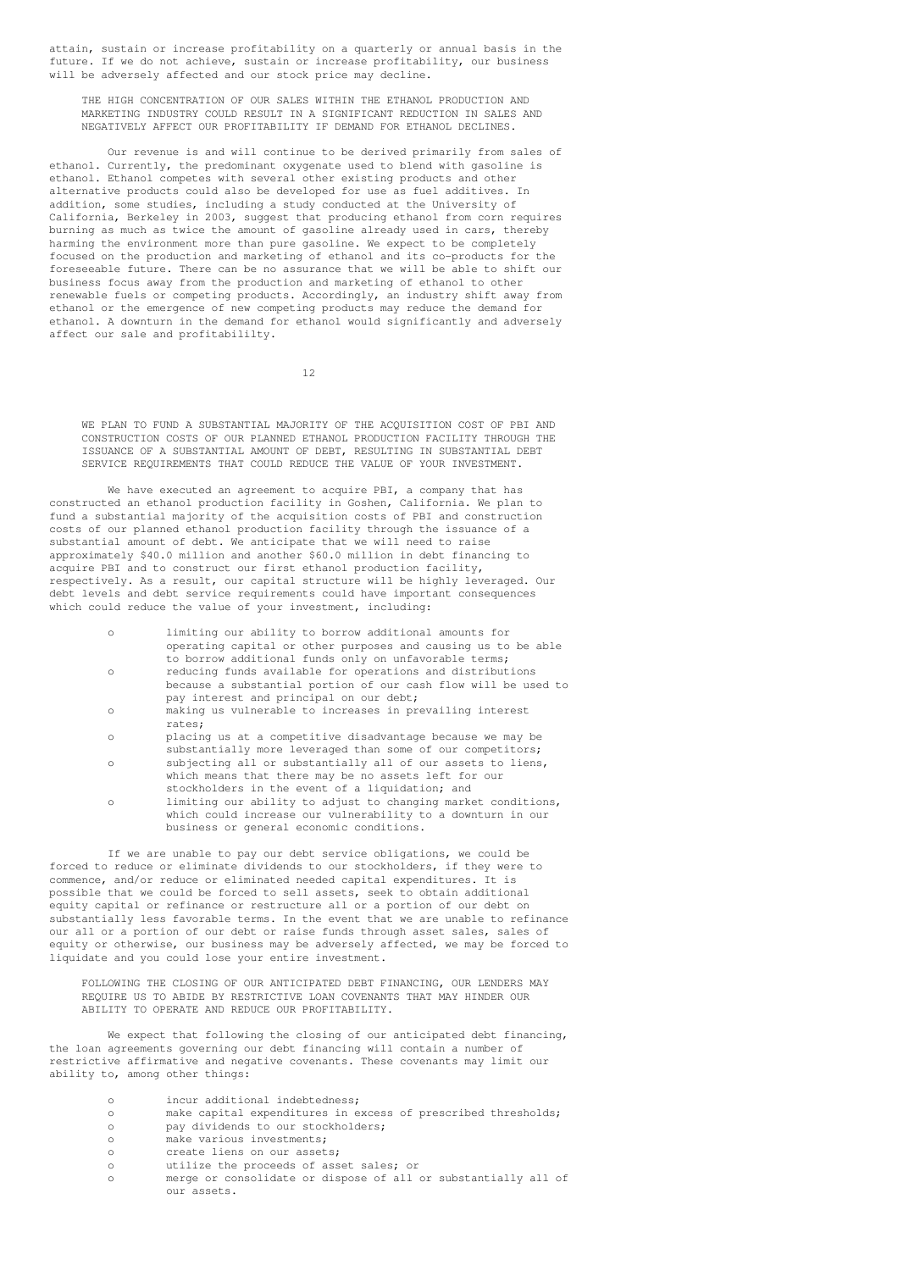attain, sustain or increase profitability on a quarterly or annual basis in the future. If we do not achieve, sustain or increase profitability, our business will be adversely affected and our stock price may decline.

THE HIGH CONCENTRATION OF OUR SALES WITHIN THE ETHANOL PRODUCTION AND MARKETING INDUSTRY COULD RESULT IN A SIGNIFICANT REDUCTION IN SALES AND NEGATIVELY AFFECT OUR PROFITABILITY IF DEMAND FOR ETHANOL DECLINES.

Our revenue is and will continue to be derived primarily from sales of ethanol. Currently, the predominant oxygenate used to blend with gasoline is ethanol. Ethanol competes with several other existing products and other alternative products could also be developed for use as fuel additives. In addition, some studies, including a study conducted at the University of California, Berkeley in 2003, suggest that producing ethanol from corn requires burning as much as twice the amount of gasoline already used in cars, thereby harming the environment more than pure gasoline. We expect to be completely focused on the production and marketing of ethanol and its co-products for the foreseeable future. There can be no assurance that we will be able to shift our business focus away from the production and marketing of ethanol to other renewable fuels or competing products. Accordingly, an industry shift away from ethanol or the emergence of new competing products may reduce the demand for ethanol. A downturn in the demand for ethanol would significantly and adversely affect our sale and profitabililty.

12

WE PLAN TO FUND A SUBSTANTIAL MAJORITY OF THE ACQUISITION COST OF PBI AND CONSTRUCTION COSTS OF OUR PLANNED ETHANOL PRODUCTION FACILITY THROUGH THE ISSUANCE OF A SUBSTANTIAL AMOUNT OF DEBT, RESULTING IN SUBSTANTIAL DEBT SERVICE REQUIREMENTS THAT COULD REDUCE THE VALUE OF YOUR INVESTMENT.

We have executed an agreement to acquire PBI, a company that has constructed an ethanol production facility in Goshen, California. We plan to fund a substantial majority of the acquisition costs of PBI and construction costs of our planned ethanol production facility through the issuance of a substantial amount of debt. We anticipate that we will need to raise approximately \$40.0 million and another \$60.0 million in debt financing to acquire PBI and to construct our first ethanol production facility, respectively. As a result, our capital structure will be highly leveraged. Our debt levels and debt service requirements could have important consequences which could reduce the value of vour investment, including:

- o limiting our ability to borrow additional amounts for operating capital or other purposes and causing us to be able to borrow additional funds only on unfavorable terms; o reducing funds available for operations and distributions
- because a substantial portion of our cash flow will be used to pay interest and principal on our debt; o making us vulnerable to increases in prevailing interest
- rates; o placing us at a competitive disadvantage because we may be
- substantially more leveraged than some of our competitors; o subjecting all or substantially all of our assets to liens, which means that there may be no assets left for our
- stockholders in the event of a liquidation; and o limiting our ability to adjust to changing market conditions,
- which could increase our vulnerability to a downturn in our business or general economic conditions.

If we are unable to pay our debt service obligations, we could be forced to reduce or eliminate dividends to our stockholders, if they were to commence, and/or reduce or eliminated needed capital expenditures. It is possible that we could be forced to sell assets, seek to obtain additional equity capital or refinance or restructure all or a portion of our debt on substantially less favorable terms. In the event that we are unable to refinance our all or a portion of our debt or raise funds through asset sales, sales of equity or otherwise, our business may be adversely affected, we may be forced to liquidate and you could lose your entire investment.

FOLLOWING THE CLOSING OF OUR ANTICIPATED DEBT FINANCING, OUR LENDERS MAY REQUIRE US TO ABIDE BY RESTRICTIVE LOAN COVENANTS THAT MAY HINDER OUR ABILITY TO OPERATE AND REDUCE OUR PROFITABILITY.

We expect that following the closing of our anticipated debt financing, the loan agreements governing our debt financing will contain a number of restrictive affirmative and negative covenants. These covenants may limit our ability to, among other things:

- o incur additional indebtedness;
- o make capital expenditures in excess of prescribed thresholds;
- o pay dividends to our stockholders;
- o make various investments;<br>o create liens on our asset:
- o create liens on our assets;
- o utilize the proceeds of asset sales; or<br>o merge or consolidate or dispose of all of
- merge or consolidate or dispose of all or substantially all of our assets.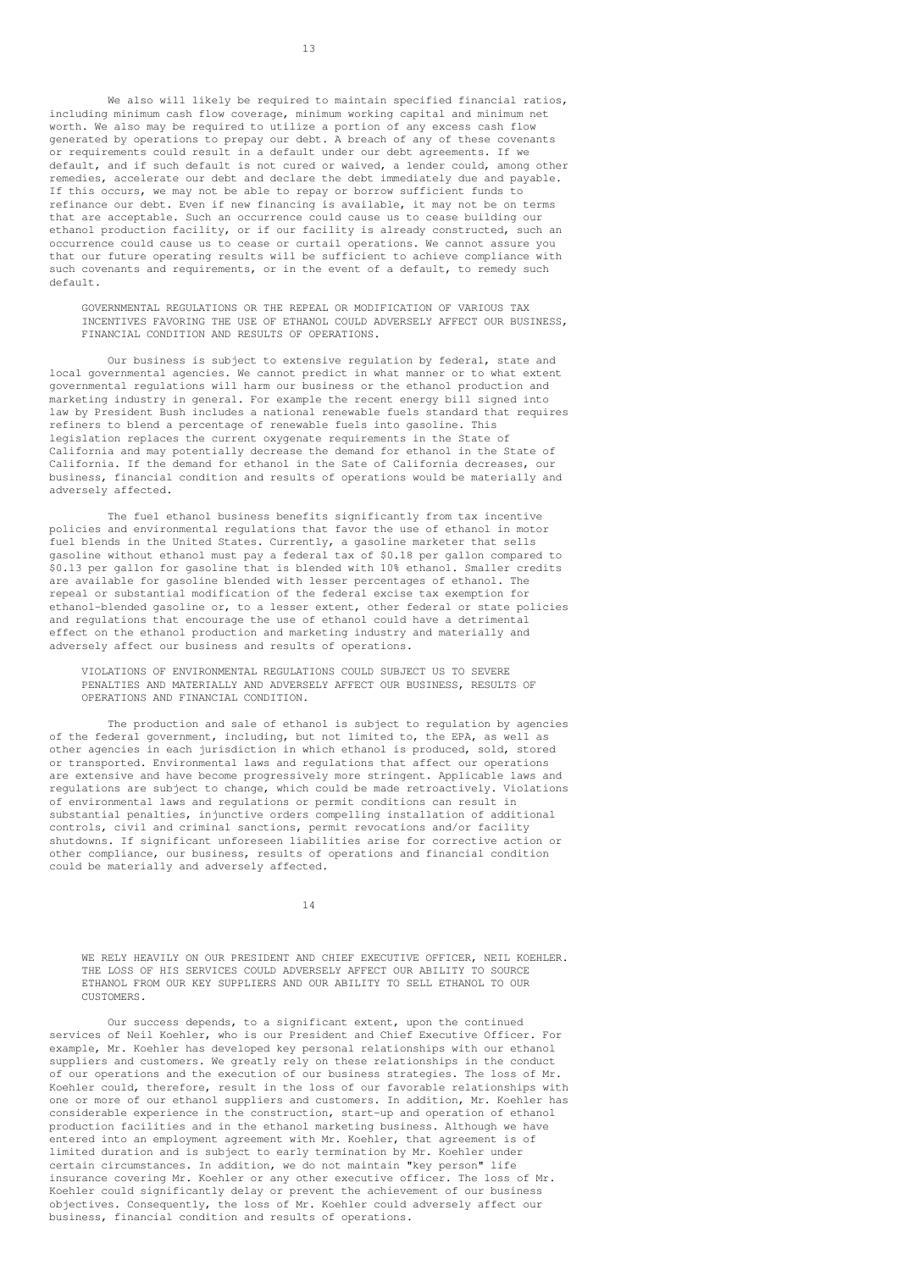We also will likely be required to maintain specified financial ratios, including minimum cash flow coverage, minimum working capital and minimum net worth. We also may be required to utilize a portion of any excess cash flow generated by operations to prepay our debt. A breach of any of these covenants or requirements could result in a default under our debt agreements. If we default, and if such default is not cured or waived, a lender could, among other remedies, accelerate our debt and declare the debt immediately due and payable. If this occurs, we may not be able to repay or borrow sufficient funds to refinance our debt. Even if new financing is available, it may not be on terms that are acceptable. Such an occurrence could cause us to cease building our ethanol production facility, or if our facility is already constructed, such an occurrence could cause us to cease or curtail operations. We cannot assure you that our future operating results will be sufficient to achieve compliance with such covenants and requirements, or in the event of a default, to remedy such default.

GOVERNMENTAL REGULATIONS OR THE REPEAL OR MODIFICATION OF VARIOUS TAX INCENTIVES FAVORING THE USE OF ETHANOL COULD ADVERSELY AFFECT OUR BUSINESS, FINANCIAL CONDITION AND RESULTS OF OPERATIONS.

Our business is subject to extensive regulation by federal, state and local governmental agencies. We cannot predict in what manner or to what extent governmental regulations will harm our business or the ethanol production and marketing industry in general. For example the recent energy bill signed into law by President Bush includes a national renewable fuels standard that requires refiners to blend a percentage of renewable fuels into gasoline. This legislation replaces the current oxygenate requirements in the State of California and may potentially decrease the demand for ethanol in the State of California. If the demand for ethanol in the Sate of California decreases, our business, financial condition and results of operations would be materially and adversely affected.

The fuel ethanol business benefits significantly from tax incentive policies and environmental regulations that favor the use of ethanol in motor fuel blends in the United States. Currently, a gasoline marketer that sells gasoline without ethanol must pay a federal tax of \$0.18 per gallon compared to \$0.13 per gallon for gasoline that is blended with 10% ethanol. Smaller credits are available for gasoline blended with lesser percentages of ethanol. The repeal or substantial modification of the federal excise tax exemption for ethanol-blended gasoline or, to a lesser extent, other federal or state policies and regulations that encourage the use of ethanol could have a detrimental effect on the ethanol production and marketing industry and materially and adversely affect our business and results of operations.

VIOLATIONS OF ENVIRONMENTAL REGULATIONS COULD SUBJECT US TO SEVERE PENALTIES AND MATERIALLY AND ADVERSELY AFFECT OUR BUSINESS, RESULTS OF OPERATIONS AND FINANCIAL CONDITION.

The production and sale of ethanol is subject to regulation by agencies of the federal government, including, but not limited to, the EPA, as well as other agencies in each jurisdiction in which ethanol is produced, sold, stored or transported. Environmental laws and regulations that affect our operations are extensive and have become progressively more stringent. Applicable laws and regulations are subject to change, which could be made retroactively. Violations of environmental laws and regulations or permit conditions can result in substantial penalties, injunctive orders compelling installation of additional controls, civil and criminal sanctions, permit revocations and/or facility shutdowns. If significant unforeseen liabilities arise for corrective action or other compliance, our business, results of operations and financial condition could be materially and adversely affected.

14

WE RELY HEAVILY ON OUR PRESIDENT AND CHIEF EXECUTIVE OFFICER, NEIL KOEHLER. THE LOSS OF HIS SERVICES COULD ADVERSELY AFFECT OUR ABILITY TO SOURCE ETHANOL FROM OUR KEY SUPPLIERS AND OUR ABILITY TO SELL ETHANOL TO OUR CUSTOMERS.

Our success depends, to a significant extent, upon the continued services of Neil Koehler, who is our President and Chief Executive Officer. For example, Mr. Koehler has developed key personal relationships with our ethanol suppliers and customers. We greatly rely on these relationships in the conduct of our operations and the execution of our business strategies. The loss of Mr. Koehler could, therefore, result in the loss of our favorable relationships with one or more of our ethanol suppliers and customers. In addition, Mr. Koehler has considerable experience in the construction, start-up and operation of ethanol production facilities and in the ethanol marketing business. Although we have entered into an employment agreement with Mr. Koehler, that agreement is of limited duration and is subject to early termination by Mr. Koehler under certain circumstances. In addition, we do not maintain "key person" life insurance covering Mr. Koehler or any other executive officer. The loss of Mr. Koehler could significantly delay or prevent the achievement of our business objectives. Consequently, the loss of Mr. Koehler could adversely affect our business, financial condition and results of operations.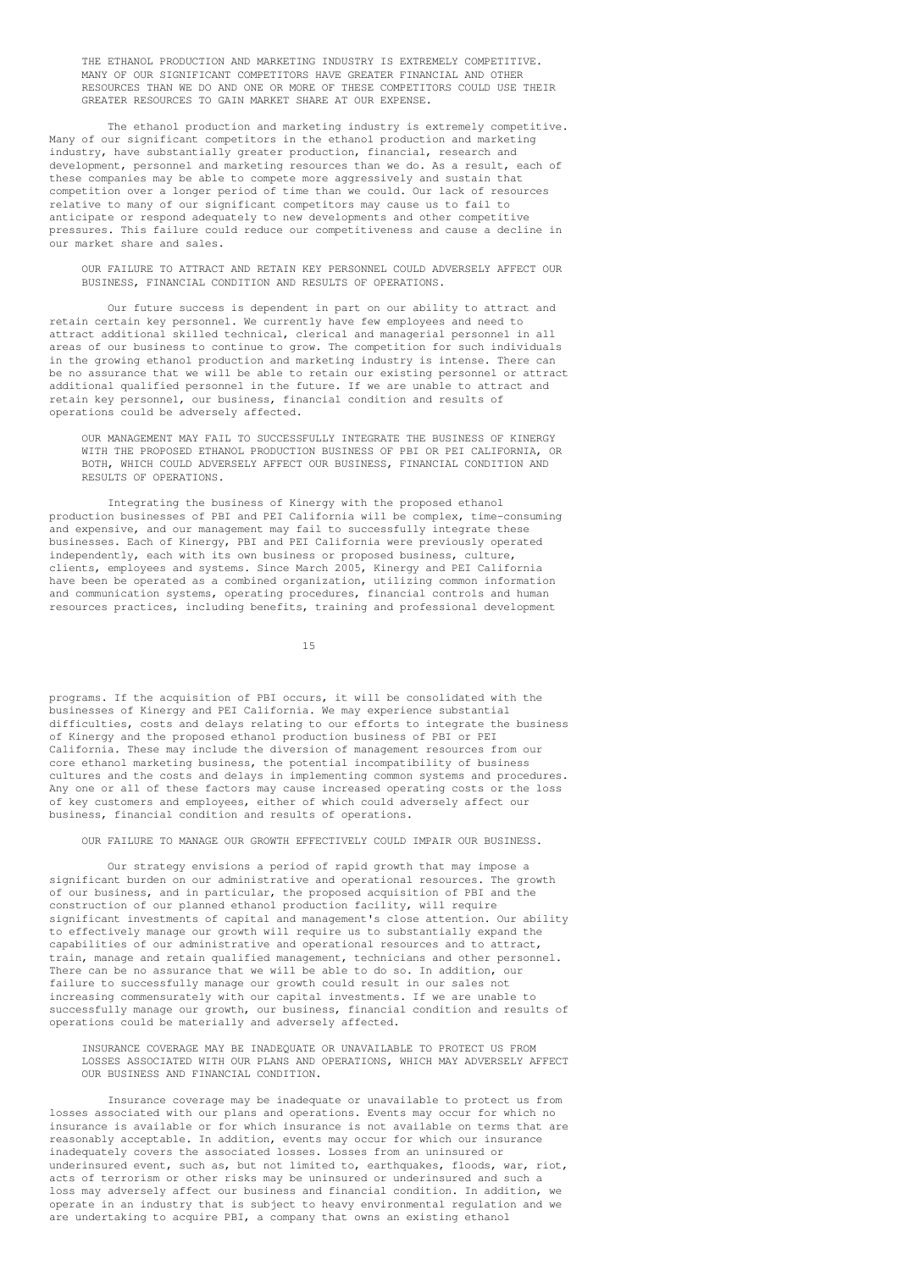THE ETHANOL PRODUCTION AND MARKETING INDUSTRY IS EXTREMELY COMPETITIVE. MANY OF OUR SIGNIFICANT COMPETITORS HAVE GREATER FINANCIAL AND OTHER RESOURCES THAN WE DO AND ONE OR MORE OF THESE COMPETITORS COULD USE THEIR GREATER RESOURCES TO GAIN MARKET SHARE AT OUR EXPENSE.

The ethanol production and marketing industry is extremely competitive. Many of our significant competitors in the ethanol production and marketing industry, have substantially greater production, financial, research and development, personnel and marketing resources than we do. As a result, each of these companies may be able to compete more aggressively and sustain that competition over a longer period of time than we could. Our lack of resources relative to many of our significant competitors may cause us to fail to anticipate or respond adequately to new developments and other competitive pressures. This failure could reduce our competitiveness and cause a decline in our market share and sales.

OUR FAILURE TO ATTRACT AND RETAIN KEY PERSONNEL COULD ADVERSELY AFFECT OUR BUSINESS, FINANCIAL CONDITION AND RESULTS OF OPERATIONS.

Our future success is dependent in part on our ability to attract and retain certain key personnel. We currently have few employees and need to attract additional skilled technical, clerical and managerial personnel in all areas of our business to continue to grow. The competition for such individuals in the growing ethanol production and marketing industry is intense. There can be no assurance that we will be able to retain our existing personnel or attract additional qualified personnel in the future. If we are unable to attract and retain key personnel, our business, financial condition and results of operations could be adversely affected.

OUR MANAGEMENT MAY FAIL TO SUCCESSFULLY INTEGRATE THE BUSINESS OF KINERGY WITH THE PROPOSED ETHANOL PRODUCTION BUSINESS OF PBI OR PEI CALIFORNIA, OR BOTH, WHICH COULD ADVERSELY AFFECT OUR BUSINESS, FINANCIAL CONDITION AND RESULTS OF OPERATIONS.

Integrating the business of Kinergy with the proposed ethanol production businesses of PBI and PEI California will be complex, time-consuming and expensive, and our management may fail to successfully integrate these businesses. Each of Kinergy, PBI and PEI California were previously operated independently, each with its own business or proposed business, culture, clients, employees and systems. Since March 2005, Kinergy and PEI California have been be operated as a combined organization, utilizing common information and communication systems, operating procedures, financial controls and human resources practices, including benefits, training and professional development

15

programs. If the acquisition of PBI occurs, it will be consolidated with the businesses of Kinergy and PEI California. We may experience substantial difficulties, costs and delays relating to our efforts to integrate the business of Kinergy and the proposed ethanol production business of PBI or PEI California. These may include the diversion of management resources from our core ethanol marketing business, the potential incompatibility of business cultures and the costs and delays in implementing common systems and procedures. Any one or all of these factors may cause increased operating costs or the loss of key customers and employees, either of which could adversely affect our business, financial condition and results of operations.

OUR FAILURE TO MANAGE OUR GROWTH EFFECTIVELY COULD IMPAIR OUR BUSINESS.

Our strategy envisions a period of rapid growth that may impose a significant burden on our administrative and operational resources. The growth of our business, and in particular, the proposed acquisition of PBI and the construction of our planned ethanol production facility, will require significant investments of capital and management's close attention. Our ability to effectively manage our growth will require us to substantially expand the capabilities of our administrative and operational resources and to attract, train, manage and retain qualified management, technicians and other personnel. There can be no assurance that we will be able to do so. In addition, our failure to successfully manage our growth could result in our sales not increasing commensurately with our capital investments. If we are unable to successfully manage our growth, our business, financial condition and results of operations could be materially and adversely affected.

INSURANCE COVERAGE MAY BE INADEQUATE OR UNAVAILABLE TO PROTECT US FROM LOSSES ASSOCIATED WITH OUR PLANS AND OPERATIONS, WHICH MAY ADVERSELY AFFECT OUR BUSINESS AND FINANCIAL CONDITION

Insurance coverage may be inadequate or unavailable to protect us from losses associated with our plans and operations. Events may occur for which no insurance is available or for which insurance is not available on terms that are reasonably acceptable. In addition, events may occur for which our insurance inadequately covers the associated losses. Losses from an uninsured or underinsured event, such as, but not limited to, earthquakes, floods, war, riot, acts of terrorism or other risks may be uninsured or underinsured and such a loss may adversely affect our business and financial condition. In addition, we operate in an industry that is subject to heavy environmental regulation and we are undertaking to acquire PBI, a company that owns an existing ethanol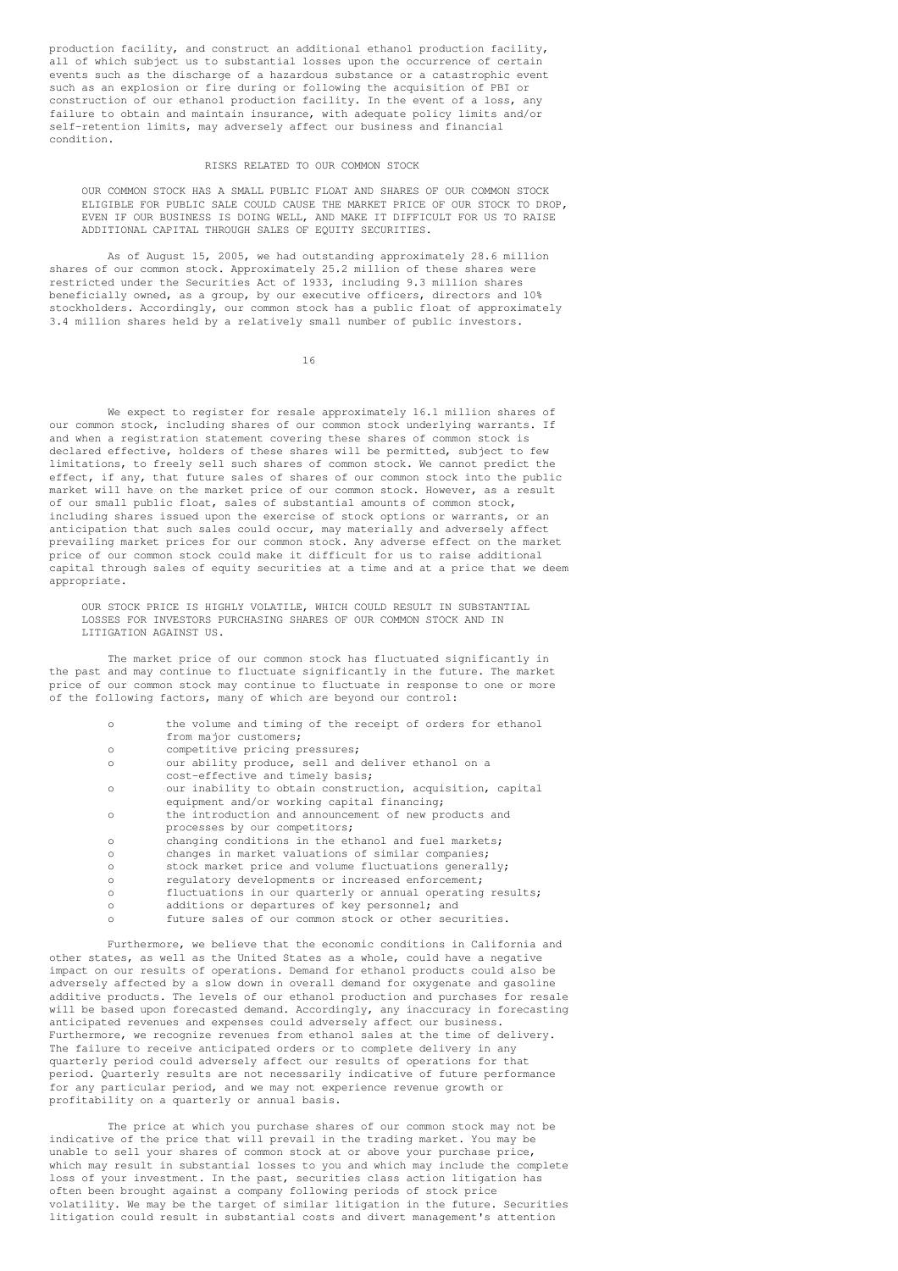production facility, and construct an additional ethanol production facility, all of which subject us to substantial losses upon the occurrence of certain events such as the discharge of a hazardous substance or a catastrophic event such as an explosion or fire during or following the acquisition of PBI or construction of our ethanol production facility. In the event of a loss, any failure to obtain and maintain insurance, with adequate policy limits and/or self-retention limits, may adversely affect our business and financial condition.

### RISKS RELATED TO OUR COMMON STOCK

OUR COMMON STOCK HAS A SMALL PUBLIC FLOAT AND SHARES OF OUR COMMON STOCK ELIGIBLE FOR PUBLIC SALE COULD CAUSE THE MARKET PRICE OF OUR STOCK TO DROP, EVEN IF OUR BUSINESS IS DOING WELL, AND MAKE IT DIFFICULT FOR US TO RAISE ADDITIONAL CAPITAL THROUGH SALES OF EQUITY SECURITIES.

As of August 15, 2005, we had outstanding approximately 28.6 million shares of our common stock. Approximately 25.2 million of these shares were restricted under the Securities Act of 1933, including 9.3 million shares beneficially owned, as a group, by our executive officers, directors and 10% stockholders. Accordingly, our common stock has a public float of approximately 3.4 million shares held by a relatively small number of public investors.

16

We expect to register for resale approximately 16.1 million shares of our common stock, including shares of our common stock underlying warrants. If and when a registration statement covering these shares of common stock is declared effective, holders of these shares will be permitted, subject to few limitations, to freely sell such shares of common stock. We cannot predict the effect, if any, that future sales of shares of our common stock into the public market will have on the market price of our common stock. However, as a result of our small public float, sales of substantial amounts of common stock, including shares issued upon the exercise of stock options or warrants, or an anticipation that such sales could occur, may materially and adversely affect prevailing market prices for our common stock. Any adverse effect on the market price of our common stock could make it difficult for us to raise additional capital through sales of equity securities at a time and at a price that we deem appropriate.

OUR STOCK PRICE IS HIGHLY VOLATILE, WHICH COULD RESULT IN SUBSTANTIAL LOSSES FOR INVESTORS PURCHASING SHARES OF OUR COMMON STOCK AND IN LITIGATION AGAINST US.

The market price of our common stock has fluctuated significantly in the past and may continue to fluctuate significantly in the future. The market price of our common stock may continue to fluctuate in response to one or more of the following factors, many of which are beyond our control:

| $\Omega$ | the volume and timing of the receipt of orders for ethanol |
|----------|------------------------------------------------------------|
|          | from major customers;                                      |
| $\circ$  | competitive pricing pressures;                             |
| $\circ$  | our ability produce, sell and deliver ethanol on a         |
|          | cost-effective and timely basis;                           |
| $\Omega$ | our inability to obtain construction, acquisition, capital |
|          | equipment and/or working capital financing;                |
| $\circ$  | the introduction and announcement of new products and      |
|          | processes by our competitors;                              |
| $\circ$  | changing conditions in the ethanol and fuel markets;       |
| $\circ$  | changes in market valuations of similar companies;         |
| $\Omega$ | stock market price and volume fluctuations generally;      |
| $\circ$  | requiatory developments or increased enforcement;          |
| $\circ$  | fluctuations in our quarterly or annual operating results; |
| $\Omega$ | additions or departures of key personnel; and              |
| $\circ$  | future sales of our common stock or other securities.      |
|          |                                                            |

Furthermore, we believe that the economic conditions in California and other states, as well as the United States as a whole, could have a negative impact on our results of operations. Demand for ethanol products could also be adversely affected by a slow down in overall demand for oxygenate and gasoline additive products. The levels of our ethanol production and purchases for resale will be based upon forecasted demand. Accordingly, any inaccuracy in forecasting anticipated revenues and expenses could adversely affect our business. Furthermore, we recognize revenues from ethanol sales at the time of delivery. The failure to receive anticipated orders or to complete delivery in any quarterly period could adversely affect our results of operations for that period. Quarterly results are not necessarily indicative of future performance for any particular period, and we may not experience revenue growth or profitability on a quarterly or annual basis.

The price at which you purchase shares of our common stock may not be indicative of the price that will prevail in the trading market. You may be unable to sell your shares of common stock at or above your purchase price, which may result in substantial losses to you and which may include the complete loss of your investment. In the past, securities class action litigation has often been brought against a company following periods of stock price volatility. We may be the target of similar litigation in the future. Securities litigation could result in substantial costs and divert management's attention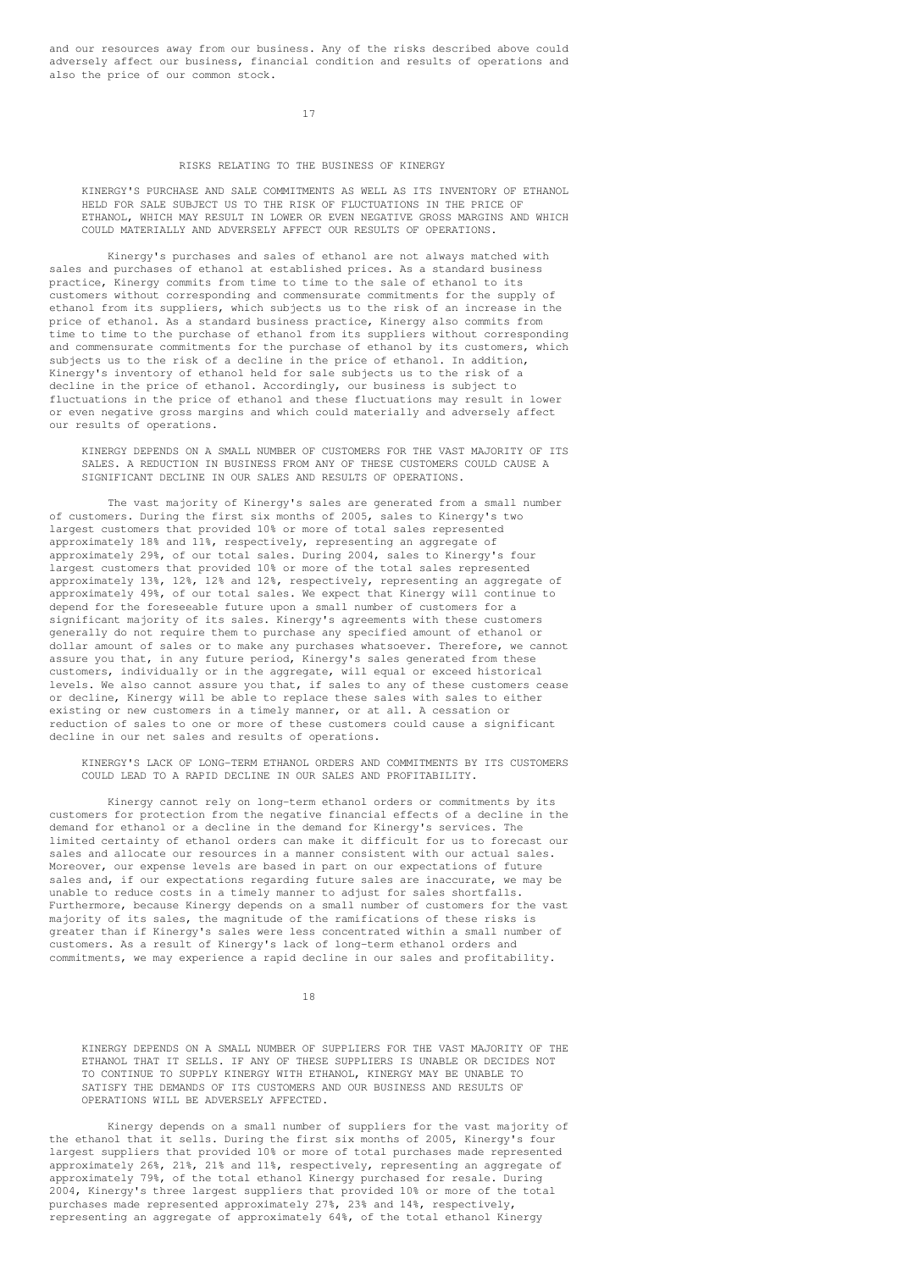and our resources away from our business. Any of the risks described above could adversely affect our business, financial condition and results of operations and also the price of our common stock.

17

### RISKS RELATING TO THE BUSINESS OF KINERGY

KINERGY'S PURCHASE AND SALE COMMITMENTS AS WELL AS ITS INVENTORY OF ETHANOL HELD FOR SALE SUBJECT US TO THE RISK OF FLUCTUATIONS IN THE PRICE OF ETHANOL, WHICH MAY RESULT IN LOWER OR EVEN NEGATIVE GROSS MARGINS AND WHICH COULD MATERIALLY AND ADVERSELY AFFECT OUR RESULTS OF OPERATIONS.

Kinergy's purchases and sales of ethanol are not always matched with sales and purchases of ethanol at established prices. As a standard business practice, Kinergy commits from time to time to the sale of ethanol to its customers without corresponding and commensurate commitments for the supply of ethanol from its suppliers, which subjects us to the risk of an increase in the price of ethanol. As a standard business practice, Kinergy also commits from time to time to the purchase of ethanol from its suppliers without corresponding and commensurate commitments for the purchase of ethanol by its customers, which subjects us to the risk of a decline in the price of ethanol. In addition, Kinergy's inventory of ethanol held for sale subjects us to the risk of a decline in the price of ethanol. Accordingly, our business is subject to fluctuations in the price of ethanol and these fluctuations may result in lower or even negative gross margins and which could materially and adversely affect our results of operations.

KINERGY DEPENDS ON A SMALL NUMBER OF CUSTOMERS FOR THE VAST MAJORITY OF ITS SALES. A REDUCTION IN BUSINESS FROM ANY OF THESE CUSTOMERS COULD CAUSE A SIGNIFICANT DECLINE IN OUR SALES AND RESULTS OF OPERATIONS.

The vast majority of Kinergy's sales are generated from a small number of customers. During the first six months of 2005, sales to Kinergy's two largest customers that provided 10% or more of total sales represented approximately 18% and 11%, respectively, representing an aggregate of approximately 29%, of our total sales. During 2004, sales to Kinergy's four largest customers that provided 10% or more of the total sales represented approximately 13%, 12%, 12% and 12%, respectively, representing an aggregate of approximately 49%, of our total sales. We expect that Kinergy will continue to depend for the foreseeable future upon a small number of customers for a significant majority of its sales. Kinergy's agreements with these customers generally do not require them to purchase any specified amount of ethanol or dollar amount of sales or to make any purchases whatsoever. Therefore, we cannot assure you that, in any future period, Kinergy's sales generated from these customers, individually or in the aggregate, will equal or exceed historical levels. We also cannot assure you that, if sales to any of these customers cease or decline, Kinergy will be able to replace these sales with sales to either existing or new customers in a timely manner, or at all. A cessation or reduction of sales to one or more of these customers could cause a significant decline in our net sales and results of operations.

KINERGY'S LACK OF LONG-TERM ETHANOL ORDERS AND COMMITMENTS BY ITS CUSTOMERS COULD LEAD TO A RAPID DECLINE IN OUR SALES AND PROFITABILITY.

Kinergy cannot rely on long-term ethanol orders or commitments by its customers for protection from the negative financial effects of a decline in the demand for ethanol or a decline in the demand for Kinergy's services. The limited certainty of ethanol orders can make it difficult for us to forecast our sales and allocate our resources in a manner consistent with our actual sales. Moreover, our expense levels are based in part on our expectations of future sales and, if our expectations regarding future sales are inaccurate, we may be unable to reduce costs in a timely manner to adjust for sales shortfalls. Furthermore, because Kinergy depends on a small number of customers for the vast majority of its sales, the magnitude of the ramifications of these risks is greater than if Kinergy's sales were less concentrated within a small number of customers. As a result of Kinergy's lack of long-term ethanol orders and commitments, we may experience a rapid decline in our sales and profitability.

18

KINERGY DEPENDS ON A SMALL NUMBER OF SUPPLIERS FOR THE VAST MAJORITY OF THE ETHANOL THAT IT SELLS. IF ANY OF THESE SUPPLIERS IS UNABLE OR DECIDES NOT TO CONTINUE TO SUPPLY KINERGY WITH ETHANOL, KINERGY MAY BE UNABLE TO SATISFY THE DEMANDS OF ITS CUSTOMERS AND OUR BUSINESS AND RESULTS OF OPERATIONS WILL BE ADVERSELY AFFECTED.

Kinergy depends on a small number of suppliers for the vast majority of the ethanol that it sells. During the first six months of 2005, Kinergy's four largest suppliers that provided 10% or more of total purchases made represented approximately 26%, 21%, 21% and 11%, respectively, representing an aggregate of approximately 79%, of the total ethanol Kinergy purchased for resale. During 2004, Kinergy's three largest suppliers that provided 10% or more of the total purchases made represented approximately 27%, 23% and 14%, respectively, representing an aggregate of approximately 64%, of the total ethanol Kinergy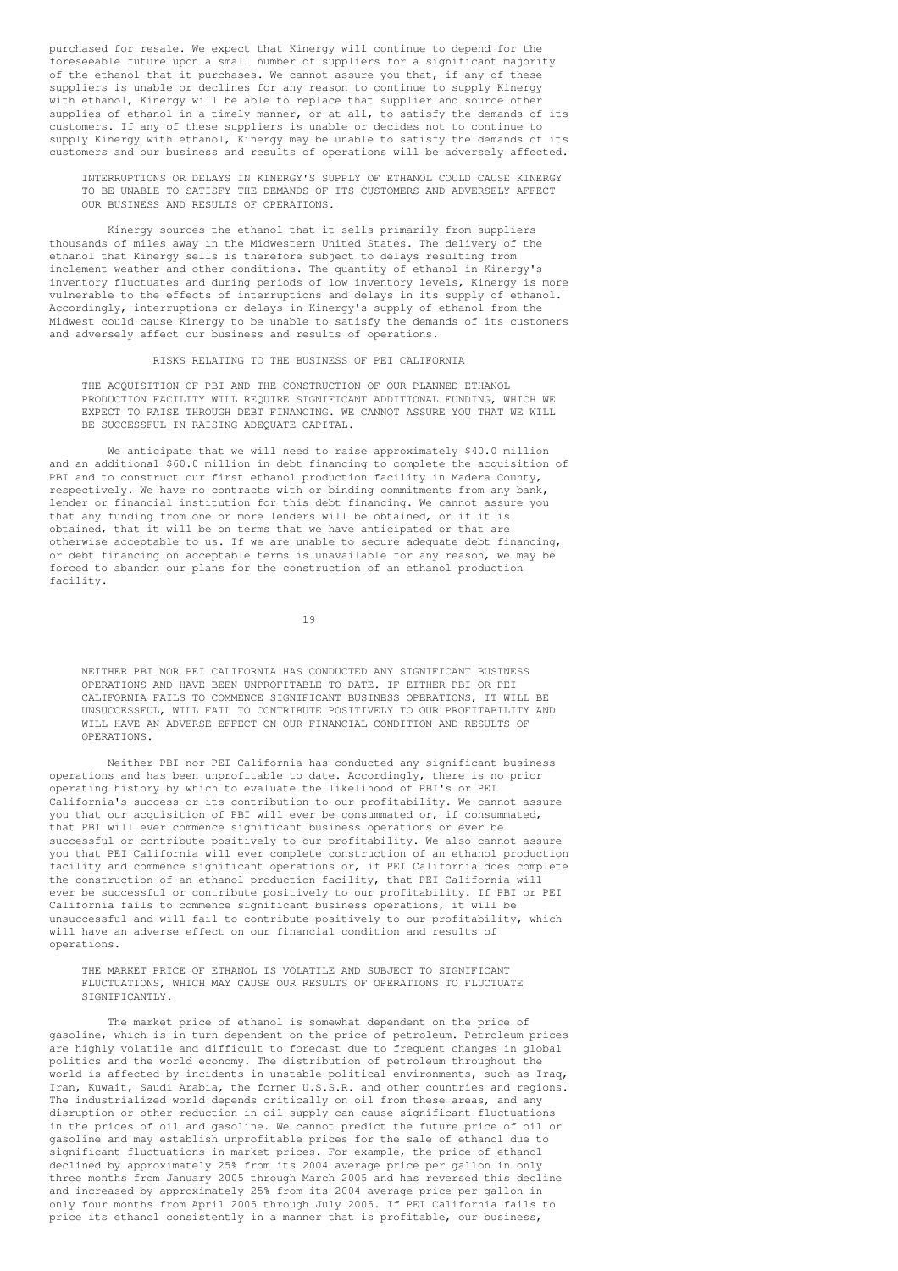purchased for resale. We expect that Kinergy will continue to depend for the foreseeable future upon a small number of suppliers for a significant majority of the ethanol that it purchases. We cannot assure you that, if any of these suppliers is unable or declines for any reason to continue to supply Kinergy with ethanol, Kinergy will be able to replace that supplier and source other supplies of ethanol in a timely manner, or at all, to satisfy the demands of its customers. If any of these suppliers is unable or decides not to continue to supply Kinergy with ethanol, Kinergy may be unable to satisfy the demands of its customers and our business and results of operations will be adversely affected.

INTERRUPTIONS OR DELAYS IN KINERGY'S SUPPLY OF ETHANOL COULD CAUSE KINERGY TO BE UNABLE TO SATISFY THE DEMANDS OF ITS CUSTOMERS AND ADVERSELY AFFECT OUR BUSINESS AND RESULTS OF OPERATIONS.

Kinergy sources the ethanol that it sells primarily from suppliers thousands of miles away in the Midwestern United States. The delivery of the ethanol that Kinergy sells is therefore subject to delays resulting from inclement weather and other conditions. The quantity of ethanol in Kinergy's inventory fluctuates and during periods of low inventory levels, Kinergy is more vulnerable to the effects of interruptions and delays in its supply of ethanol. Accordingly, interruptions or delays in Kinergy's supply of ethanol from the Midwest could cause Kinergy to be unable to satisfy the demands of its customers and adversely affect our business and results of operations.

### RISKS RELATING TO THE BUSINESS OF PEI CALIFORNIA

THE ACQUISITION OF PBI AND THE CONSTRUCTION OF OUR PLANNED ETHANOL PRODUCTION FACILITY WILL REQUIRE SIGNIFICANT ADDITIONAL FUNDING, WHICH WE EXPECT TO RAISE THROUGH DEBT FINANCING. WE CANNOT ASSURE YOU THAT WE WILL BE SUCCESSFUL IN RAISING ADEQUATE CAPITAL.

We anticipate that we will need to raise approximately \$40.0 million and an additional \$60.0 million in debt financing to complete the acquisition of PBI and to construct our first ethanol production facility in Madera County, respectively. We have no contracts with or binding commitments from any bank, lender or financial institution for this debt financing. We cannot assure you that any funding from one or more lenders will be obtained, or if it is obtained, that it will be on terms that we have anticipated or that are otherwise acceptable to us. If we are unable to secure adequate debt financing, or debt financing on acceptable terms is unavailable for any reason, we may be forced to abandon our plans for the construction of an ethanol production facility.

19

NEITHER PBI NOR PEI CALIFORNIA HAS CONDUCTED ANY SIGNIFICANT BUSINESS OPERATIONS AND HAVE BEEN UNPROFITABLE TO DATE. IF EITHER PBI OR PEI CALIFORNIA FAILS TO COMMENCE SIGNIFICANT BUSINESS OPERATIONS, IT WILL BE UNSUCCESSFUL, WILL FAIL TO CONTRIBUTE POSITIVELY TO OUR PROFITABILITY AND WILL HAVE AN ADVERSE EFFECT ON OUR FINANCIAL CONDITION AND RESULTS OF OPERATIONS.

Neither PBI nor PEI California has conducted any significant business operations and has been unprofitable to date. Accordingly, there is no prior operating history by which to evaluate the likelihood of PBI's or PEI California's success or its contribution to our profitability. We cannot assure you that our acquisition of PBI will ever be consummated or, if consummated, that PBI will ever commence significant business operations or ever be successful or contribute positively to our profitability. We also cannot assure you that PEI California will ever complete construction of an ethanol production facility and commence significant operations or, if PEI California does complete the construction of an ethanol production facility, that PEI California will ever be successful or contribute positively to our profitability. If PBI or PEI California fails to commence significant business operations, it will be unsuccessful and will fail to contribute positively to our profitability, which will have an adverse effect on our financial condition and results of operations.

THE MARKET PRICE OF ETHANOL IS VOLATILE AND SUBJECT TO SIGNIFICANT FLUCTUATIONS, WHICH MAY CAUSE OUR RESULTS OF OPERATIONS TO FLUCTUATE SIGNIFICANTLY.

The market price of ethanol is somewhat dependent on the price of gasoline, which is in turn dependent on the price of petroleum. Petroleum prices are highly volatile and difficult to forecast due to frequent changes in global politics and the world economy. The distribution of petroleum throughout the world is affected by incidents in unstable political environments, such as Iraq, Iran, Kuwait, Saudi Arabia, the former U.S.S.R. and other countries and regions. The industrialized world depends critically on oil from these areas, and any disruption or other reduction in oil supply can cause significant fluctuations in the prices of oil and gasoline. We cannot predict the future price of oil or gasoline and may establish unprofitable prices for the sale of ethanol due to significant fluctuations in market prices. For example, the price of ethanol declined by approximately 25% from its 2004 average price per gallon in only three months from January 2005 through March 2005 and has reversed this decline and increased by approximately 25% from its 2004 average price per gallon in only four months from April 2005 through July 2005. If PEI California fails to price its ethanol consistently in a manner that is profitable, our business,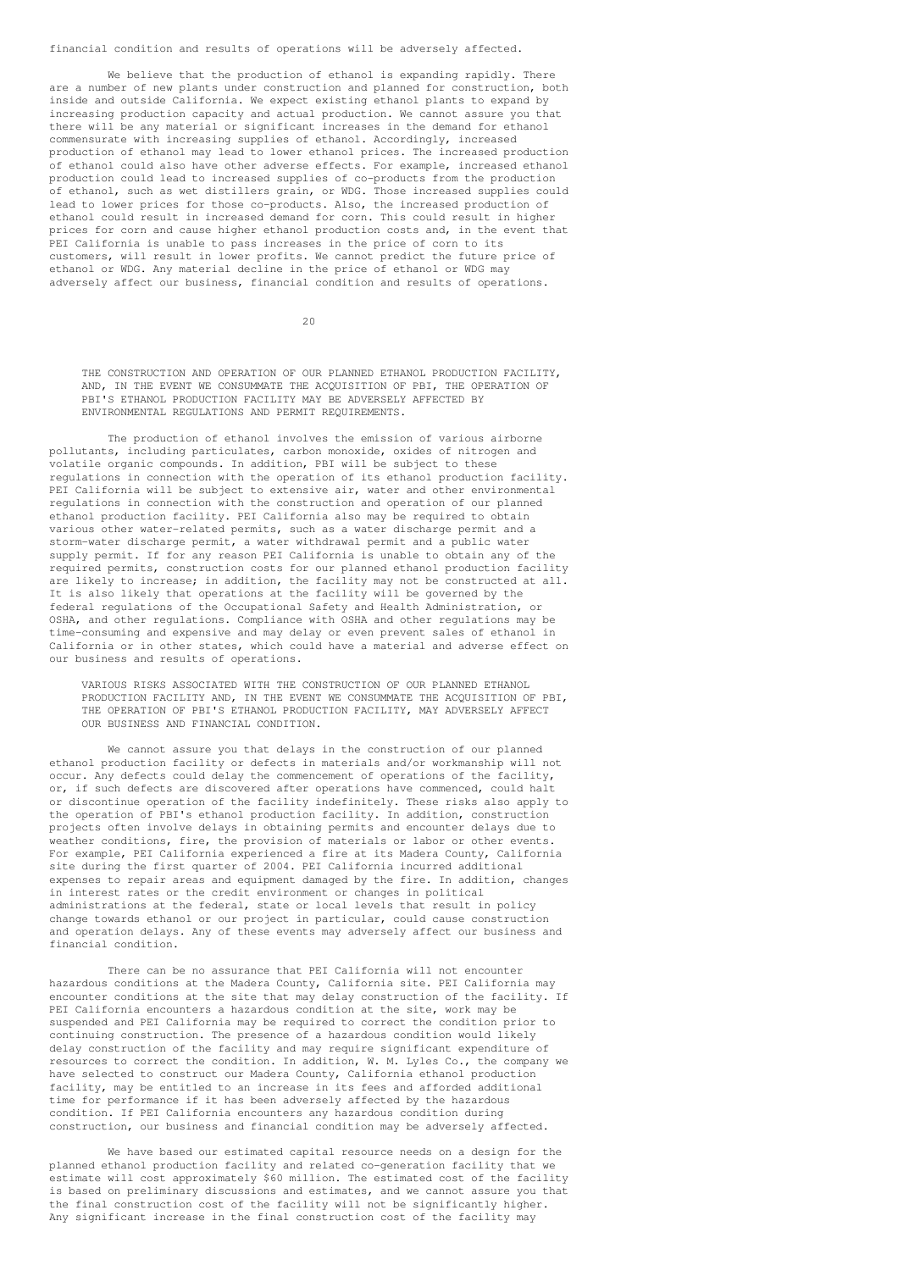financial condition and results of operations will be adversely affected.

We believe that the production of ethanol is expanding rapidly. There are a number of new plants under construction and planned for construction, both inside and outside California. We expect existing ethanol plants to expand by increasing production capacity and actual production. We cannot assure you that there will be any material or significant increases in the demand for ethanol commensurate with increasing supplies of ethanol. Accordingly, increased production of ethanol may lead to lower ethanol prices. The increased production of ethanol could also have other adverse effects. For example, increased ethanol production could lead to increased supplies of co-products from the production of ethanol, such as wet distillers grain, or WDG. Those increased supplies could lead to lower prices for those co-products. Also, the increased production of ethanol could result in increased demand for corn. This could result in higher prices for corn and cause higher ethanol production costs and, in the event that PEI California is unable to pass increases in the price of corn to its customers, will result in lower profits. We cannot predict the future price of ethanol or WDG. Any material decline in the price of ethanol or WDG may adversely affect our business, financial condition and results of operations.

20

THE CONSTRUCTION AND OPERATION OF OUR PLANNED ETHANOL PRODUCTION FACILITY, AND, IN THE EVENT WE CONSUMMATE THE ACQUISITION OF PBI, THE OPERATION OF PBI'S ETHANOL PRODUCTION FACILITY MAY BE ADVERSELY AFFECTED BY ENVIRONMENTAL REGULATIONS AND PERMIT REQUIREMENTS.

The production of ethanol involves the emission of various airborne pollutants, including particulates, carbon monoxide, oxides of nitrogen and volatile organic compounds. In addition, PBI will be subject to these regulations in connection with the operation of its ethanol production facility. PEI California will be subject to extensive air, water and other environmental regulations in connection with the construction and operation of our planned ethanol production facility. PEI California also may be required to obtain various other water-related permits, such as a water discharge permit and a storm-water discharge permit, a water withdrawal permit and a public water supply permit. If for any reason PEI California is unable to obtain any of the required permits, construction costs for our planned ethanol production facility are likely to increase; in addition, the facility may not be constructed at all. It is also likely that operations at the facility will be governed by the federal regulations of the Occupational Safety and Health Administration, or OSHA, and other regulations. Compliance with OSHA and other regulations may be time-consuming and expensive and may delay or even prevent sales of ethanol in California or in other states, which could have a material and adverse effect on our business and results of operations.

VARIOUS RISKS ASSOCIATED WITH THE CONSTRUCTION OF OUR PLANNED ETHANOL PRODUCTION FACILITY AND, IN THE EVENT WE CONSUMMATE THE ACQUISITION OF PBI, THE OPERATION OF PBI'S ETHANOL PRODUCTION FACILITY, MAY ADVERSELY AFFECT OUR BUSINESS AND FINANCIAL CONDITION.

We cannot assure you that delays in the construction of our planned ethanol production facility or defects in materials and/or workmanship will not occur. Any defects could delay the commencement of operations of the facility, or, if such defects are discovered after operations have commenced, could halt or discontinue operation of the facility indefinitely. These risks also apply to the operation of PBI's ethanol production facility. In addition, construction projects often involve delays in obtaining permits and encounter delays due to weather conditions, fire, the provision of materials or labor or other events. For example, PEI California experienced a fire at its Madera County, California site during the first quarter of 2004. PEI California incurred additional expenses to repair areas and equipment damaged by the fire. In addition, changes in interest rates or the credit environment or changes in political administrations at the federal, state or local levels that result in policy change towards ethanol or our project in particular, could cause construction and operation delays. Any of these events may adversely affect our business and financial condition.

There can be no assurance that PEI California will not encounter hazardous conditions at the Madera County, California site. PEI California may encounter conditions at the site that may delay construction of the facility. If PEI California encounters a hazardous condition at the site, work may be suspended and PEI California may be required to correct the condition prior to continuing construction. The presence of a hazardous condition would likely delay construction of the facility and may require significant expenditure of resources to correct the condition. In addition, W. M. Lyles Co., the company we have selected to construct our Madera County, California ethanol production facility, may be entitled to an increase in its fees and afforded additional time for performance if it has been adversely affected by the hazardous condition. If PEI California encounters any hazardous condition during construction, our business and financial condition may be adversely affected.

We have based our estimated capital resource needs on a design for the planned ethanol production facility and related co-generation facility that we estimate will cost approximately \$60 million. The estimated cost of the facility is based on preliminary discussions and estimates, and we cannot assure you that the final construction cost of the facility will not be significantly higher. Any significant increase in the final construction cost of the facility may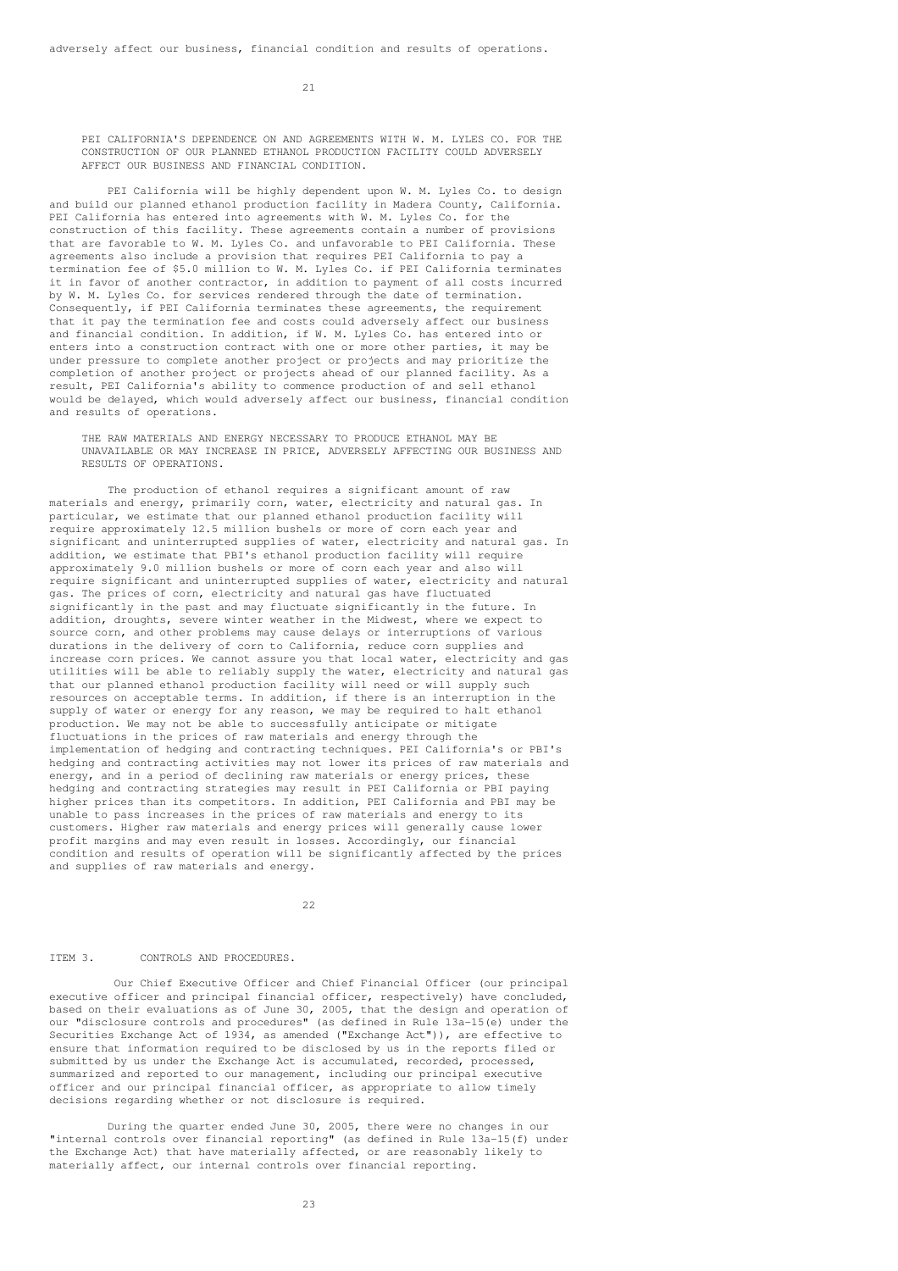$21$ 

PEI CALIFORNIA'S DEPENDENCE ON AND AGREEMENTS WITH W. M. LYLES CO. FOR THE CONSTRUCTION OF OUR PLANNED ETHANOL PRODUCTION FACILITY COULD ADVERSELY AFFECT OUR BUSINESS AND FINANCIAL CONDITION.

PEI California will be highly dependent upon W. M. Lyles Co. to design and build our planned ethanol production facility in Madera County, California. PEI California has entered into agreements with W. M. Lyles Co. for the construction of this facility. These agreements contain a number of provisions that are favorable to W. M. Lyles Co. and unfavorable to PEI California. These agreements also include a provision that requires PEI California to pay a termination fee of \$5.0 million to W. M. Lyles Co. if PEI California terminates it in favor of another contractor, in addition to payment of all costs incurred by W. M. Lyles Co. for services rendered through the date of termination. Consequently, if PEI California terminates these agreements, the requirement that it pay the termination fee and costs could adversely affect our business and financial condition. In addition, if W. M. Lyles Co. has entered into or enters into a construction contract with one or more other parties, it may be under pressure to complete another project or projects and may prioritize the completion of another project or projects ahead of our planned facility. As a result, PEI California's ability to commence production of and sell ethanol would be delayed, which would adversely affect our business, financial condition and results of operations.

THE RAW MATERIALS AND ENERGY NECESSARY TO PRODUCE ETHANOL MAY BE UNAVAILABLE OR MAY INCREASE IN PRICE, ADVERSELY AFFECTING OUR BUSINESS AND RESULTS OF OPERATIONS

The production of ethanol requires a significant amount of raw materials and energy, primarily corn, water, electricity and natural gas. In particular, we estimate that our planned ethanol production facility will require approximately 12.5 million bushels or more of corn each year and significant and uninterrupted supplies of water, electricity and natural gas. In addition, we estimate that PBI's ethanol production facility will require approximately 9.0 million bushels or more of corn each year and also will require significant and uninterrupted supplies of water, electricity and natural gas. The prices of corn, electricity and natural gas have fluctuated significantly in the past and may fluctuate significantly in the future. In addition, droughts, severe winter weather in the Midwest, where we expect to source corn, and other problems may cause delays or interruptions of various durations in the delivery of corn to California, reduce corn supplies and increase corn prices. We cannot assure you that local water, electricity and gas utilities will be able to reliably supply the water, electricity and natural gas that our planned ethanol production facility will need or will supply such resources on acceptable terms. In addition, if there is an interruption in the supply of water or energy for any reason, we may be required to halt ethanol production. We may not be able to successfully anticipate or mitigate .<br>fluctuations in the prices of raw materials and energy through the implementation of hedging and contracting techniques. PEI California's or PBI's hedging and contracting activities may not lower its prices of raw materials and energy, and in a period of declining raw materials or energy prices, these hedging and contracting strategies may result in PEI California or PBI paying higher prices than its competitors. In addition, PEI California and PBI may be unable to pass increases in the prices of raw materials and energy to its customers. Higher raw materials and energy prices will generally cause lower profit margins and may even result in losses. Accordingly, our financial condition and results of operation will be significantly affected by the prices and supplies of raw materials and energy.

 $22$ 

#### ITEM 3. CONTROLS AND PROCEDURES.

Our Chief Executive Officer and Chief Financial Officer (our principal executive officer and principal financial officer, respectively) have concluded, based on their evaluations as of June 30, 2005, that the design and operation of our "disclosure controls and procedures" (as defined in Rule 13a-15(e) under the Securities Exchange Act of 1934, as amended ("Exchange Act")), are effective to ensure that information required to be disclosed by us in the reports filed or submitted by us under the Exchange Act is accumulated, recorded, processed, summarized and reported to our management, including our principal executive officer and our principal financial officer, as appropriate to allow timely decisions regarding whether or not disclosure is required.

During the quarter ended June 30, 2005, there were no changes in our "internal controls over financial reporting" (as defined in Rule 13a-15(f) under the Exchange Act) that have materially affected, or are reasonably likely to materially affect, our internal controls over financial reporting.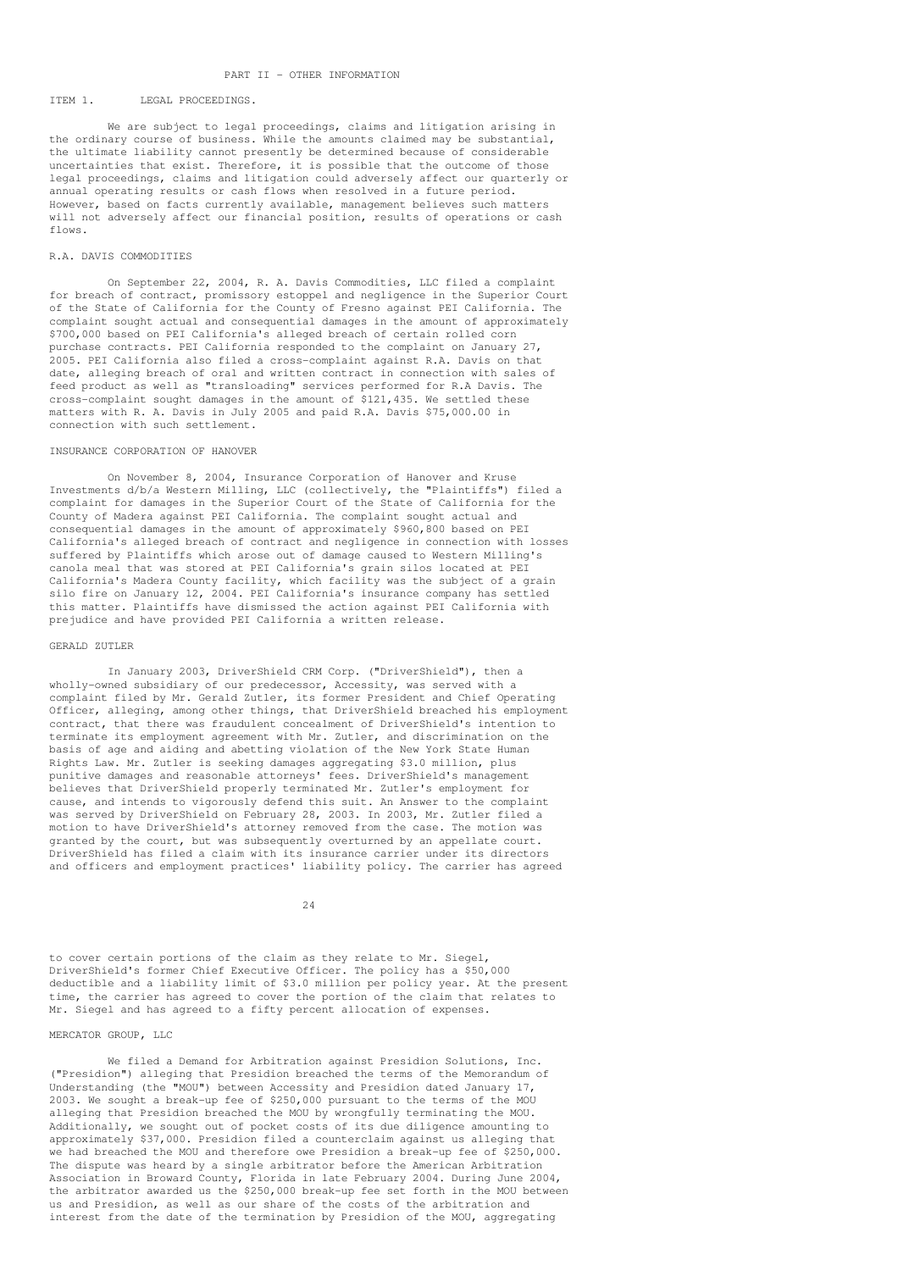#### PART II - OTHER INFORMATION

### ITEM 1. LEGAL PROCEEDINGS.

We are subject to legal proceedings, claims and litigation arising in the ordinary course of business. While the amounts claimed may be substantial, the ultimate liability cannot presently be determined because of considerable uncertainties that exist. Therefore, it is possible that the outcome of those legal proceedings, claims and litigation could adversely affect our quarterly or annual operating results or cash flows when resolved in a future period. However, based on facts currently available, management believes such matters will not adversely affect our financial position, results of operations or cash flows.

### R.A. DAVIS COMMODITIES

On September 22, 2004, R. A. Davis Commodities, LLC filed a complaint for breach of contract, promissory estoppel and negligence in the Superior Court of the State of California for the County of Fresno against PEI California. The complaint sought actual and consequential damages in the amount of approximately \$700,000 based on PEI California's alleged breach of certain rolled corn purchase contracts. PEI California responded to the complaint on January 27, 2005. PEI California also filed a cross-complaint against R.A. Davis on that date, alleging breach of oral and written contract in connection with sales of feed product as well as "transloading" services performed for R.A Davis. The cross-complaint sought damages in the amount of \$121,435. We settled these matters with R. A. Davis in July 2005 and paid R.A. Davis \$75,000.00 in connection with such settlement.

### INSURANCE CORPORATION OF HANOVER

On November 8, 2004, Insurance Corporation of Hanover and Kruse Investments d/b/a Western Milling, LLC (collectively, the "Plaintiffs") filed a complaint for damages in the Superior Court of the State of California for the County of Madera against PEI California. The complaint sought actual and consequential damages in the amount of approximately \$960,800 based on PEI California's alleged breach of contract and negligence in connection with losses suffered by Plaintiffs which arose out of damage caused to Western Milling's canola meal that was stored at PEI California's grain silos located at PEI California's Madera County facility, which facility was the subject of a grain silo fire on January 12, 2004. PEI California's insurance company has settled this matter. Plaintiffs have dismissed the action against PEI California with prejudice and have provided PEI California a written release.

#### GERALD ZUTLER

In January 2003, DriverShield CRM Corp. ("DriverShield"), then a wholly-owned subsidiary of our predecessor, Accessity, was served with a complaint filed by Mr. Gerald Zutler, its former President and Chief Operating Officer, alleging, among other things, that DriverShield breached his employment contract, that there was fraudulent concealment of DriverShield's intention to terminate its employment agreement with Mr. Zutler, and discrimination on the basis of age and aiding and abetting violation of the New York State Human Rights Law. Mr. Zutler is seeking damages aggregating \$3.0 million, plus punitive damages and reasonable attorneys' fees. DriverShield's management believes that DriverShield properly terminated Mr. Zutler's employment for cause, and intends to vigorously defend this suit. An Answer to the complaint was served by DriverShield on February 28, 2003. In 2003, Mr. Zutler filed a motion to have DriverShield's attorney removed from the case. The motion was granted by the court, but was subsequently overturned by an appellate court. DriverShield has filed a claim with its insurance carrier under its directors and officers and employment practices' liability policy. The carrier has agreed

 $24$ 

to cover certain portions of the claim as they relate to Mr. Siegel, DriverShield's former Chief Executive Officer. The policy has a \$50,000 deductible and a liability limit of \$3.0 million per policy year. At the present time, the carrier has agreed to cover the portion of the claim that relates to Mr. Siegel and has agreed to a fifty percent allocation of expenses.

# MERCATOR GROUP, LLC

We filed a Demand for Arbitration against Presidion Solutions, Inc. ("Presidion") alleging that Presidion breached the terms of the Memorandum of Understanding (the "MOU") between Accessity and Presidion dated January 17, 2003. We sought a break-up fee of \$250,000 pursuant to the terms of the MOU alleging that Presidion breached the MOU by wrongfully terminating the MOU. Additionally, we sought out of pocket costs of its due diligence amounting to approximately \$37,000. Presidion filed a counterclaim against us alleging that we had breached the MOU and therefore owe Presidion a break-up fee of \$250,000. The dispute was heard by a single arbitrator before the American Arbitration Association in Broward County, Florida in late February 2004. During June 2004, the arbitrator awarded us the \$250,000 break-up fee set forth in the MOU between us and Presidion, as well as our share of the costs of the arbitration and interest from the date of the termination by Presidion of the MOU, aggregating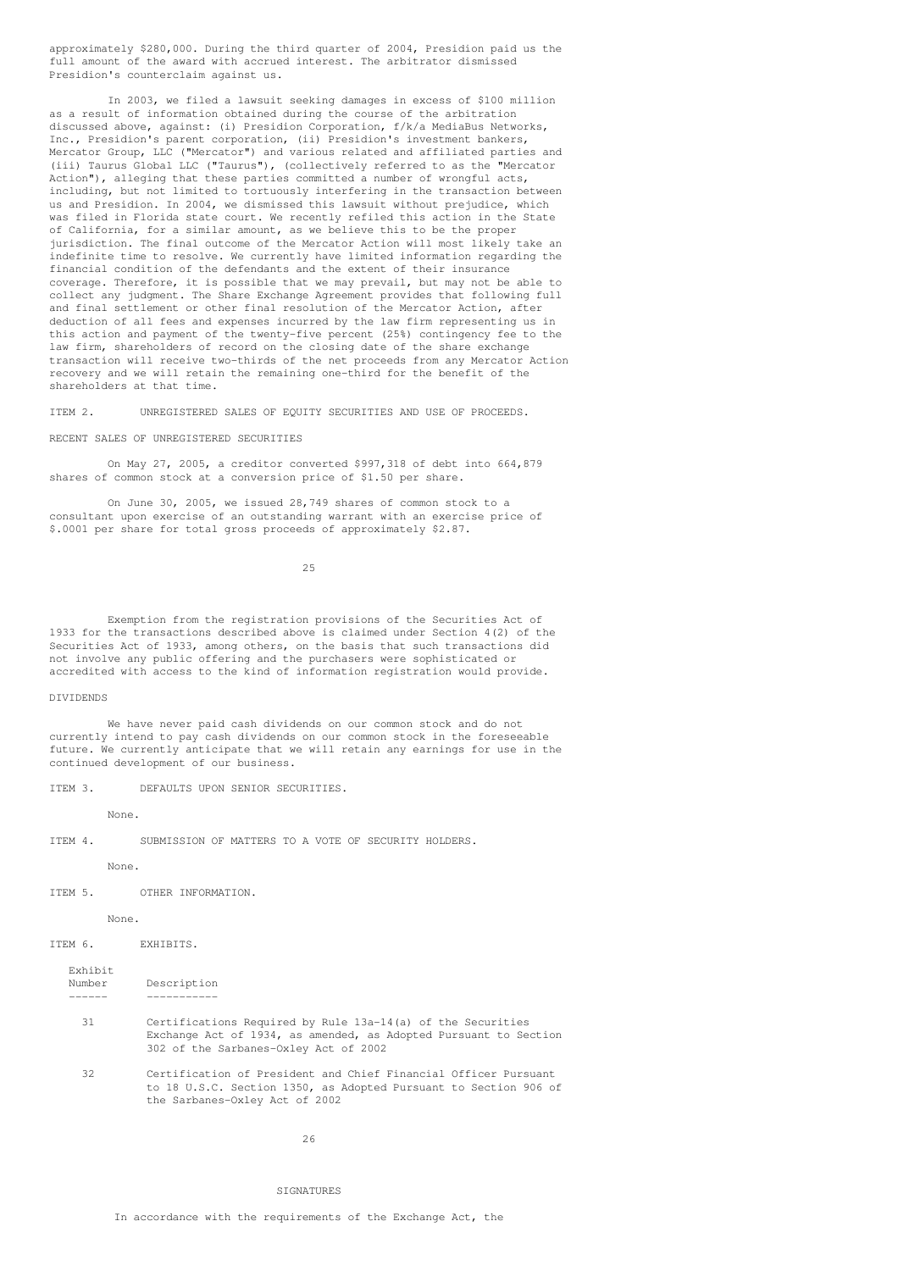approximately \$280,000. During the third quarter of 2004, Presidion paid us the full amount of the award with accrued interest. The arbitrator dismissed Presidion's counterclaim against us.

In 2003, we filed a lawsuit seeking damages in excess of \$100 million as a result of information obtained during the course of the arbitration discussed above, against: (i) Presidion Corporation, f/k/a MediaBus Networks, Inc., Presidion's parent corporation, (ii) Presidion's investment bankers, Mercator Group, LLC ("Mercator") and various related and affiliated parties and (iii) Taurus Global LLC ("Taurus"), (collectively referred to as the "Mercator Action"), alleging that these parties committed a number of wrongful acts, including, but not limited to tortuously interfering in the transaction between us and Presidion. In 2004, we dismissed this lawsuit without prejudice, which was filed in Florida state court. We recently refiled this action in the State of California, for a similar amount, as we believe this to be the proper jurisdiction. The final outcome of the Mercator Action will most likely take an indefinite time to resolve. We currently have limited information regarding the financial condition of the defendants and the extent of their insurance coverage. Therefore, it is possible that we may prevail, but may not be able to collect any judgment. The Share Exchange Agreement provides that following full and final settlement or other final resolution of the Mercator Action, after deduction of all fees and expenses incurred by the law firm representing us in this action and payment of the twenty-five percent (25%) contingency fee to the law firm, shareholders of record on the closing date of the share exchange transaction will receive two-thirds of the net proceeds from any Mercator Action recovery and we will retain the remaining one-third for the benefit of the shareholders at that time.

ITEM 2. UNREGISTERED SALES OF EQUITY SECURITIES AND USE OF PROCEEDS.

#### RECENT SALES OF UNREGISTERED SECURITIES

On May 27, 2005, a creditor converted \$997,318 of debt into 664,879 shares of common stock at a conversion price of \$1.50 per share.

On June 30, 2005, we issued 28,749 shares of common stock to a consultant upon exercise of an outstanding warrant with an exercise price of \$.0001 per share for total gross proceeds of approximately \$2.87.

25

Exemption from the registration provisions of the Securities Act of 1933 for the transactions described above is claimed under Section 4(2) of the Securities Act of 1933, among others, on the basis that such transactions did not involve any public offering and the purchasers were sophisticated or accredited with access to the kind of information registration would provide.

#### DIVIDENDS

We have never paid cash dividends on our common stock and do not currently intend to pay cash dividends on our common stock in the foreseeable future. We currently anticipate that we will retain any earnings for use in the continued development of our business.

ITEM 3. DEFAULTS UPON SENIOR SECURITIES.

None.

ITEM 4. SUBMISSION OF MATTERS TO A VOTE OF SECURITY HOLDERS.

None.

ITEM 5. OTHER INFORMATION.

None.

ITEM 6. EXHIBITS.

Exhibit

| Number | Description |
|--------|-------------|
|        |             |

- 31 Certifications Required by Rule 13a-14(a) of the Securities Exchange Act of 1934, as amended, as Adopted Pursuant to Section 302 of the Sarbanes-Oxley Act of 2002
- 32 Certification of President and Chief Financial Officer Pursuant to 18 U.S.C. Section 1350, as Adopted Pursuant to Section 906 of the Sarbanes-Oxley Act of 2002

26

#### SIGNATURES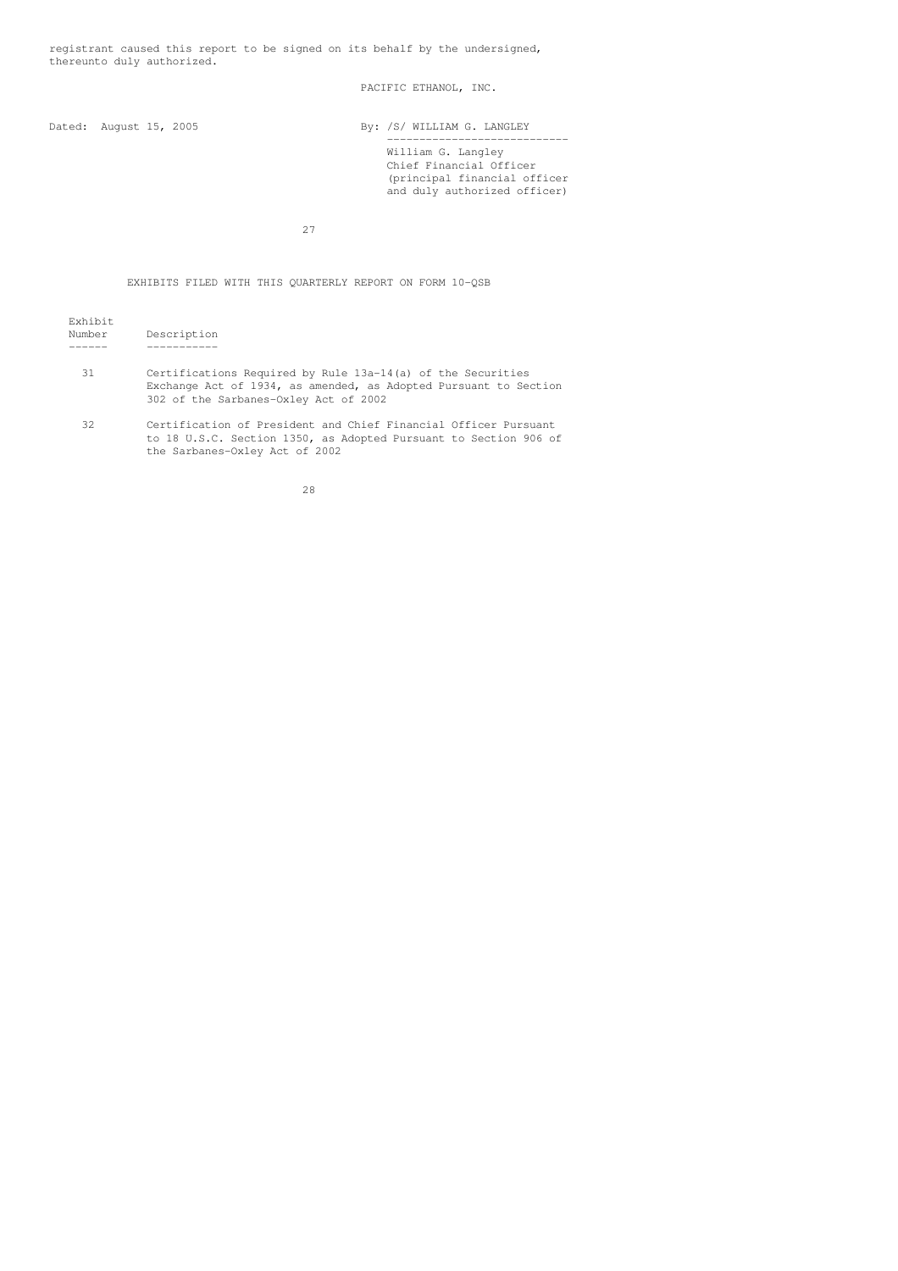registrant caused this report to be signed on its behalf by the undersigned, thereunto duly authorized.

PACIFIC ETHANOL, INC.

Dated: August 15, 2005 By: /S/ WILLIAM G. LANGLEY

---------------------------- William G. Langley Chief Financial Officer (principal financial officer and duly authorized officer)

27

# EXHIBITS FILED WITH THIS QUARTERLY REPORT ON FORM 10-QSB

| Exhibit<br>Number | Description                                                                                                                                                              |
|-------------------|--------------------------------------------------------------------------------------------------------------------------------------------------------------------------|
| 31                | Certifications Required by Rule 13a-14(a) of the Securities<br>Exchange Act of 1934, as amended, as Adopted Pursuant to Section<br>302 of the Sarbanes-Oxley Act of 2002 |
| 32                | Certification of President and Chief Financial Officer Pursuant                                                                                                          |

to 18 U.S.C. Section 1350, as Adopted Pursuant to Section 906 of the Sarbanes-Oxley Act of 2002

28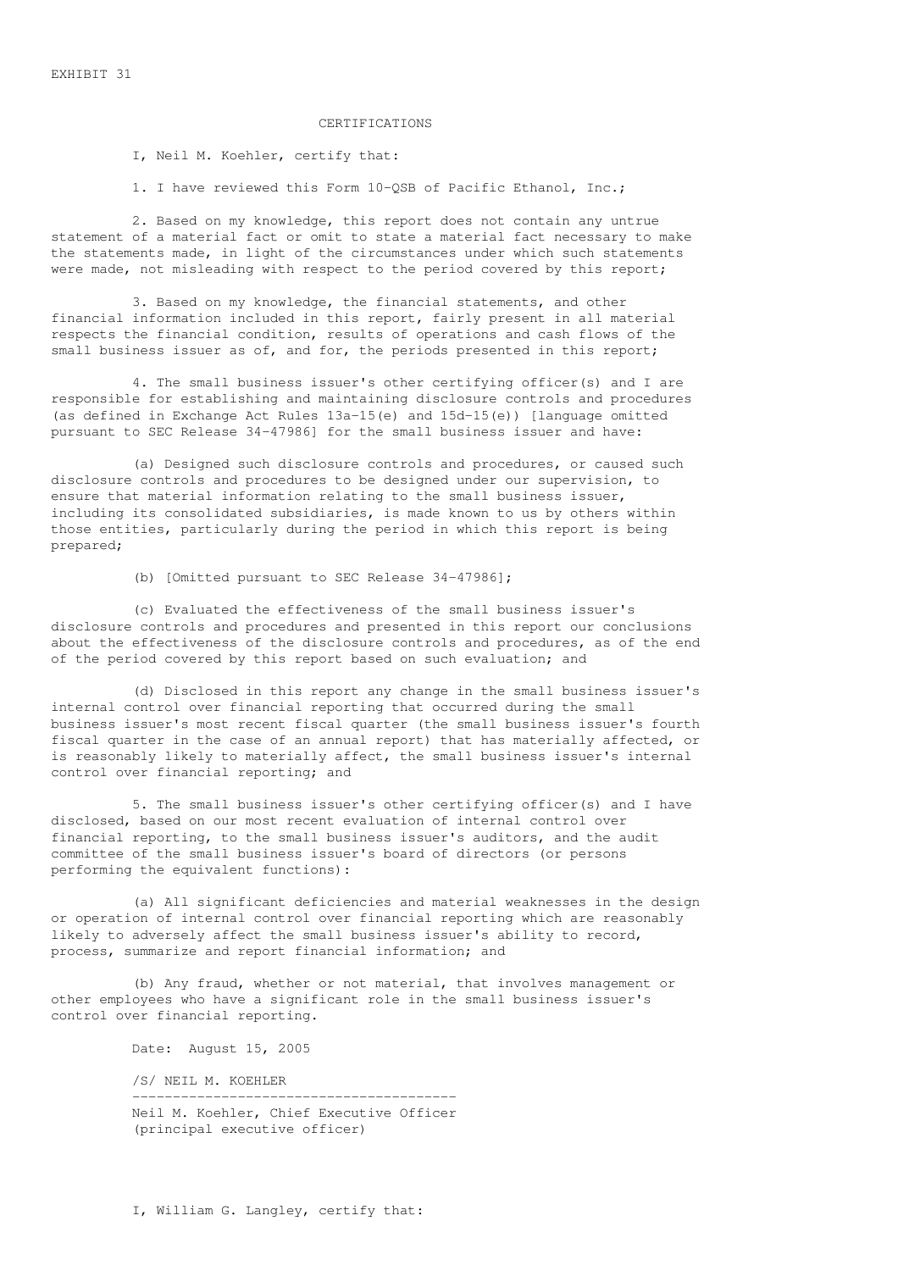# CERTIFICATIONS

I, Neil M. Koehler, certify that:

1. I have reviewed this Form 10-QSB of Pacific Ethanol, Inc.;

2. Based on my knowledge, this report does not contain any untrue statement of a material fact or omit to state a material fact necessary to make the statements made, in light of the circumstances under which such statements were made, not misleading with respect to the period covered by this report;

3. Based on my knowledge, the financial statements, and other financial information included in this report, fairly present in all material respects the financial condition, results of operations and cash flows of the small business issuer as of, and for, the periods presented in this report;

4. The small business issuer's other certifying officer(s) and I are responsible for establishing and maintaining disclosure controls and procedures (as defined in Exchange Act Rules 13a-15(e) and 15d-15(e)) [language omitted pursuant to SEC Release 34-47986] for the small business issuer and have:

(a) Designed such disclosure controls and procedures, or caused such disclosure controls and procedures to be designed under our supervision, to ensure that material information relating to the small business issuer, including its consolidated subsidiaries, is made known to us by others within those entities, particularly during the period in which this report is being prepared;

(b) [Omitted pursuant to SEC Release 34-47986];

(c) Evaluated the effectiveness of the small business issuer's disclosure controls and procedures and presented in this report our conclusions about the effectiveness of the disclosure controls and procedures, as of the end of the period covered by this report based on such evaluation; and

(d) Disclosed in this report any change in the small business issuer's internal control over financial reporting that occurred during the small business issuer's most recent fiscal quarter (the small business issuer's fourth fiscal quarter in the case of an annual report) that has materially affected, or is reasonably likely to materially affect, the small business issuer's internal control over financial reporting; and

5. The small business issuer's other certifying officer(s) and I have disclosed, based on our most recent evaluation of internal control over financial reporting, to the small business issuer's auditors, and the audit committee of the small business issuer's board of directors (or persons performing the equivalent functions):

(a) All significant deficiencies and material weaknesses in the design or operation of internal control over financial reporting which are reasonably likely to adversely affect the small business issuer's ability to record, process, summarize and report financial information; and

(b) Any fraud, whether or not material, that involves management or other employees who have a significant role in the small business issuer's control over financial reporting.

Date: August 15, 2005

/S/ NEIL M. KOEHLER

---------------------------------------- Neil M. Koehler, Chief Executive Officer (principal executive officer)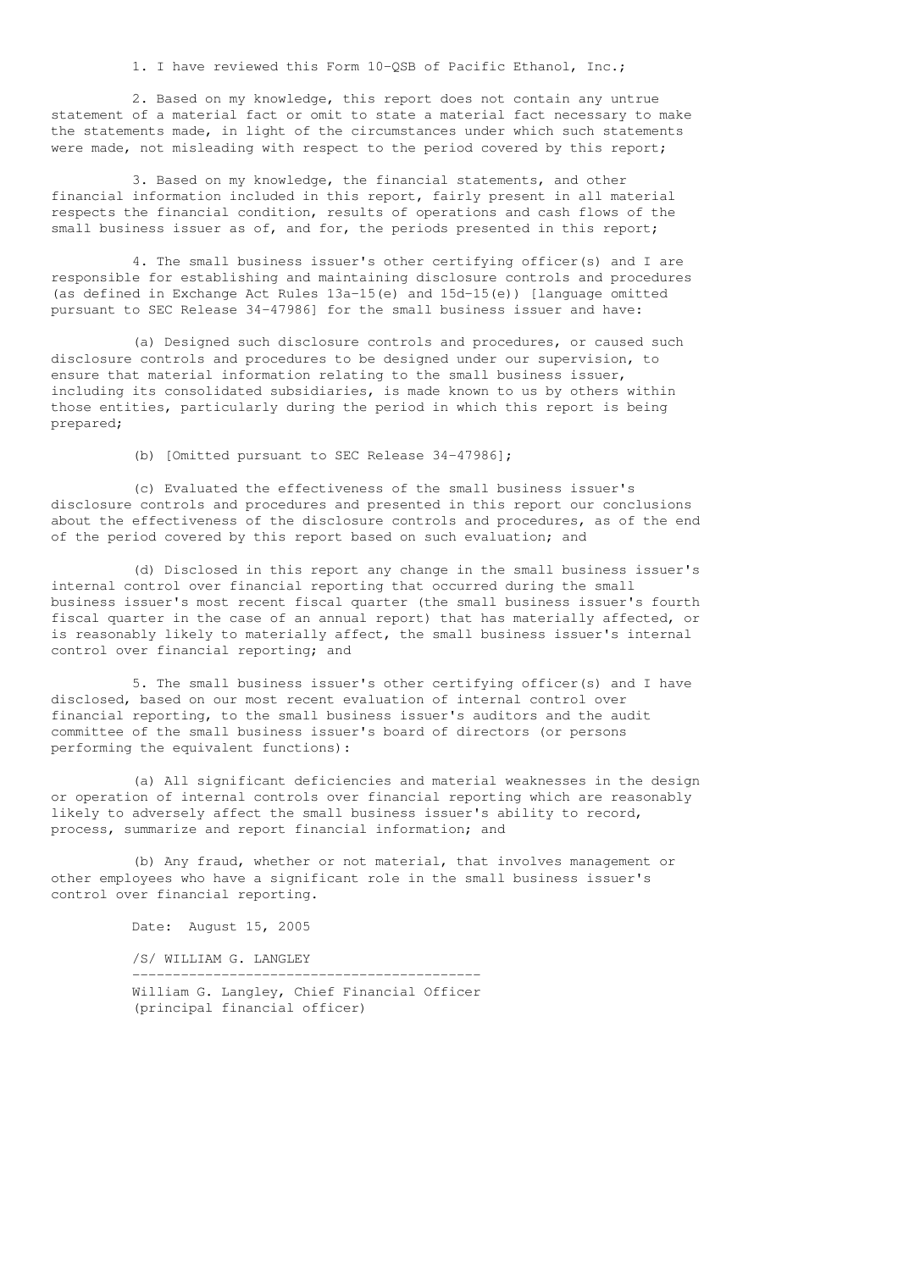1. I have reviewed this Form 10-QSB of Pacific Ethanol, Inc.;

2. Based on my knowledge, this report does not contain any untrue statement of a material fact or omit to state a material fact necessary to make the statements made, in light of the circumstances under which such statements were made, not misleading with respect to the period covered by this report;

3. Based on my knowledge, the financial statements, and other financial information included in this report, fairly present in all material respects the financial condition, results of operations and cash flows of the small business issuer as of, and for, the periods presented in this report;

4. The small business issuer's other certifying officer(s) and I are responsible for establishing and maintaining disclosure controls and procedures (as defined in Exchange Act Rules 13a-15(e) and 15d-15(e)) [language omitted pursuant to SEC Release 34-47986] for the small business issuer and have:

(a) Designed such disclosure controls and procedures, or caused such disclosure controls and procedures to be designed under our supervision, to ensure that material information relating to the small business issuer, including its consolidated subsidiaries, is made known to us by others within those entities, particularly during the period in which this report is being prepared;

(b) [Omitted pursuant to SEC Release 34-47986];

(c) Evaluated the effectiveness of the small business issuer's disclosure controls and procedures and presented in this report our conclusions about the effectiveness of the disclosure controls and procedures, as of the end of the period covered by this report based on such evaluation; and

(d) Disclosed in this report any change in the small business issuer's internal control over financial reporting that occurred during the small business issuer's most recent fiscal quarter (the small business issuer's fourth fiscal quarter in the case of an annual report) that has materially affected, or is reasonably likely to materially affect, the small business issuer's internal control over financial reporting; and

5. The small business issuer's other certifying officer(s) and I have disclosed, based on our most recent evaluation of internal control over financial reporting, to the small business issuer's auditors and the audit committee of the small business issuer's board of directors (or persons performing the equivalent functions):

(a) All significant deficiencies and material weaknesses in the design or operation of internal controls over financial reporting which are reasonably likely to adversely affect the small business issuer's ability to record, process, summarize and report financial information; and

(b) Any fraud, whether or not material, that involves management or other employees who have a significant role in the small business issuer's control over financial reporting.

> Date: August 15, 2005 /S/ WILLIAM G. LANGLEY

------------------------------------------- William G. Langley, Chief Financial Officer (principal financial officer)